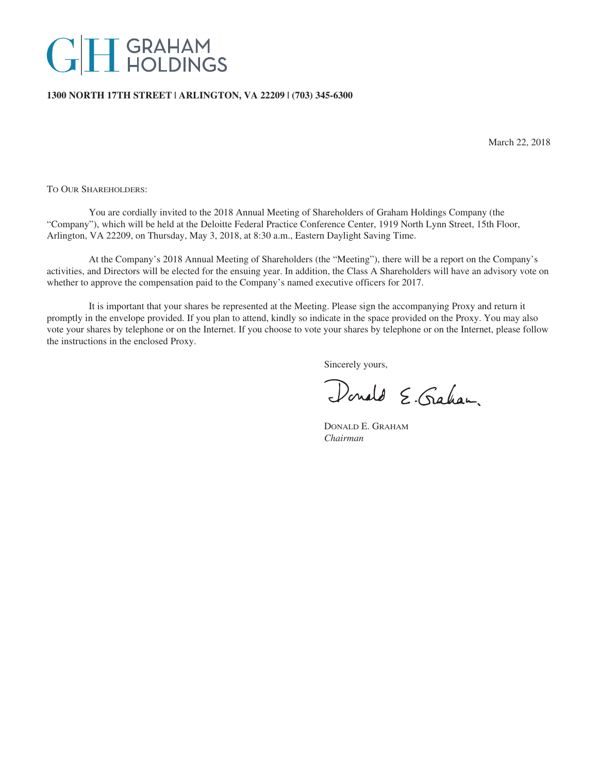# **GH** GRAHAM

# **1300 NORTH 17TH STREET | ARLINGTON, VA 22209 | (703) 345-6300**

March 22, 2018

TO OUR SHAREHOLDERS:

You are cordially invited to the 2018 Annual Meeting of Shareholders of Graham Holdings Company (the "Company"), which will be held at the Deloitte Federal Practice Conference Center, 1919 North Lynn Street, 15th Floor, Arlington, VA 22209, on Thursday, May 3, 2018, at 8:30 a.m., Eastern Daylight Saving Time.

At the Company's 2018 Annual Meeting of Shareholders (the "Meeting"), there will be a report on the Company's activities, and Directors will be elected for the ensuing year. In addition, the Class A Shareholders will have an advisory vote on whether to approve the compensation paid to the Company's named executive officers for 2017.

It is important that your shares be represented at the Meeting. Please sign the accompanying Proxy and return it promptly in the envelope provided. If you plan to attend, kindly so indicate in the space provided on the Proxy. You may also vote your shares by telephone or on the Internet. If you choose to vote your shares by telephone or on the Internet, please follow the instructions in the enclosed Proxy.

Sincerely yours,

Donald E. Graham.

DONALD E. GRAHAM *Chairman*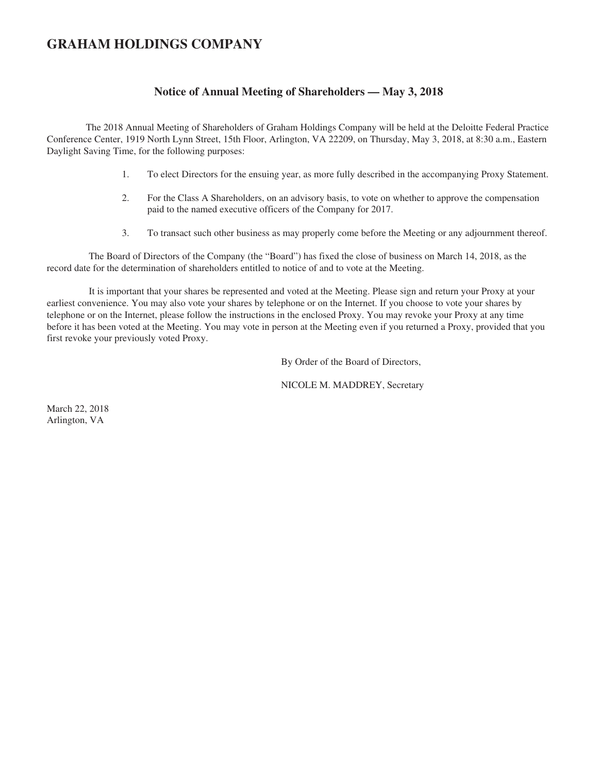# **GRAHAM HOLDINGS COMPANY**

# **Notice of Annual Meeting of Shareholders — May 3, 2018**

The 2018 Annual Meeting of Shareholders of Graham Holdings Company will be held at the Deloitte Federal Practice Conference Center, 1919 North Lynn Street, 15th Floor, Arlington, VA 22209, on Thursday, May 3, 2018, at 8:30 a.m., Eastern Daylight Saving Time, for the following purposes:

- 1. To elect Directors for the ensuing year, as more fully described in the accompanying Proxy Statement.
- 2. For the Class A Shareholders, on an advisory basis, to vote on whether to approve the compensation paid to the named executive officers of the Company for 2017.
- 3. To transact such other business as may properly come before the Meeting or any adjournment thereof.

The Board of Directors of the Company (the "Board") has fixed the close of business on March 14, 2018, as the record date for the determination of shareholders entitled to notice of and to vote at the Meeting.

It is important that your shares be represented and voted at the Meeting. Please sign and return your Proxy at your earliest convenience. You may also vote your shares by telephone or on the Internet. If you choose to vote your shares by telephone or on the Internet, please follow the instructions in the enclosed Proxy. You may revoke your Proxy at any time before it has been voted at the Meeting. You may vote in person at the Meeting even if you returned a Proxy, provided that you first revoke your previously voted Proxy.

By Order of the Board of Directors,

NICOLE M. MADDREY, Secretary

March 22, 2018 Arlington, VA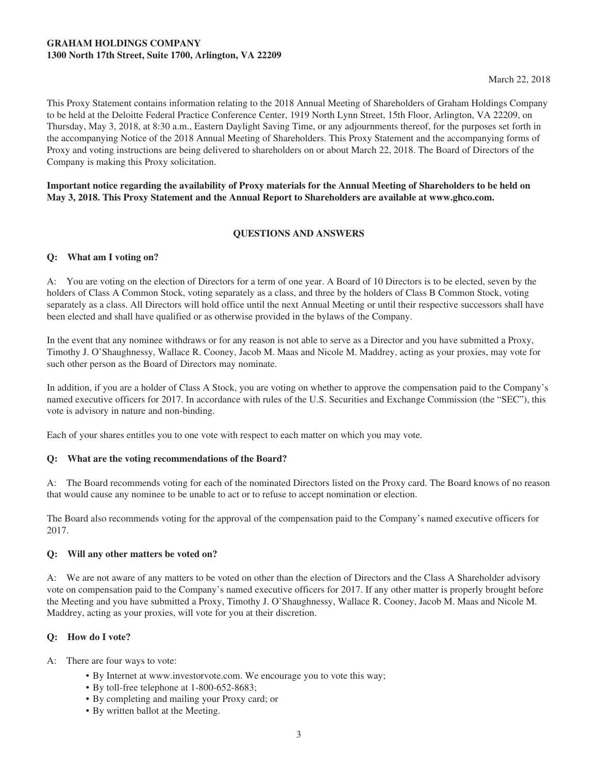# **GRAHAM HOLDINGS COMPANY 1300 North 17th Street, Suite 1700, Arlington, VA 22209**

March 22, 2018

This Proxy Statement contains information relating to the 2018 Annual Meeting of Shareholders of Graham Holdings Company to be held at the Deloitte Federal Practice Conference Center, 1919 North Lynn Street, 15th Floor, Arlington, VA 22209, on Thursday, May 3, 2018, at 8:30 a.m., Eastern Daylight Saving Time, or any adjournments thereof, for the purposes set forth in the accompanying Notice of the 2018 Annual Meeting of Shareholders. This Proxy Statement and the accompanying forms of Proxy and voting instructions are being delivered to shareholders on or about March 22, 2018. The Board of Directors of the Company is making this Proxy solicitation.

**Important notice regarding the availability of Proxy materials for the Annual Meeting of Shareholders to be held on May 3, 2018. This Proxy Statement and the Annual Report to Shareholders are available at www.ghco.com.**

# **QUESTIONS AND ANSWERS**

# **Q: What am I voting on?**

A: You are voting on the election of Directors for a term of one year. A Board of 10 Directors is to be elected, seven by the holders of Class A Common Stock, voting separately as a class, and three by the holders of Class B Common Stock, voting separately as a class. All Directors will hold office until the next Annual Meeting or until their respective successors shall have been elected and shall have qualified or as otherwise provided in the bylaws of the Company.

In the event that any nominee withdraws or for any reason is not able to serve as a Director and you have submitted a Proxy, Timothy J. O'Shaughnessy, Wallace R. Cooney, Jacob M. Maas and Nicole M. Maddrey, acting as your proxies, may vote for such other person as the Board of Directors may nominate.

In addition, if you are a holder of Class A Stock, you are voting on whether to approve the compensation paid to the Company's named executive officers for 2017. In accordance with rules of the U.S. Securities and Exchange Commission (the "SEC"), this vote is advisory in nature and non-binding.

Each of your shares entitles you to one vote with respect to each matter on which you may vote.

# **Q: What are the voting recommendations of the Board?**

A: The Board recommends voting for each of the nominated Directors listed on the Proxy card. The Board knows of no reason that would cause any nominee to be unable to act or to refuse to accept nomination or election.

The Board also recommends voting for the approval of the compensation paid to the Company's named executive officers for 2017.

#### **Q: Will any other matters be voted on?**

A: We are not aware of any matters to be voted on other than the election of Directors and the Class A Shareholder advisory vote on compensation paid to the Company's named executive officers for 2017. If any other matter is properly brought before the Meeting and you have submitted a Proxy, Timothy J. O'Shaughnessy, Wallace R. Cooney, Jacob M. Maas and Nicole M. Maddrey, acting as your proxies, will vote for you at their discretion.

# **Q: How do I vote?**

- A: There are four ways to vote:
	- By Internet at www.investorvote.com. We encourage you to vote this way;
	- By toll-free telephone at 1-800-652-8683;
	- By completing and mailing your Proxy card; or
	- By written ballot at the Meeting.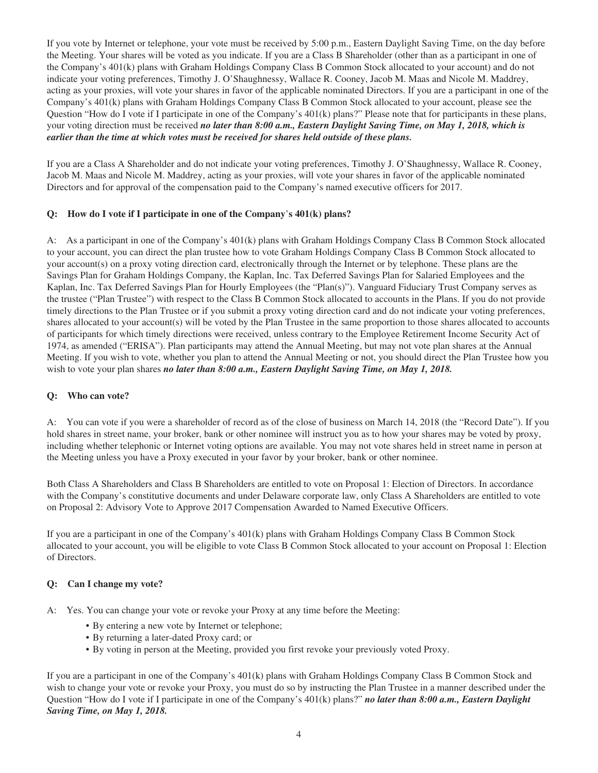If you vote by Internet or telephone, your vote must be received by 5:00 p.m., Eastern Daylight Saving Time, on the day before the Meeting. Your shares will be voted as you indicate. If you are a Class B Shareholder (other than as a participant in one of the Company's 401(k) plans with Graham Holdings Company Class B Common Stock allocated to your account) and do not indicate your voting preferences, Timothy J. O'Shaughnessy, Wallace R. Cooney, Jacob M. Maas and Nicole M. Maddrey, acting as your proxies, will vote your shares in favor of the applicable nominated Directors. If you are a participant in one of the Company's 401(k) plans with Graham Holdings Company Class B Common Stock allocated to your account, please see the Question "How do I vote if I participate in one of the Company's 401(k) plans?" Please note that for participants in these plans, your voting direction must be received *no later than 8:00 a.m., Eastern Daylight Saving Time, on May 1, 2018, which is earlier than the time at which votes must be received for shares held outside of these plans.*

If you are a Class A Shareholder and do not indicate your voting preferences, Timothy J. O'Shaughnessy, Wallace R. Cooney, Jacob M. Maas and Nicole M. Maddrey, acting as your proxies, will vote your shares in favor of the applicable nominated Directors and for approval of the compensation paid to the Company's named executive officers for 2017.

# **Q: How do I vote if I participate in one of the Company**'**s 401(k) plans?**

A: As a participant in one of the Company's 401(k) plans with Graham Holdings Company Class B Common Stock allocated to your account, you can direct the plan trustee how to vote Graham Holdings Company Class B Common Stock allocated to your account(s) on a proxy voting direction card, electronically through the Internet or by telephone. These plans are the Savings Plan for Graham Holdings Company, the Kaplan, Inc. Tax Deferred Savings Plan for Salaried Employees and the Kaplan, Inc. Tax Deferred Savings Plan for Hourly Employees (the "Plan(s)"). Vanguard Fiduciary Trust Company serves as the trustee ("Plan Trustee") with respect to the Class B Common Stock allocated to accounts in the Plans. If you do not provide timely directions to the Plan Trustee or if you submit a proxy voting direction card and do not indicate your voting preferences, shares allocated to your account(s) will be voted by the Plan Trustee in the same proportion to those shares allocated to accounts of participants for which timely directions were received, unless contrary to the Employee Retirement Income Security Act of 1974, as amended ("ERISA"). Plan participants may attend the Annual Meeting, but may not vote plan shares at the Annual Meeting. If you wish to vote, whether you plan to attend the Annual Meeting or not, you should direct the Plan Trustee how you wish to vote your plan shares *no later than 8:00 a.m., Eastern Daylight Saving Time, on May 1, 2018.*

# **Q: Who can vote?**

A: You can vote if you were a shareholder of record as of the close of business on March 14, 2018 (the "Record Date"). If you hold shares in street name, your broker, bank or other nominee will instruct you as to how your shares may be voted by proxy, including whether telephonic or Internet voting options are available. You may not vote shares held in street name in person at the Meeting unless you have a Proxy executed in your favor by your broker, bank or other nominee.

Both Class A Shareholders and Class B Shareholders are entitled to vote on Proposal 1: Election of Directors. In accordance with the Company's constitutive documents and under Delaware corporate law, only Class A Shareholders are entitled to vote on Proposal 2: Advisory Vote to Approve 2017 Compensation Awarded to Named Executive Officers.

If you are a participant in one of the Company's 401(k) plans with Graham Holdings Company Class B Common Stock allocated to your account, you will be eligible to vote Class B Common Stock allocated to your account on Proposal 1: Election of Directors.

# **Q: Can I change my vote?**

- A: Yes. You can change your vote or revoke your Proxy at any time before the Meeting:
	- By entering a new vote by Internet or telephone;
	- By returning a later-dated Proxy card; or
	- By voting in person at the Meeting, provided you first revoke your previously voted Proxy.

If you are a participant in one of the Company's 401(k) plans with Graham Holdings Company Class B Common Stock and wish to change your vote or revoke your Proxy, you must do so by instructing the Plan Trustee in a manner described under the Question "How do I vote if I participate in one of the Company's 401(k) plans?" *no later than 8:00 a.m., Eastern Daylight Saving Time, on May 1, 2018.*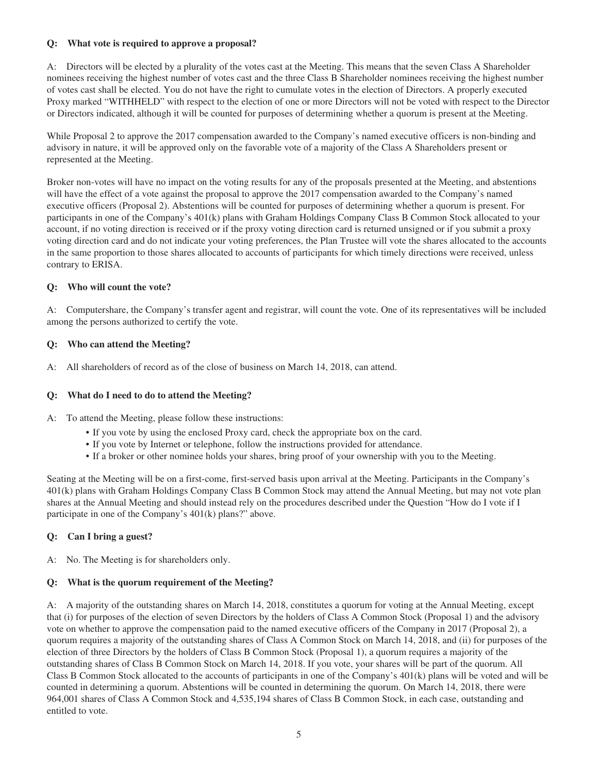# **Q: What vote is required to approve a proposal?**

A: Directors will be elected by a plurality of the votes cast at the Meeting. This means that the seven Class A Shareholder nominees receiving the highest number of votes cast and the three Class B Shareholder nominees receiving the highest number of votes cast shall be elected. You do not have the right to cumulate votes in the election of Directors. A properly executed Proxy marked "WITHHELD" with respect to the election of one or more Directors will not be voted with respect to the Director or Directors indicated, although it will be counted for purposes of determining whether a quorum is present at the Meeting.

While Proposal 2 to approve the 2017 compensation awarded to the Company's named executive officers is non-binding and advisory in nature, it will be approved only on the favorable vote of a majority of the Class A Shareholders present or represented at the Meeting.

Broker non-votes will have no impact on the voting results for any of the proposals presented at the Meeting, and abstentions will have the effect of a vote against the proposal to approve the 2017 compensation awarded to the Company's named executive officers (Proposal 2). Abstentions will be counted for purposes of determining whether a quorum is present. For participants in one of the Company's 401(k) plans with Graham Holdings Company Class B Common Stock allocated to your account, if no voting direction is received or if the proxy voting direction card is returned unsigned or if you submit a proxy voting direction card and do not indicate your voting preferences, the Plan Trustee will vote the shares allocated to the accounts in the same proportion to those shares allocated to accounts of participants for which timely directions were received, unless contrary to ERISA.

# **Q: Who will count the vote?**

A: Computershare, the Company's transfer agent and registrar, will count the vote. One of its representatives will be included among the persons authorized to certify the vote.

# **Q: Who can attend the Meeting?**

A: All shareholders of record as of the close of business on March 14, 2018, can attend.

# **Q: What do I need to do to attend the Meeting?**

- A: To attend the Meeting, please follow these instructions:
	- If you vote by using the enclosed Proxy card, check the appropriate box on the card.
	- If you vote by Internet or telephone, follow the instructions provided for attendance.
	- If a broker or other nominee holds your shares, bring proof of your ownership with you to the Meeting.

Seating at the Meeting will be on a first-come, first-served basis upon arrival at the Meeting. Participants in the Company's 401(k) plans with Graham Holdings Company Class B Common Stock may attend the Annual Meeting, but may not vote plan shares at the Annual Meeting and should instead rely on the procedures described under the Question "How do I vote if I participate in one of the Company's 401(k) plans?" above.

# **Q: Can I bring a guest?**

A: No. The Meeting is for shareholders only.

# **Q: What is the quorum requirement of the Meeting?**

A: A majority of the outstanding shares on March 14, 2018, constitutes a quorum for voting at the Annual Meeting, except that (i) for purposes of the election of seven Directors by the holders of Class A Common Stock (Proposal 1) and the advisory vote on whether to approve the compensation paid to the named executive officers of the Company in 2017 (Proposal 2), a quorum requires a majority of the outstanding shares of Class A Common Stock on March 14, 2018, and (ii) for purposes of the election of three Directors by the holders of Class B Common Stock (Proposal 1), a quorum requires a majority of the outstanding shares of Class B Common Stock on March 14, 2018. If you vote, your shares will be part of the quorum. All Class B Common Stock allocated to the accounts of participants in one of the Company's 401(k) plans will be voted and will be counted in determining a quorum. Abstentions will be counted in determining the quorum. On March 14, 2018, there were 964,001 shares of Class A Common Stock and 4,535,194 shares of Class B Common Stock, in each case, outstanding and entitled to vote.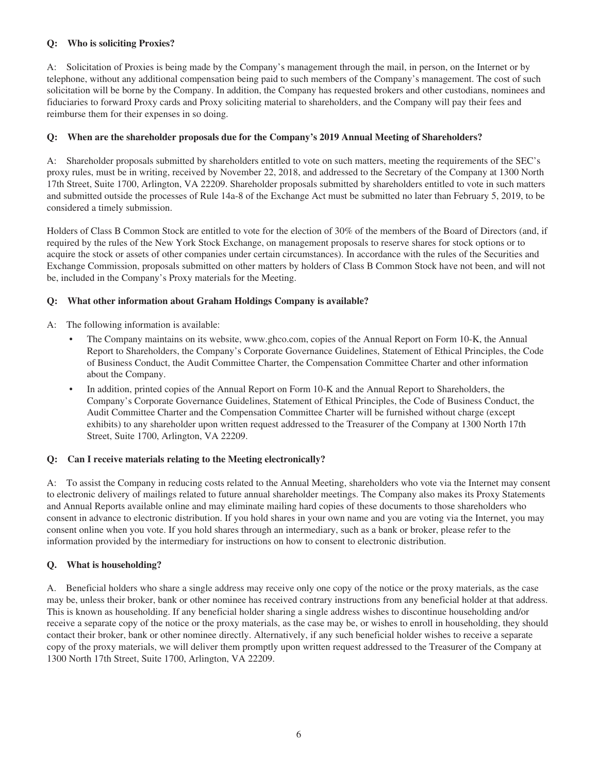# **Q: Who is soliciting Proxies?**

A: Solicitation of Proxies is being made by the Company's management through the mail, in person, on the Internet or by telephone, without any additional compensation being paid to such members of the Company's management. The cost of such solicitation will be borne by the Company. In addition, the Company has requested brokers and other custodians, nominees and fiduciaries to forward Proxy cards and Proxy soliciting material to shareholders, and the Company will pay their fees and reimburse them for their expenses in so doing.

# **Q: When are the shareholder proposals due for the Company's 2019 Annual Meeting of Shareholders?**

A: Shareholder proposals submitted by shareholders entitled to vote on such matters, meeting the requirements of the SEC's proxy rules, must be in writing, received by November 22, 2018, and addressed to the Secretary of the Company at 1300 North 17th Street, Suite 1700, Arlington, VA 22209. Shareholder proposals submitted by shareholders entitled to vote in such matters and submitted outside the processes of Rule 14a-8 of the Exchange Act must be submitted no later than February 5, 2019, to be considered a timely submission.

Holders of Class B Common Stock are entitled to vote for the election of 30% of the members of the Board of Directors (and, if required by the rules of the New York Stock Exchange, on management proposals to reserve shares for stock options or to acquire the stock or assets of other companies under certain circumstances). In accordance with the rules of the Securities and Exchange Commission, proposals submitted on other matters by holders of Class B Common Stock have not been, and will not be, included in the Company's Proxy materials for the Meeting.

# **Q: What other information about Graham Holdings Company is available?**

A: The following information is available:

- The Company maintains on its website, www.ghco.com, copies of the Annual Report on Form 10-K, the Annual Report to Shareholders, the Company's Corporate Governance Guidelines, Statement of Ethical Principles, the Code of Business Conduct, the Audit Committee Charter, the Compensation Committee Charter and other information about the Company.
- In addition, printed copies of the Annual Report on Form 10-K and the Annual Report to Shareholders, the Company's Corporate Governance Guidelines, Statement of Ethical Principles, the Code of Business Conduct, the Audit Committee Charter and the Compensation Committee Charter will be furnished without charge (except exhibits) to any shareholder upon written request addressed to the Treasurer of the Company at 1300 North 17th Street, Suite 1700, Arlington, VA 22209.

# **Q: Can I receive materials relating to the Meeting electronically?**

A: To assist the Company in reducing costs related to the Annual Meeting, shareholders who vote via the Internet may consent to electronic delivery of mailings related to future annual shareholder meetings. The Company also makes its Proxy Statements and Annual Reports available online and may eliminate mailing hard copies of these documents to those shareholders who consent in advance to electronic distribution. If you hold shares in your own name and you are voting via the Internet, you may consent online when you vote. If you hold shares through an intermediary, such as a bank or broker, please refer to the information provided by the intermediary for instructions on how to consent to electronic distribution.

# **Q. What is householding?**

A. Beneficial holders who share a single address may receive only one copy of the notice or the proxy materials, as the case may be, unless their broker, bank or other nominee has received contrary instructions from any beneficial holder at that address. This is known as householding. If any beneficial holder sharing a single address wishes to discontinue householding and/or receive a separate copy of the notice or the proxy materials, as the case may be, or wishes to enroll in householding, they should contact their broker, bank or other nominee directly. Alternatively, if any such beneficial holder wishes to receive a separate copy of the proxy materials, we will deliver them promptly upon written request addressed to the Treasurer of the Company at 1300 North 17th Street, Suite 1700, Arlington, VA 22209.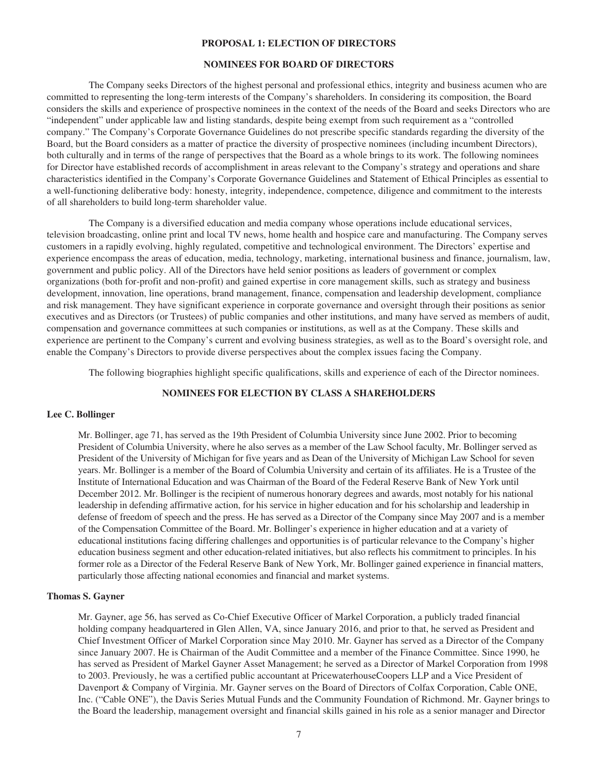#### **PROPOSAL 1: ELECTION OF DIRECTORS**

# **NOMINEES FOR BOARD OF DIRECTORS**

The Company seeks Directors of the highest personal and professional ethics, integrity and business acumen who are committed to representing the long-term interests of the Company's shareholders. In considering its composition, the Board considers the skills and experience of prospective nominees in the context of the needs of the Board and seeks Directors who are "independent" under applicable law and listing standards, despite being exempt from such requirement as a "controlled company." The Company's Corporate Governance Guidelines do not prescribe specific standards regarding the diversity of the Board, but the Board considers as a matter of practice the diversity of prospective nominees (including incumbent Directors), both culturally and in terms of the range of perspectives that the Board as a whole brings to its work. The following nominees for Director have established records of accomplishment in areas relevant to the Company's strategy and operations and share characteristics identified in the Company's Corporate Governance Guidelines and Statement of Ethical Principles as essential to a well-functioning deliberative body: honesty, integrity, independence, competence, diligence and commitment to the interests of all shareholders to build long-term shareholder value.

The Company is a diversified education and media company whose operations include educational services, television broadcasting, online print and local TV news, home health and hospice care and manufacturing. The Company serves customers in a rapidly evolving, highly regulated, competitive and technological environment. The Directors' expertise and experience encompass the areas of education, media, technology, marketing, international business and finance, journalism, law, government and public policy. All of the Directors have held senior positions as leaders of government or complex organizations (both for-profit and non-profit) and gained expertise in core management skills, such as strategy and business development, innovation, line operations, brand management, finance, compensation and leadership development, compliance and risk management. They have significant experience in corporate governance and oversight through their positions as senior executives and as Directors (or Trustees) of public companies and other institutions, and many have served as members of audit, compensation and governance committees at such companies or institutions, as well as at the Company. These skills and experience are pertinent to the Company's current and evolving business strategies, as well as to the Board's oversight role, and enable the Company's Directors to provide diverse perspectives about the complex issues facing the Company.

The following biographies highlight specific qualifications, skills and experience of each of the Director nominees.

# **NOMINEES FOR ELECTION BY CLASS A SHAREHOLDERS**

#### **Lee C. Bollinger**

Mr. Bollinger, age 71, has served as the 19th President of Columbia University since June 2002. Prior to becoming President of Columbia University, where he also serves as a member of the Law School faculty, Mr. Bollinger served as President of the University of Michigan for five years and as Dean of the University of Michigan Law School for seven years. Mr. Bollinger is a member of the Board of Columbia University and certain of its affiliates. He is a Trustee of the Institute of International Education and was Chairman of the Board of the Federal Reserve Bank of New York until December 2012. Mr. Bollinger is the recipient of numerous honorary degrees and awards, most notably for his national leadership in defending affirmative action, for his service in higher education and for his scholarship and leadership in defense of freedom of speech and the press. He has served as a Director of the Company since May 2007 and is a member of the Compensation Committee of the Board. Mr. Bollinger's experience in higher education and at a variety of educational institutions facing differing challenges and opportunities is of particular relevance to the Company's higher education business segment and other education-related initiatives, but also reflects his commitment to principles. In his former role as a Director of the Federal Reserve Bank of New York, Mr. Bollinger gained experience in financial matters, particularly those affecting national economies and financial and market systems.

#### **Thomas S. Gayner**

Mr. Gayner, age 56, has served as Co-Chief Executive Officer of Markel Corporation, a publicly traded financial holding company headquartered in Glen Allen, VA, since January 2016, and prior to that, he served as President and Chief Investment Officer of Markel Corporation since May 2010. Mr. Gayner has served as a Director of the Company since January 2007. He is Chairman of the Audit Committee and a member of the Finance Committee. Since 1990, he has served as President of Markel Gayner Asset Management; he served as a Director of Markel Corporation from 1998 to 2003. Previously, he was a certified public accountant at PricewaterhouseCoopers LLP and a Vice President of Davenport & Company of Virginia. Mr. Gayner serves on the Board of Directors of Colfax Corporation, Cable ONE, Inc. ("Cable ONE"), the Davis Series Mutual Funds and the Community Foundation of Richmond. Mr. Gayner brings to the Board the leadership, management oversight and financial skills gained in his role as a senior manager and Director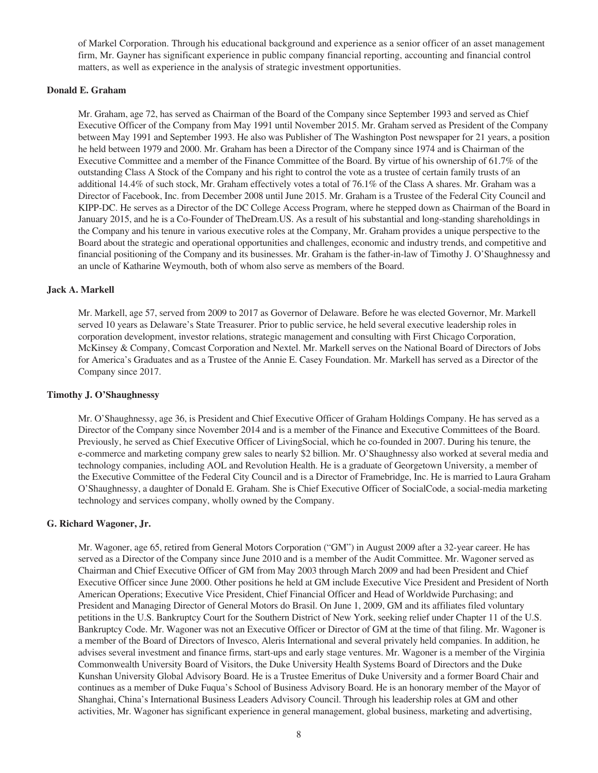of Markel Corporation. Through his educational background and experience as a senior officer of an asset management firm, Mr. Gayner has significant experience in public company financial reporting, accounting and financial control matters, as well as experience in the analysis of strategic investment opportunities.

# **Donald E. Graham**

Mr. Graham, age 72, has served as Chairman of the Board of the Company since September 1993 and served as Chief Executive Officer of the Company from May 1991 until November 2015. Mr. Graham served as President of the Company between May 1991 and September 1993. He also was Publisher of The Washington Post newspaper for 21 years, a position he held between 1979 and 2000. Mr. Graham has been a Director of the Company since 1974 and is Chairman of the Executive Committee and a member of the Finance Committee of the Board. By virtue of his ownership of 61.7% of the outstanding Class A Stock of the Company and his right to control the vote as a trustee of certain family trusts of an additional 14.4% of such stock, Mr. Graham effectively votes a total of 76.1% of the Class A shares. Mr. Graham was a Director of Facebook, Inc. from December 2008 until June 2015. Mr. Graham is a Trustee of the Federal City Council and KIPP-DC. He serves as a Director of the DC College Access Program, where he stepped down as Chairman of the Board in January 2015, and he is a Co-Founder of TheDream.US. As a result of his substantial and long-standing shareholdings in the Company and his tenure in various executive roles at the Company, Mr. Graham provides a unique perspective to the Board about the strategic and operational opportunities and challenges, economic and industry trends, and competitive and financial positioning of the Company and its businesses. Mr. Graham is the father-in-law of Timothy J. O'Shaughnessy and an uncle of Katharine Weymouth, both of whom also serve as members of the Board.

# **Jack A. Markell**

Mr. Markell, age 57, served from 2009 to 2017 as Governor of Delaware. Before he was elected Governor, Mr. Markell served 10 years as Delaware's State Treasurer. Prior to public service, he held several executive leadership roles in corporation development, investor relations, strategic management and consulting with First Chicago Corporation, McKinsey & Company, Comcast Corporation and Nextel. Mr. Markell serves on the National Board of Directors of Jobs for America's Graduates and as a Trustee of the Annie E. Casey Foundation. Mr. Markell has served as a Director of the Company since 2017.

#### **Timothy J. O'Shaughnessy**

Mr. O'Shaughnessy, age 36, is President and Chief Executive Officer of Graham Holdings Company. He has served as a Director of the Company since November 2014 and is a member of the Finance and Executive Committees of the Board. Previously, he served as Chief Executive Officer of LivingSocial, which he co-founded in 2007. During his tenure, the e-commerce and marketing company grew sales to nearly \$2 billion. Mr. O'Shaughnessy also worked at several media and technology companies, including AOL and Revolution Health. He is a graduate of Georgetown University, a member of the Executive Committee of the Federal City Council and is a Director of Framebridge, Inc. He is married to Laura Graham O'Shaughnessy, a daughter of Donald E. Graham. She is Chief Executive Officer of SocialCode, a social-media marketing technology and services company, wholly owned by the Company.

#### **G. Richard Wagoner, Jr.**

Mr. Wagoner, age 65, retired from General Motors Corporation ("GM") in August 2009 after a 32-year career. He has served as a Director of the Company since June 2010 and is a member of the Audit Committee. Mr. Wagoner served as Chairman and Chief Executive Officer of GM from May 2003 through March 2009 and had been President and Chief Executive Officer since June 2000. Other positions he held at GM include Executive Vice President and President of North American Operations; Executive Vice President, Chief Financial Officer and Head of Worldwide Purchasing; and President and Managing Director of General Motors do Brasil. On June 1, 2009, GM and its affiliates filed voluntary petitions in the U.S. Bankruptcy Court for the Southern District of New York, seeking relief under Chapter 11 of the U.S. Bankruptcy Code. Mr. Wagoner was not an Executive Officer or Director of GM at the time of that filing. Mr. Wagoner is a member of the Board of Directors of Invesco, Aleris International and several privately held companies. In addition, he advises several investment and finance firms, start-ups and early stage ventures. Mr. Wagoner is a member of the Virginia Commonwealth University Board of Visitors, the Duke University Health Systems Board of Directors and the Duke Kunshan University Global Advisory Board. He is a Trustee Emeritus of Duke University and a former Board Chair and continues as a member of Duke Fuqua's School of Business Advisory Board. He is an honorary member of the Mayor of Shanghai, China's International Business Leaders Advisory Council. Through his leadership roles at GM and other activities, Mr. Wagoner has significant experience in general management, global business, marketing and advertising,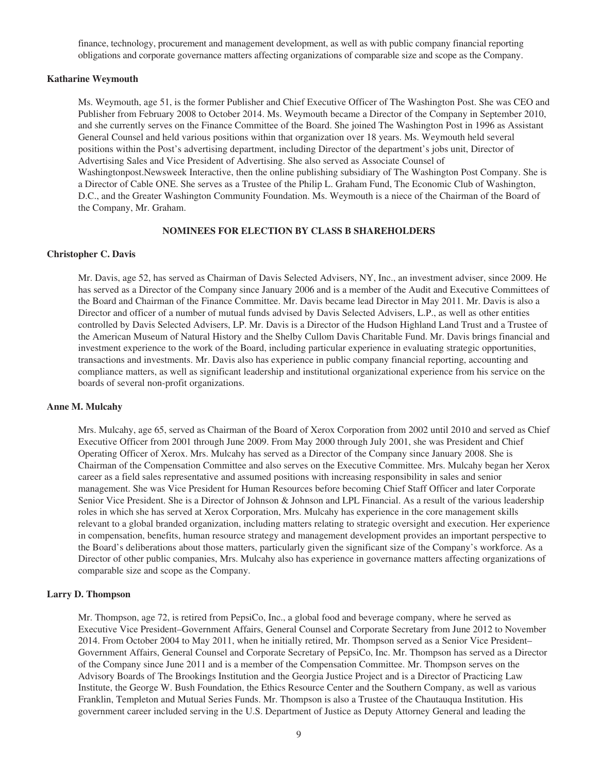finance, technology, procurement and management development, as well as with public company financial reporting obligations and corporate governance matters affecting organizations of comparable size and scope as the Company.

# **Katharine Weymouth**

Ms. Weymouth, age 51, is the former Publisher and Chief Executive Officer of The Washington Post. She was CEO and Publisher from February 2008 to October 2014. Ms. Weymouth became a Director of the Company in September 2010, and she currently serves on the Finance Committee of the Board. She joined The Washington Post in 1996 as Assistant General Counsel and held various positions within that organization over 18 years. Ms. Weymouth held several positions within the Post's advertising department, including Director of the department's jobs unit, Director of Advertising Sales and Vice President of Advertising. She also served as Associate Counsel of Washingtonpost.Newsweek Interactive, then the online publishing subsidiary of The Washington Post Company. She is a Director of Cable ONE. She serves as a Trustee of the Philip L. Graham Fund, The Economic Club of Washington, D.C., and the Greater Washington Community Foundation. Ms. Weymouth is a niece of the Chairman of the Board of the Company, Mr. Graham.

# **NOMINEES FOR ELECTION BY CLASS B SHAREHOLDERS**

#### **Christopher C. Davis**

Mr. Davis, age 52, has served as Chairman of Davis Selected Advisers, NY, Inc., an investment adviser, since 2009. He has served as a Director of the Company since January 2006 and is a member of the Audit and Executive Committees of the Board and Chairman of the Finance Committee. Mr. Davis became lead Director in May 2011. Mr. Davis is also a Director and officer of a number of mutual funds advised by Davis Selected Advisers, L.P., as well as other entities controlled by Davis Selected Advisers, LP. Mr. Davis is a Director of the Hudson Highland Land Trust and a Trustee of the American Museum of Natural History and the Shelby Cullom Davis Charitable Fund. Mr. Davis brings financial and investment experience to the work of the Board, including particular experience in evaluating strategic opportunities, transactions and investments. Mr. Davis also has experience in public company financial reporting, accounting and compliance matters, as well as significant leadership and institutional organizational experience from his service on the boards of several non-profit organizations.

#### **Anne M. Mulcahy**

Mrs. Mulcahy, age 65, served as Chairman of the Board of Xerox Corporation from 2002 until 2010 and served as Chief Executive Officer from 2001 through June 2009. From May 2000 through July 2001, she was President and Chief Operating Officer of Xerox. Mrs. Mulcahy has served as a Director of the Company since January 2008. She is Chairman of the Compensation Committee and also serves on the Executive Committee. Mrs. Mulcahy began her Xerox career as a field sales representative and assumed positions with increasing responsibility in sales and senior management. She was Vice President for Human Resources before becoming Chief Staff Officer and later Corporate Senior Vice President. She is a Director of Johnson & Johnson and LPL Financial. As a result of the various leadership roles in which she has served at Xerox Corporation, Mrs. Mulcahy has experience in the core management skills relevant to a global branded organization, including matters relating to strategic oversight and execution. Her experience in compensation, benefits, human resource strategy and management development provides an important perspective to the Board's deliberations about those matters, particularly given the significant size of the Company's workforce. As a Director of other public companies, Mrs. Mulcahy also has experience in governance matters affecting organizations of comparable size and scope as the Company.

#### **Larry D. Thompson**

Mr. Thompson, age 72, is retired from PepsiCo, Inc., a global food and beverage company, where he served as Executive Vice President–Government Affairs, General Counsel and Corporate Secretary from June 2012 to November 2014. From October 2004 to May 2011, when he initially retired, Mr. Thompson served as a Senior Vice President– Government Affairs, General Counsel and Corporate Secretary of PepsiCo, Inc. Mr. Thompson has served as a Director of the Company since June 2011 and is a member of the Compensation Committee. Mr. Thompson serves on the Advisory Boards of The Brookings Institution and the Georgia Justice Project and is a Director of Practicing Law Institute, the George W. Bush Foundation, the Ethics Resource Center and the Southern Company, as well as various Franklin, Templeton and Mutual Series Funds. Mr. Thompson is also a Trustee of the Chautauqua Institution. His government career included serving in the U.S. Department of Justice as Deputy Attorney General and leading the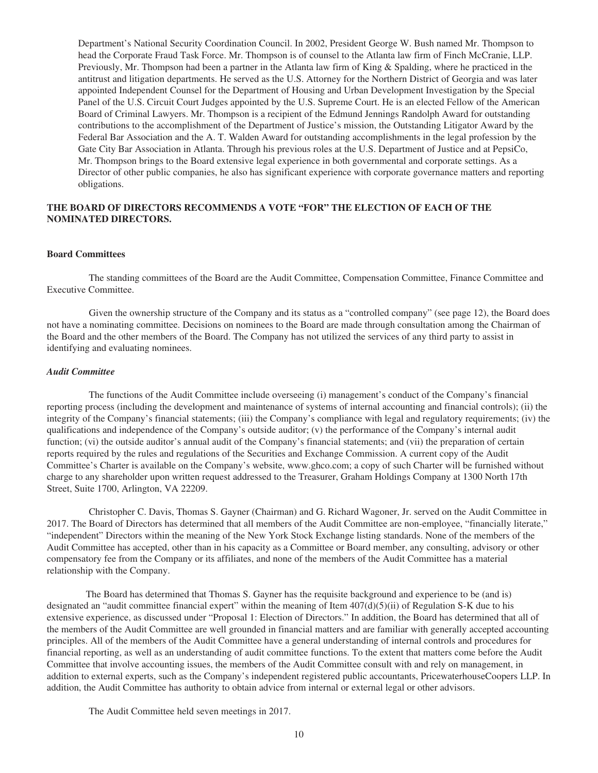Department's National Security Coordination Council. In 2002, President George W. Bush named Mr. Thompson to head the Corporate Fraud Task Force. Mr. Thompson is of counsel to the Atlanta law firm of Finch McCranie, LLP. Previously, Mr. Thompson had been a partner in the Atlanta law firm of King & Spalding, where he practiced in the antitrust and litigation departments. He served as the U.S. Attorney for the Northern District of Georgia and was later appointed Independent Counsel for the Department of Housing and Urban Development Investigation by the Special Panel of the U.S. Circuit Court Judges appointed by the U.S. Supreme Court. He is an elected Fellow of the American Board of Criminal Lawyers. Mr. Thompson is a recipient of the Edmund Jennings Randolph Award for outstanding contributions to the accomplishment of the Department of Justice's mission, the Outstanding Litigator Award by the Federal Bar Association and the A. T. Walden Award for outstanding accomplishments in the legal profession by the Gate City Bar Association in Atlanta. Through his previous roles at the U.S. Department of Justice and at PepsiCo, Mr. Thompson brings to the Board extensive legal experience in both governmental and corporate settings. As a Director of other public companies, he also has significant experience with corporate governance matters and reporting obligations.

# **THE BOARD OF DIRECTORS RECOMMENDS A VOTE "FOR" THE ELECTION OF EACH OF THE NOMINATED DIRECTORS.**

#### **Board Committees**

The standing committees of the Board are the Audit Committee, Compensation Committee, Finance Committee and Executive Committee.

Given the ownership structure of the Company and its status as a "controlled company" (see page 12), the Board does not have a nominating committee. Decisions on nominees to the Board are made through consultation among the Chairman of the Board and the other members of the Board. The Company has not utilized the services of any third party to assist in identifying and evaluating nominees.

## *Audit Committee*

The functions of the Audit Committee include overseeing (i) management's conduct of the Company's financial reporting process (including the development and maintenance of systems of internal accounting and financial controls); (ii) the integrity of the Company's financial statements; (iii) the Company's compliance with legal and regulatory requirements; (iv) the qualifications and independence of the Company's outside auditor; (v) the performance of the Company's internal audit function; (vi) the outside auditor's annual audit of the Company's financial statements; and (vii) the preparation of certain reports required by the rules and regulations of the Securities and Exchange Commission. A current copy of the Audit Committee's Charter is available on the Company's website, www.ghco.com; a copy of such Charter will be furnished without charge to any shareholder upon written request addressed to the Treasurer, Graham Holdings Company at 1300 North 17th Street, Suite 1700, Arlington, VA 22209.

Christopher C. Davis, Thomas S. Gayner (Chairman) and G. Richard Wagoner, Jr. served on the Audit Committee in 2017. The Board of Directors has determined that all members of the Audit Committee are non-employee, "financially literate," "independent" Directors within the meaning of the New York Stock Exchange listing standards. None of the members of the Audit Committee has accepted, other than in his capacity as a Committee or Board member, any consulting, advisory or other compensatory fee from the Company or its affiliates, and none of the members of the Audit Committee has a material relationship with the Company.

The Board has determined that Thomas S. Gayner has the requisite background and experience to be (and is) designated an "audit committee financial expert" within the meaning of Item 407(d)(5)(ii) of Regulation S-K due to his extensive experience, as discussed under "Proposal 1: Election of Directors." In addition, the Board has determined that all of the members of the Audit Committee are well grounded in financial matters and are familiar with generally accepted accounting principles. All of the members of the Audit Committee have a general understanding of internal controls and procedures for financial reporting, as well as an understanding of audit committee functions. To the extent that matters come before the Audit Committee that involve accounting issues, the members of the Audit Committee consult with and rely on management, in addition to external experts, such as the Company's independent registered public accountants, PricewaterhouseCoopers LLP. In addition, the Audit Committee has authority to obtain advice from internal or external legal or other advisors.

The Audit Committee held seven meetings in 2017.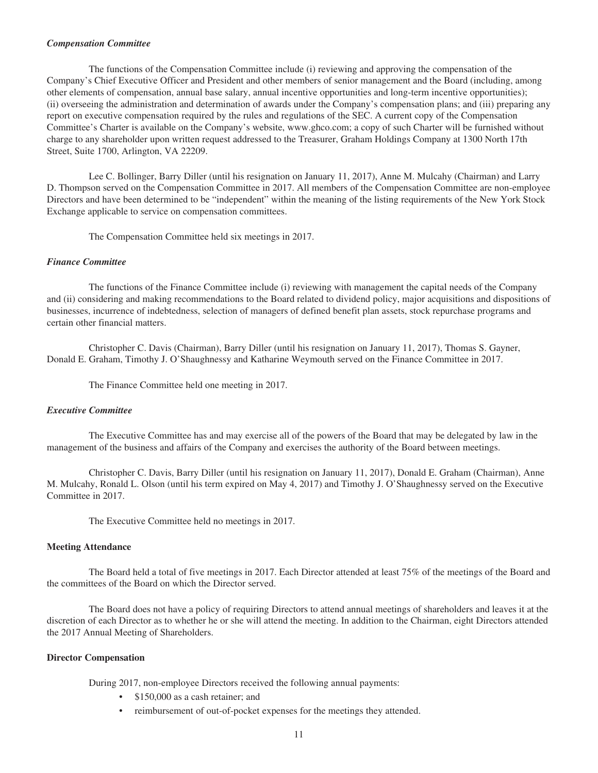#### *Compensation Committee*

The functions of the Compensation Committee include (i) reviewing and approving the compensation of the Company's Chief Executive Officer and President and other members of senior management and the Board (including, among other elements of compensation, annual base salary, annual incentive opportunities and long-term incentive opportunities); (ii) overseeing the administration and determination of awards under the Company's compensation plans; and (iii) preparing any report on executive compensation required by the rules and regulations of the SEC. A current copy of the Compensation Committee's Charter is available on the Company's website, www.ghco.com; a copy of such Charter will be furnished without charge to any shareholder upon written request addressed to the Treasurer, Graham Holdings Company at 1300 North 17th Street, Suite 1700, Arlington, VA 22209.

Lee C. Bollinger, Barry Diller (until his resignation on January 11, 2017), Anne M. Mulcahy (Chairman) and Larry D. Thompson served on the Compensation Committee in 2017. All members of the Compensation Committee are non-employee Directors and have been determined to be "independent" within the meaning of the listing requirements of the New York Stock Exchange applicable to service on compensation committees.

The Compensation Committee held six meetings in 2017.

#### *Finance Committee*

The functions of the Finance Committee include (i) reviewing with management the capital needs of the Company and (ii) considering and making recommendations to the Board related to dividend policy, major acquisitions and dispositions of businesses, incurrence of indebtedness, selection of managers of defined benefit plan assets, stock repurchase programs and certain other financial matters.

Christopher C. Davis (Chairman), Barry Diller (until his resignation on January 11, 2017), Thomas S. Gayner, Donald E. Graham, Timothy J. O'Shaughnessy and Katharine Weymouth served on the Finance Committee in 2017.

The Finance Committee held one meeting in 2017.

## *Executive Committee*

The Executive Committee has and may exercise all of the powers of the Board that may be delegated by law in the management of the business and affairs of the Company and exercises the authority of the Board between meetings.

Christopher C. Davis, Barry Diller (until his resignation on January 11, 2017), Donald E. Graham (Chairman), Anne M. Mulcahy, Ronald L. Olson (until his term expired on May 4, 2017) and Timothy J. O'Shaughnessy served on the Executive Committee in 2017.

The Executive Committee held no meetings in 2017.

# **Meeting Attendance**

The Board held a total of five meetings in 2017. Each Director attended at least 75% of the meetings of the Board and the committees of the Board on which the Director served.

The Board does not have a policy of requiring Directors to attend annual meetings of shareholders and leaves it at the discretion of each Director as to whether he or she will attend the meeting. In addition to the Chairman, eight Directors attended the 2017 Annual Meeting of Shareholders.

#### **Director Compensation**

During 2017, non-employee Directors received the following annual payments:

- \$150,000 as a cash retainer; and
- reimbursement of out-of-pocket expenses for the meetings they attended.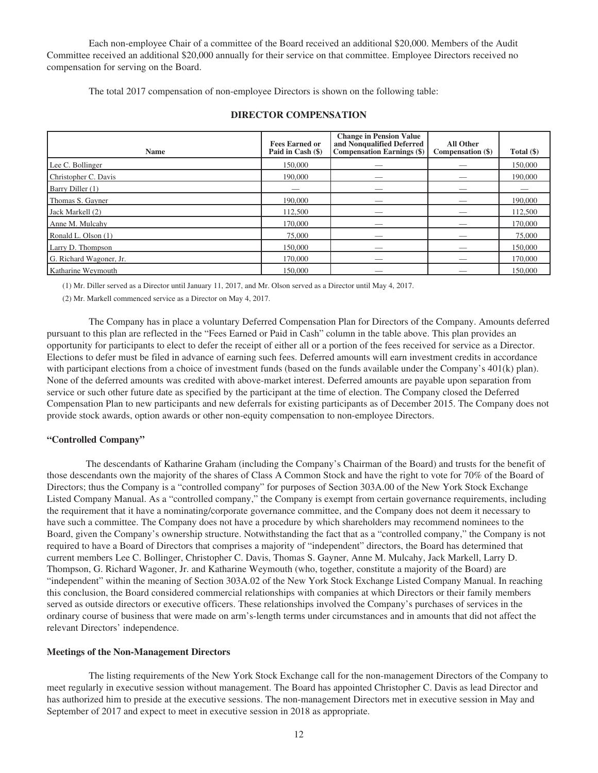Each non-employee Chair of a committee of the Board received an additional \$20,000. Members of the Audit Committee received an additional \$20,000 annually for their service on that committee. Employee Directors received no compensation for serving on the Board.

The total 2017 compensation of non-employee Directors is shown on the following table:

| <b>Name</b>             | <b>Fees Earned or</b><br>Paid in Cash (\$) | <b>Change in Pension Value</b><br>and Nonqualified Deferred<br><b>Compensation Earnings (\$)</b> | <b>All Other</b><br>Compensation (\$) | Total (\$) |
|-------------------------|--------------------------------------------|--------------------------------------------------------------------------------------------------|---------------------------------------|------------|
| Lee C. Bollinger        | 150,000                                    |                                                                                                  |                                       | 150,000    |
| Christopher C. Davis    | 190,000                                    |                                                                                                  |                                       | 190,000    |
| Barry Diller (1)        |                                            |                                                                                                  |                                       |            |
| Thomas S. Gayner        | 190,000                                    |                                                                                                  |                                       | 190,000    |
| Jack Markell (2)        | 112,500                                    |                                                                                                  |                                       | 112,500    |
| Anne M. Mulcahy         | 170,000                                    |                                                                                                  |                                       | 170,000    |
| Ronald L. Olson (1)     | 75,000                                     |                                                                                                  |                                       | 75,000     |
| Larry D. Thompson       | 150,000                                    |                                                                                                  |                                       | 150,000    |
| G. Richard Wagoner, Jr. | 170,000                                    |                                                                                                  |                                       | 170,000    |
| Katharine Weymouth      | 150,000                                    |                                                                                                  |                                       | 150,000    |

# **DIRECTOR COMPENSATION**

(1) Mr. Diller served as a Director until January 11, 2017, and Mr. Olson served as a Director until May 4, 2017.

(2) Mr. Markell commenced service as a Director on May 4, 2017.

The Company has in place a voluntary Deferred Compensation Plan for Directors of the Company. Amounts deferred pursuant to this plan are reflected in the "Fees Earned or Paid in Cash" column in the table above. This plan provides an opportunity for participants to elect to defer the receipt of either all or a portion of the fees received for service as a Director. Elections to defer must be filed in advance of earning such fees. Deferred amounts will earn investment credits in accordance with participant elections from a choice of investment funds (based on the funds available under the Company's 401(k) plan). None of the deferred amounts was credited with above-market interest. Deferred amounts are payable upon separation from service or such other future date as specified by the participant at the time of election. The Company closed the Deferred Compensation Plan to new participants and new deferrals for existing participants as of December 2015. The Company does not provide stock awards, option awards or other non-equity compensation to non-employee Directors.

# **"Controlled Company"**

The descendants of Katharine Graham (including the Company's Chairman of the Board) and trusts for the benefit of those descendants own the majority of the shares of Class A Common Stock and have the right to vote for 70% of the Board of Directors; thus the Company is a "controlled company" for purposes of Section 303A.00 of the New York Stock Exchange Listed Company Manual. As a "controlled company," the Company is exempt from certain governance requirements, including the requirement that it have a nominating/corporate governance committee, and the Company does not deem it necessary to have such a committee. The Company does not have a procedure by which shareholders may recommend nominees to the Board, given the Company's ownership structure. Notwithstanding the fact that as a "controlled company," the Company is not required to have a Board of Directors that comprises a majority of "independent" directors, the Board has determined that current members Lee C. Bollinger, Christopher C. Davis, Thomas S. Gayner, Anne M. Mulcahy, Jack Markell, Larry D. Thompson, G. Richard Wagoner, Jr. and Katharine Weymouth (who, together, constitute a majority of the Board) are "independent" within the meaning of Section 303A.02 of the New York Stock Exchange Listed Company Manual. In reaching this conclusion, the Board considered commercial relationships with companies at which Directors or their family members served as outside directors or executive officers. These relationships involved the Company's purchases of services in the ordinary course of business that were made on arm's-length terms under circumstances and in amounts that did not affect the relevant Directors' independence.

#### **Meetings of the Non-Management Directors**

The listing requirements of the New York Stock Exchange call for the non-management Directors of the Company to meet regularly in executive session without management. The Board has appointed Christopher C. Davis as lead Director and has authorized him to preside at the executive sessions. The non-management Directors met in executive session in May and September of 2017 and expect to meet in executive session in 2018 as appropriate.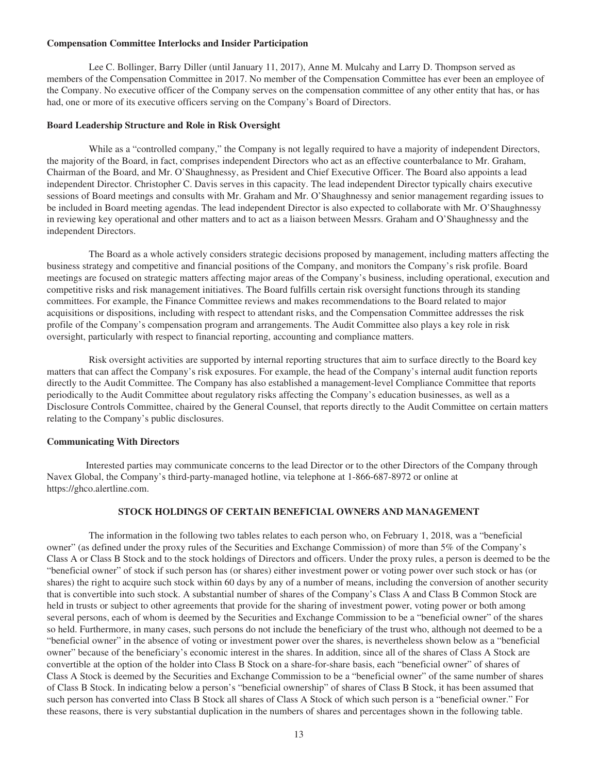#### **Compensation Committee Interlocks and Insider Participation**

Lee C. Bollinger, Barry Diller (until January 11, 2017), Anne M. Mulcahy and Larry D. Thompson served as members of the Compensation Committee in 2017. No member of the Compensation Committee has ever been an employee of the Company. No executive officer of the Company serves on the compensation committee of any other entity that has, or has had, one or more of its executive officers serving on the Company's Board of Directors.

#### **Board Leadership Structure and Role in Risk Oversight**

While as a "controlled company," the Company is not legally required to have a majority of independent Directors, the majority of the Board, in fact, comprises independent Directors who act as an effective counterbalance to Mr. Graham, Chairman of the Board, and Mr. O'Shaughnessy, as President and Chief Executive Officer. The Board also appoints a lead independent Director. Christopher C. Davis serves in this capacity. The lead independent Director typically chairs executive sessions of Board meetings and consults with Mr. Graham and Mr. O'Shaughnessy and senior management regarding issues to be included in Board meeting agendas. The lead independent Director is also expected to collaborate with Mr. O'Shaughnessy in reviewing key operational and other matters and to act as a liaison between Messrs. Graham and O'Shaughnessy and the independent Directors.

The Board as a whole actively considers strategic decisions proposed by management, including matters affecting the business strategy and competitive and financial positions of the Company, and monitors the Company's risk profile. Board meetings are focused on strategic matters affecting major areas of the Company's business, including operational, execution and competitive risks and risk management initiatives. The Board fulfills certain risk oversight functions through its standing committees. For example, the Finance Committee reviews and makes recommendations to the Board related to major acquisitions or dispositions, including with respect to attendant risks, and the Compensation Committee addresses the risk profile of the Company's compensation program and arrangements. The Audit Committee also plays a key role in risk oversight, particularly with respect to financial reporting, accounting and compliance matters.

Risk oversight activities are supported by internal reporting structures that aim to surface directly to the Board key matters that can affect the Company's risk exposures. For example, the head of the Company's internal audit function reports directly to the Audit Committee. The Company has also established a management-level Compliance Committee that reports periodically to the Audit Committee about regulatory risks affecting the Company's education businesses, as well as a Disclosure Controls Committee, chaired by the General Counsel, that reports directly to the Audit Committee on certain matters relating to the Company's public disclosures.

#### **Communicating With Directors**

Interested parties may communicate concerns to the lead Director or to the other Directors of the Company through Navex Global, the Company's third-party-managed hotline, via telephone at 1-866-687-8972 or online at https://ghco.alertline.com.

# **STOCK HOLDINGS OF CERTAIN BENEFICIAL OWNERS AND MANAGEMENT**

The information in the following two tables relates to each person who, on February 1, 2018, was a "beneficial owner" (as defined under the proxy rules of the Securities and Exchange Commission) of more than 5% of the Company's Class A or Class B Stock and to the stock holdings of Directors and officers. Under the proxy rules, a person is deemed to be the "beneficial owner" of stock if such person has (or shares) either investment power or voting power over such stock or has (or shares) the right to acquire such stock within 60 days by any of a number of means, including the conversion of another security that is convertible into such stock. A substantial number of shares of the Company's Class A and Class B Common Stock are held in trusts or subject to other agreements that provide for the sharing of investment power, voting power or both among several persons, each of whom is deemed by the Securities and Exchange Commission to be a "beneficial owner" of the shares so held. Furthermore, in many cases, such persons do not include the beneficiary of the trust who, although not deemed to be a "beneficial owner" in the absence of voting or investment power over the shares, is nevertheless shown below as a "beneficial owner" because of the beneficiary's economic interest in the shares. In addition, since all of the shares of Class A Stock are convertible at the option of the holder into Class B Stock on a share-for-share basis, each "beneficial owner" of shares of Class A Stock is deemed by the Securities and Exchange Commission to be a "beneficial owner" of the same number of shares of Class B Stock. In indicating below a person's "beneficial ownership" of shares of Class B Stock, it has been assumed that such person has converted into Class B Stock all shares of Class A Stock of which such person is a "beneficial owner." For these reasons, there is very substantial duplication in the numbers of shares and percentages shown in the following table.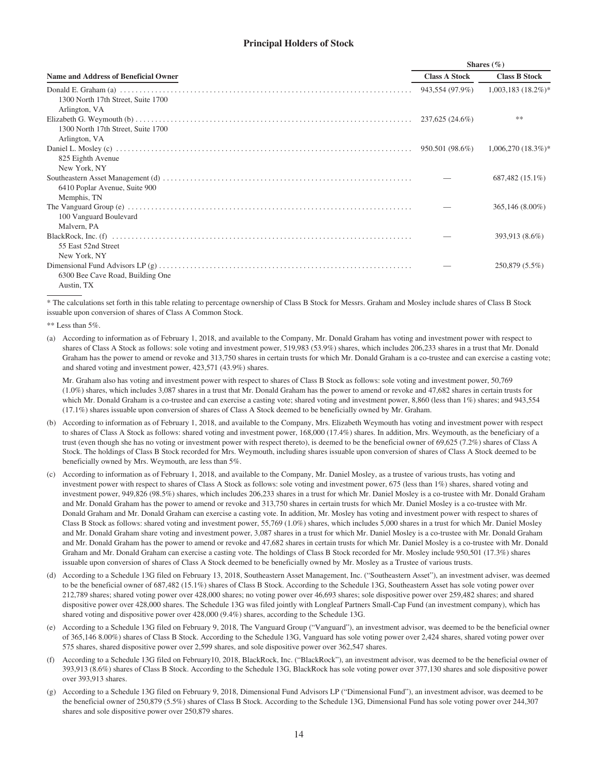# **Principal Holders of Stock**

|                                                     |                      | Shares $(\%)$        |
|-----------------------------------------------------|----------------------|----------------------|
| Name and Address of Beneficial Owner                | <b>Class A Stock</b> | <b>Class B Stock</b> |
| 1300 North 17th Street, Suite 1700                  |                      |                      |
| Arlington, VA<br>1300 North 17th Street, Suite 1700 |                      | **                   |
| Arlington, VA<br>825 Eighth Avenue                  |                      | $1,006,270(18.3\%)*$ |
| New York, NY<br>6410 Poplar Avenue, Suite 900       |                      | 687,482 (15.1%)      |
| Memphis, TN                                         |                      | 365,146 (8.00%)      |
| 100 Vanguard Boulevard<br>Malvern, PA               |                      | 393,913 (8.6%)       |
| 55 East 52nd Street<br>New York, NY                 |                      | 250,879 (5.5%)       |
| 6300 Bee Cave Road, Building One<br>Austin, TX      |                      |                      |

\* The calculations set forth in this table relating to percentage ownership of Class B Stock for Messrs. Graham and Mosley include shares of Class B Stock issuable upon conversion of shares of Class A Common Stock.

\*\* Less than 5%.

(a) According to information as of February 1, 2018, and available to the Company, Mr. Donald Graham has voting and investment power with respect to shares of Class A Stock as follows: sole voting and investment power, 519,983 (53.9%) shares, which includes 206,233 shares in a trust that Mr. Donald Graham has the power to amend or revoke and 313,750 shares in certain trusts for which Mr. Donald Graham is a co-trustee and can exercise a casting vote; and shared voting and investment power, 423,571 (43.9%) shares.

Mr. Graham also has voting and investment power with respect to shares of Class B Stock as follows: sole voting and investment power, 50,769 (1.0%) shares, which includes 3,087 shares in a trust that Mr. Donald Graham has the power to amend or revoke and 47,682 shares in certain trusts for which Mr. Donald Graham is a co-trustee and can exercise a casting vote; shared voting and investment power, 8,860 (less than 1%) shares; and 943,554 (17.1%) shares issuable upon conversion of shares of Class A Stock deemed to be beneficially owned by Mr. Graham.

- (b) According to information as of February 1, 2018, and available to the Company, Mrs. Elizabeth Weymouth has voting and investment power with respect to shares of Class A Stock as follows: shared voting and investment power, 168,000 (17.4%) shares. In addition, Mrs. Weymouth, as the beneficiary of a trust (even though she has no voting or investment power with respect thereto), is deemed to be the beneficial owner of 69,625 (7.2%) shares of Class A Stock. The holdings of Class B Stock recorded for Mrs. Weymouth, including shares issuable upon conversion of shares of Class A Stock deemed to be beneficially owned by Mrs. Weymouth, are less than 5%.
- (c) According to information as of February 1, 2018, and available to the Company, Mr. Daniel Mosley, as a trustee of various trusts, has voting and investment power with respect to shares of Class A Stock as follows: sole voting and investment power, 675 (less than 1%) shares, shared voting and investment power, 949,826 (98.5%) shares, which includes 206,233 shares in a trust for which Mr. Daniel Mosley is a co-trustee with Mr. Donald Graham and Mr. Donald Graham has the power to amend or revoke and 313,750 shares in certain trusts for which Mr. Daniel Mosley is a co-trustee with Mr. Donald Graham and Mr. Donald Graham can exercise a casting vote. In addition, Mr. Mosley has voting and investment power with respect to shares of Class B Stock as follows: shared voting and investment power, 55,769 (1.0%) shares, which includes 5,000 shares in a trust for which Mr. Daniel Mosley and Mr. Donald Graham share voting and investment power, 3,087 shares in a trust for which Mr. Daniel Mosley is a co-trustee with Mr. Donald Graham and Mr. Donald Graham has the power to amend or revoke and 47,682 shares in certain trusts for which Mr. Daniel Mosley is a co-trustee with Mr. Donald Graham and Mr. Donald Graham can exercise a casting vote. The holdings of Class B Stock recorded for Mr. Mosley include 950,501 (17.3%) shares issuable upon conversion of shares of Class A Stock deemed to be beneficially owned by Mr. Mosley as a Trustee of various trusts.
- (d) According to a Schedule 13G filed on February 13, 2018, Southeastern Asset Management, Inc. ("Southeastern Asset"), an investment adviser, was deemed to be the beneficial owner of 687,482 (15.1%) shares of Class B Stock. According to the Schedule 13G, Southeastern Asset has sole voting power over 212,789 shares; shared voting power over 428,000 shares; no voting power over 46,693 shares; sole dispositive power over 259,482 shares; and shared dispositive power over 428,000 shares. The Schedule 13G was filed jointly with Longleaf Partners Small-Cap Fund (an investment company), which has shared voting and dispositive power over 428,000 (9.4%) shares, according to the Schedule 13G.
- (e) According to a Schedule 13G filed on February 9, 2018, The Vanguard Group ("Vanguard"), an investment advisor, was deemed to be the beneficial owner of 365,146 8.00%) shares of Class B Stock. According to the Schedule 13G, Vanguard has sole voting power over 2,424 shares, shared voting power over 575 shares, shared dispositive power over 2,599 shares, and sole dispositive power over 362,547 shares.
- According to a Schedule 13G filed on February10, 2018, BlackRock, Inc. ("BlackRock"), an investment advisor, was deemed to be the beneficial owner of 393,913 (8.6%) shares of Class B Stock. According to the Schedule 13G, BlackRock has sole voting power over 377,130 shares and sole dispositive power over 393,913 shares.
- (g) According to a Schedule 13G filed on February 9, 2018, Dimensional Fund Advisors LP ("Dimensional Fund"), an investment advisor, was deemed to be the beneficial owner of 250,879 (5.5%) shares of Class B Stock. According to the Schedule 13G, Dimensional Fund has sole voting power over 244,307 shares and sole dispositive power over 250,879 shares.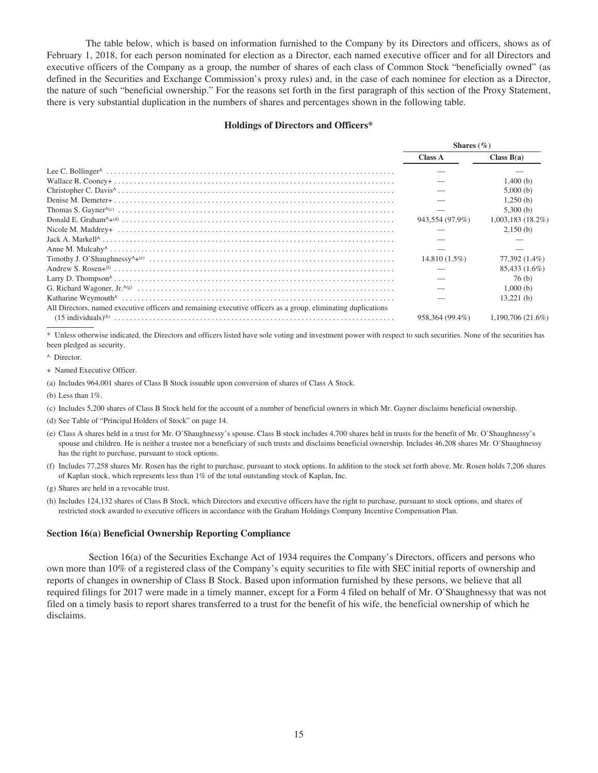The table below, which is based on information furnished to the Company by its Directors and officers, shows as of February 1, 2018, for each person nominated for election as a Director, each named executive officer and for all Directors and executive officers of the Company as a group, the number of shares of each class of Common Stock "beneficially owned" (as defined in the Securities and Exchange Commission's proxy rules) and, in the case of each nominee for election as a Director, the nature of such "beneficial ownership." For the reasons set forth in the first paragraph of this section of the Proxy Statement, there is very substantial duplication in the numbers of shares and percentages shown in the following table.

#### **Holdings of Directors and Officers\***

|                                                                                                               | Shares $(\%)$   |                     |
|---------------------------------------------------------------------------------------------------------------|-----------------|---------------------|
|                                                                                                               | Class A         | Class $B(a)$        |
|                                                                                                               |                 |                     |
|                                                                                                               |                 | 1,400(b)            |
|                                                                                                               |                 | 5,000(b)            |
|                                                                                                               |                 | 1,250(b)            |
|                                                                                                               |                 | 5,300(b)            |
|                                                                                                               | 943,554 (97.9%) | $1,003,183$ (18.2%) |
|                                                                                                               |                 | 2,150(b)            |
|                                                                                                               |                 |                     |
|                                                                                                               |                 |                     |
|                                                                                                               | $14,810(1.5\%)$ | 77,392 (1.4%)       |
|                                                                                                               |                 | 85,433 (1.6%)       |
|                                                                                                               |                 | 76(b)               |
|                                                                                                               |                 | 1,000(b)            |
|                                                                                                               |                 | 13,221(b)           |
| All Directors, named executive officers and remaining executive officers as a group, eliminating duplications |                 |                     |
|                                                                                                               | 958.364 (99.4%) | 1,190,706 (21.6%)   |

Unless otherwise indicated, the Directors and officers listed have sole voting and investment power with respect to such securities. None of the securities has been pledged as security.

^ Director.

+ Named Executive Officer.

(a) Includes 964,001 shares of Class B Stock issuable upon conversion of shares of Class A Stock.

(b) Less than 1%.

- (c) Includes 5,200 shares of Class B Stock held for the account of a number of beneficial owners in which Mr. Gayner disclaims beneficial ownership.
- (d) See Table of "Principal Holders of Stock" on page 14.
- (e) Class A shares held in a trust for Mr. O'Shaughnessy's spouse. Class B stock includes 4,700 shares held in trusts for the benefit of Mr. O'Shaughnessy's spouse and children. He is neither a trustee nor a beneficiary of such trusts and disclaims beneficial ownership. Includes 46,208 shares Mr. O'Shaughnessy has the right to purchase, pursuant to stock options.

(f) Includes 77,258 shares Mr. Rosen has the right to purchase, pursuant to stock options. In addition to the stock set forth above, Mr. Rosen holds 7,206 shares of Kaplan stock, which represents less than 1% of the total outstanding stock of Kaplan, Inc.

(g) Shares are held in a revocable trust.

(h) Includes 124,132 shares of Class B Stock, which Directors and executive officers have the right to purchase, pursuant to stock options, and shares of restricted stock awarded to executive officers in accordance with the Graham Holdings Company Incentive Compensation Plan.

#### **Section 16(a) Beneficial Ownership Reporting Compliance**

Section 16(a) of the Securities Exchange Act of 1934 requires the Company's Directors, officers and persons who own more than 10% of a registered class of the Company's equity securities to file with SEC initial reports of ownership and reports of changes in ownership of Class B Stock. Based upon information furnished by these persons, we believe that all required filings for 2017 were made in a timely manner, except for a Form 4 filed on behalf of Mr. O'Shaughnessy that was not filed on a timely basis to report shares transferred to a trust for the benefit of his wife, the beneficial ownership of which he disclaims.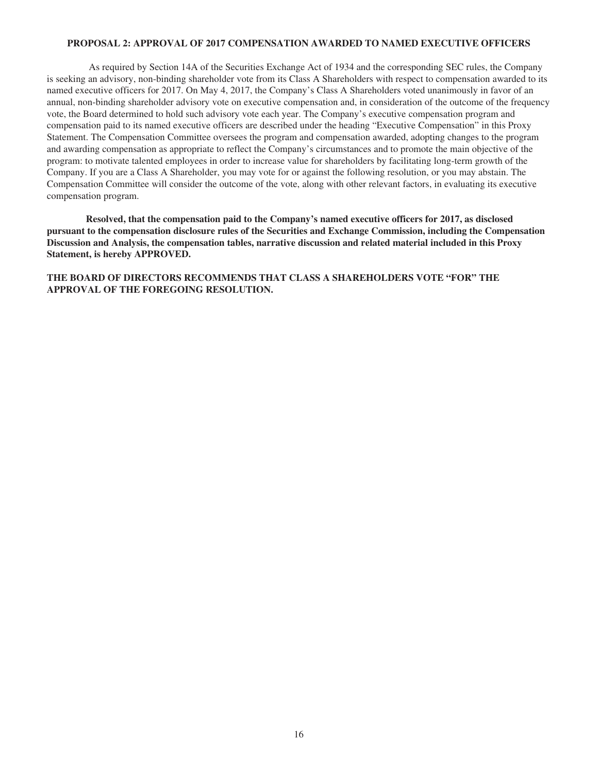# **PROPOSAL 2: APPROVAL OF 2017 COMPENSATION AWARDED TO NAMED EXECUTIVE OFFICERS**

As required by Section 14A of the Securities Exchange Act of 1934 and the corresponding SEC rules, the Company is seeking an advisory, non-binding shareholder vote from its Class A Shareholders with respect to compensation awarded to its named executive officers for 2017. On May 4, 2017, the Company's Class A Shareholders voted unanimously in favor of an annual, non-binding shareholder advisory vote on executive compensation and, in consideration of the outcome of the frequency vote, the Board determined to hold such advisory vote each year. The Company's executive compensation program and compensation paid to its named executive officers are described under the heading "Executive Compensation" in this Proxy Statement. The Compensation Committee oversees the program and compensation awarded, adopting changes to the program and awarding compensation as appropriate to reflect the Company's circumstances and to promote the main objective of the program: to motivate talented employees in order to increase value for shareholders by facilitating long-term growth of the Company. If you are a Class A Shareholder, you may vote for or against the following resolution, or you may abstain. The Compensation Committee will consider the outcome of the vote, along with other relevant factors, in evaluating its executive compensation program.

**Resolved, that the compensation paid to the Company's named executive officers for 2017, as disclosed pursuant to the compensation disclosure rules of the Securities and Exchange Commission, including the Compensation Discussion and Analysis, the compensation tables, narrative discussion and related material included in this Proxy Statement, is hereby APPROVED.**

**THE BOARD OF DIRECTORS RECOMMENDS THAT CLASS A SHAREHOLDERS VOTE "FOR" THE APPROVAL OF THE FOREGOING RESOLUTION.**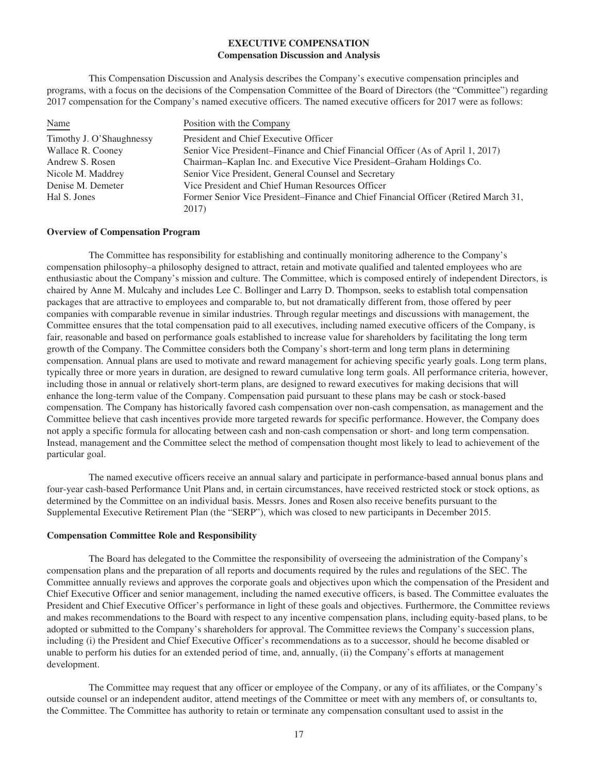# **EXECUTIVE COMPENSATION Compensation Discussion and Analysis**

This Compensation Discussion and Analysis describes the Company's executive compensation principles and programs, with a focus on the decisions of the Compensation Committee of the Board of Directors (the "Committee") regarding 2017 compensation for the Company's named executive officers. The named executive officers for 2017 were as follows:

| Name                     | Position with the Company                                                           |
|--------------------------|-------------------------------------------------------------------------------------|
| Timothy J. O'Shaughnessy | President and Chief Executive Officer                                               |
| Wallace R. Cooney        | Senior Vice President–Finance and Chief Financial Officer (As of April 1, 2017)     |
| Andrew S. Rosen          | Chairman–Kaplan Inc. and Executive Vice President–Graham Holdings Co.               |
| Nicole M. Maddrey        | Senior Vice President, General Counsel and Secretary                                |
| Denise M. Demeter        | Vice President and Chief Human Resources Officer                                    |
| Hal S. Jones             | Former Senior Vice President–Finance and Chief Financial Officer (Retired March 31, |
|                          | 2017)                                                                               |

#### **Overview of Compensation Program**

The Committee has responsibility for establishing and continually monitoring adherence to the Company's compensation philosophy–a philosophy designed to attract, retain and motivate qualified and talented employees who are enthusiastic about the Company's mission and culture. The Committee, which is composed entirely of independent Directors, is chaired by Anne M. Mulcahy and includes Lee C. Bollinger and Larry D. Thompson, seeks to establish total compensation packages that are attractive to employees and comparable to, but not dramatically different from, those offered by peer companies with comparable revenue in similar industries. Through regular meetings and discussions with management, the Committee ensures that the total compensation paid to all executives, including named executive officers of the Company, is fair, reasonable and based on performance goals established to increase value for shareholders by facilitating the long term growth of the Company. The Committee considers both the Company's short-term and long term plans in determining compensation. Annual plans are used to motivate and reward management for achieving specific yearly goals. Long term plans, typically three or more years in duration, are designed to reward cumulative long term goals. All performance criteria, however, including those in annual or relatively short-term plans, are designed to reward executives for making decisions that will enhance the long-term value of the Company. Compensation paid pursuant to these plans may be cash or stock-based compensation. The Company has historically favored cash compensation over non-cash compensation, as management and the Committee believe that cash incentives provide more targeted rewards for specific performance. However, the Company does not apply a specific formula for allocating between cash and non-cash compensation or short- and long term compensation. Instead, management and the Committee select the method of compensation thought most likely to lead to achievement of the particular goal.

The named executive officers receive an annual salary and participate in performance-based annual bonus plans and four-year cash-based Performance Unit Plans and, in certain circumstances, have received restricted stock or stock options, as determined by the Committee on an individual basis. Messrs. Jones and Rosen also receive benefits pursuant to the Supplemental Executive Retirement Plan (the "SERP"), which was closed to new participants in December 2015.

#### **Compensation Committee Role and Responsibility**

The Board has delegated to the Committee the responsibility of overseeing the administration of the Company's compensation plans and the preparation of all reports and documents required by the rules and regulations of the SEC. The Committee annually reviews and approves the corporate goals and objectives upon which the compensation of the President and Chief Executive Officer and senior management, including the named executive officers, is based. The Committee evaluates the President and Chief Executive Officer's performance in light of these goals and objectives. Furthermore, the Committee reviews and makes recommendations to the Board with respect to any incentive compensation plans, including equity-based plans, to be adopted or submitted to the Company's shareholders for approval. The Committee reviews the Company's succession plans, including (i) the President and Chief Executive Officer's recommendations as to a successor, should he become disabled or unable to perform his duties for an extended period of time, and, annually, (ii) the Company's efforts at management development.

The Committee may request that any officer or employee of the Company, or any of its affiliates, or the Company's outside counsel or an independent auditor, attend meetings of the Committee or meet with any members of, or consultants to, the Committee. The Committee has authority to retain or terminate any compensation consultant used to assist in the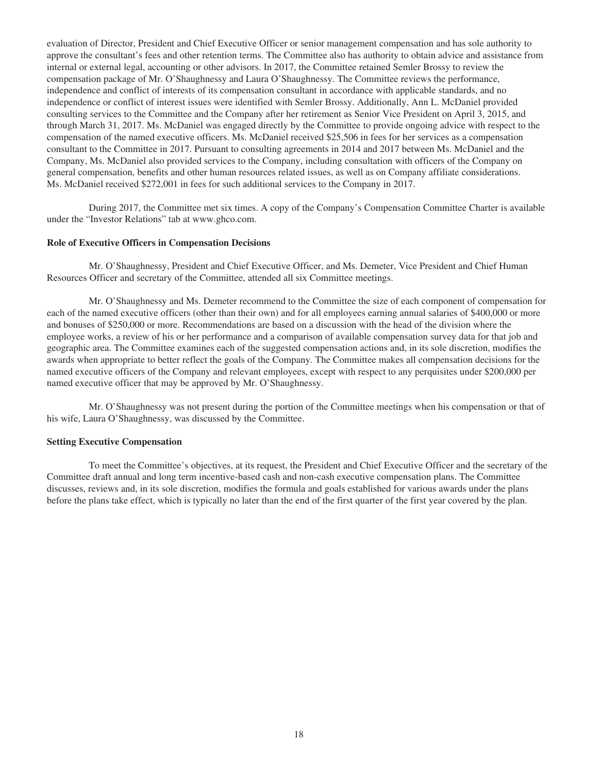evaluation of Director, President and Chief Executive Officer or senior management compensation and has sole authority to approve the consultant's fees and other retention terms. The Committee also has authority to obtain advice and assistance from internal or external legal, accounting or other advisors. In 2017, the Committee retained Semler Brossy to review the compensation package of Mr. O'Shaughnessy and Laura O'Shaughnessy. The Committee reviews the performance, independence and conflict of interests of its compensation consultant in accordance with applicable standards, and no independence or conflict of interest issues were identified with Semler Brossy. Additionally, Ann L. McDaniel provided consulting services to the Committee and the Company after her retirement as Senior Vice President on April 3, 2015, and through March 31, 2017. Ms. McDaniel was engaged directly by the Committee to provide ongoing advice with respect to the compensation of the named executive officers. Ms. McDaniel received \$25,506 in fees for her services as a compensation consultant to the Committee in 2017. Pursuant to consulting agreements in 2014 and 2017 between Ms. McDaniel and the Company, Ms. McDaniel also provided services to the Company, including consultation with officers of the Company on general compensation, benefits and other human resources related issues, as well as on Company affiliate considerations. Ms. McDaniel received \$272,001 in fees for such additional services to the Company in 2017.

During 2017, the Committee met six times. A copy of the Company's Compensation Committee Charter is available under the "Investor Relations" tab at www.ghco.com.

# **Role of Executive Officers in Compensation Decisions**

Mr. O'Shaughnessy, President and Chief Executive Officer, and Ms. Demeter, Vice President and Chief Human Resources Officer and secretary of the Committee, attended all six Committee meetings.

Mr. O'Shaughnessy and Ms. Demeter recommend to the Committee the size of each component of compensation for each of the named executive officers (other than their own) and for all employees earning annual salaries of \$400,000 or more and bonuses of \$250,000 or more. Recommendations are based on a discussion with the head of the division where the employee works, a review of his or her performance and a comparison of available compensation survey data for that job and geographic area. The Committee examines each of the suggested compensation actions and, in its sole discretion, modifies the awards when appropriate to better reflect the goals of the Company. The Committee makes all compensation decisions for the named executive officers of the Company and relevant employees, except with respect to any perquisites under \$200,000 per named executive officer that may be approved by Mr. O'Shaughnessy.

Mr. O'Shaughnessy was not present during the portion of the Committee meetings when his compensation or that of his wife, Laura O'Shaughnessy, was discussed by the Committee.

#### **Setting Executive Compensation**

To meet the Committee's objectives, at its request, the President and Chief Executive Officer and the secretary of the Committee draft annual and long term incentive-based cash and non-cash executive compensation plans. The Committee discusses, reviews and, in its sole discretion, modifies the formula and goals established for various awards under the plans before the plans take effect, which is typically no later than the end of the first quarter of the first year covered by the plan.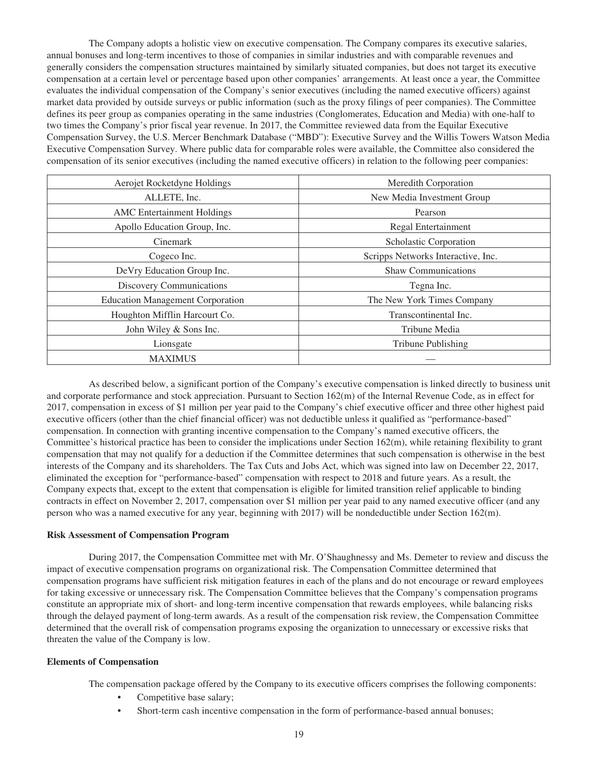The Company adopts a holistic view on executive compensation. The Company compares its executive salaries, annual bonuses and long-term incentives to those of companies in similar industries and with comparable revenues and generally considers the compensation structures maintained by similarly situated companies, but does not target its executive compensation at a certain level or percentage based upon other companies' arrangements. At least once a year, the Committee evaluates the individual compensation of the Company's senior executives (including the named executive officers) against market data provided by outside surveys or public information (such as the proxy filings of peer companies). The Committee defines its peer group as companies operating in the same industries (Conglomerates, Education and Media) with one-half to two times the Company's prior fiscal year revenue. In 2017, the Committee reviewed data from the Equilar Executive Compensation Survey, the U.S. Mercer Benchmark Database ("MBD"): Executive Survey and the Willis Towers Watson Media Executive Compensation Survey. Where public data for comparable roles were available, the Committee also considered the compensation of its senior executives (including the named executive officers) in relation to the following peer companies:

| Aerojet Rocketdyne Holdings             | Meredith Corporation               |
|-----------------------------------------|------------------------------------|
| ALLETE, Inc.                            | New Media Investment Group         |
| <b>AMC</b> Entertainment Holdings       | Pearson                            |
| Apollo Education Group, Inc.            | Regal Entertainment                |
| Cinemark                                | Scholastic Corporation             |
| Cogeco Inc.                             | Scripps Networks Interactive, Inc. |
| DeVry Education Group Inc.              | <b>Shaw Communications</b>         |
| Discovery Communications                | Tegna Inc.                         |
| <b>Education Management Corporation</b> | The New York Times Company         |
| Houghton Mifflin Harcourt Co.           | Transcontinental Inc.              |
| John Wiley & Sons Inc.                  | Tribune Media                      |
| Lionsgate                               | <b>Tribune Publishing</b>          |
| <b>MAXIMUS</b>                          |                                    |

As described below, a significant portion of the Company's executive compensation is linked directly to business unit and corporate performance and stock appreciation. Pursuant to Section 162(m) of the Internal Revenue Code, as in effect for 2017, compensation in excess of \$1 million per year paid to the Company's chief executive officer and three other highest paid executive officers (other than the chief financial officer) was not deductible unless it qualified as "performance-based" compensation. In connection with granting incentive compensation to the Company's named executive officers, the Committee's historical practice has been to consider the implications under Section 162(m), while retaining flexibility to grant compensation that may not qualify for a deduction if the Committee determines that such compensation is otherwise in the best interests of the Company and its shareholders. The Tax Cuts and Jobs Act, which was signed into law on December 22, 2017, eliminated the exception for "performance-based" compensation with respect to 2018 and future years. As a result, the Company expects that, except to the extent that compensation is eligible for limited transition relief applicable to binding contracts in effect on November 2, 2017, compensation over \$1 million per year paid to any named executive officer (and any person who was a named executive for any year, beginning with 2017) will be nondeductible under Section 162(m).

#### **Risk Assessment of Compensation Program**

During 2017, the Compensation Committee met with Mr. O'Shaughnessy and Ms. Demeter to review and discuss the impact of executive compensation programs on organizational risk. The Compensation Committee determined that compensation programs have sufficient risk mitigation features in each of the plans and do not encourage or reward employees for taking excessive or unnecessary risk. The Compensation Committee believes that the Company's compensation programs constitute an appropriate mix of short- and long-term incentive compensation that rewards employees, while balancing risks through the delayed payment of long-term awards. As a result of the compensation risk review, the Compensation Committee determined that the overall risk of compensation programs exposing the organization to unnecessary or excessive risks that threaten the value of the Company is low.

#### **Elements of Compensation**

The compensation package offered by the Company to its executive officers comprises the following components:

- Competitive base salary;
- Short-term cash incentive compensation in the form of performance-based annual bonuses;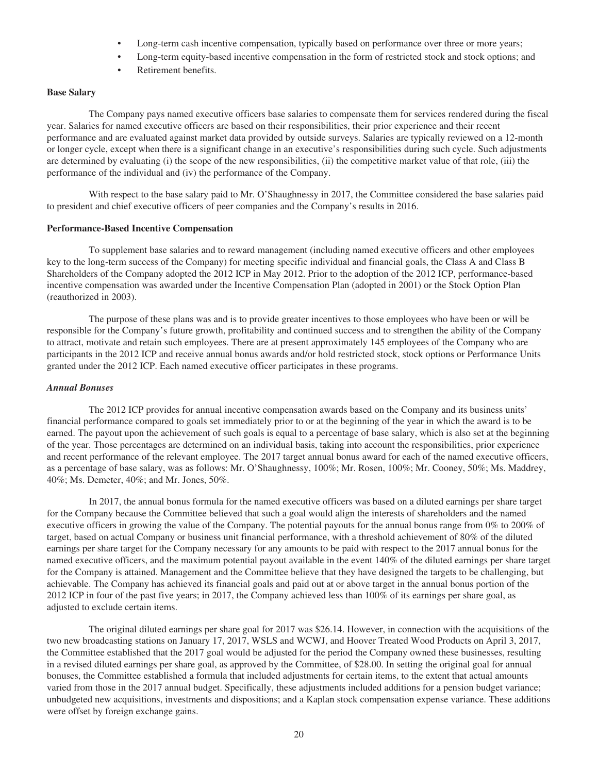- Long-term cash incentive compensation, typically based on performance over three or more years;
- Long-term equity-based incentive compensation in the form of restricted stock and stock options; and
- Retirement benefits.

# **Base Salary**

The Company pays named executive officers base salaries to compensate them for services rendered during the fiscal year. Salaries for named executive officers are based on their responsibilities, their prior experience and their recent performance and are evaluated against market data provided by outside surveys. Salaries are typically reviewed on a 12-month or longer cycle, except when there is a significant change in an executive's responsibilities during such cycle. Such adjustments are determined by evaluating (i) the scope of the new responsibilities, (ii) the competitive market value of that role, (iii) the performance of the individual and (iv) the performance of the Company.

With respect to the base salary paid to Mr. O'Shaughnessy in 2017, the Committee considered the base salaries paid to president and chief executive officers of peer companies and the Company's results in 2016.

#### **Performance-Based Incentive Compensation**

To supplement base salaries and to reward management (including named executive officers and other employees key to the long-term success of the Company) for meeting specific individual and financial goals, the Class A and Class B Shareholders of the Company adopted the 2012 ICP in May 2012. Prior to the adoption of the 2012 ICP, performance-based incentive compensation was awarded under the Incentive Compensation Plan (adopted in 2001) or the Stock Option Plan (reauthorized in 2003).

The purpose of these plans was and is to provide greater incentives to those employees who have been or will be responsible for the Company's future growth, profitability and continued success and to strengthen the ability of the Company to attract, motivate and retain such employees. There are at present approximately 145 employees of the Company who are participants in the 2012 ICP and receive annual bonus awards and/or hold restricted stock, stock options or Performance Units granted under the 2012 ICP. Each named executive officer participates in these programs.

# *Annual Bonuses*

The 2012 ICP provides for annual incentive compensation awards based on the Company and its business units' financial performance compared to goals set immediately prior to or at the beginning of the year in which the award is to be earned. The payout upon the achievement of such goals is equal to a percentage of base salary, which is also set at the beginning of the year. Those percentages are determined on an individual basis, taking into account the responsibilities, prior experience and recent performance of the relevant employee. The 2017 target annual bonus award for each of the named executive officers, as a percentage of base salary, was as follows: Mr. O'Shaughnessy, 100%; Mr. Rosen, 100%; Mr. Cooney, 50%; Ms. Maddrey, 40%; Ms. Demeter, 40%; and Mr. Jones, 50%.

In 2017, the annual bonus formula for the named executive officers was based on a diluted earnings per share target for the Company because the Committee believed that such a goal would align the interests of shareholders and the named executive officers in growing the value of the Company. The potential payouts for the annual bonus range from 0% to 200% of target, based on actual Company or business unit financial performance, with a threshold achievement of 80% of the diluted earnings per share target for the Company necessary for any amounts to be paid with respect to the 2017 annual bonus for the named executive officers, and the maximum potential payout available in the event 140% of the diluted earnings per share target for the Company is attained. Management and the Committee believe that they have designed the targets to be challenging, but achievable. The Company has achieved its financial goals and paid out at or above target in the annual bonus portion of the 2012 ICP in four of the past five years; in 2017, the Company achieved less than 100% of its earnings per share goal, as adjusted to exclude certain items.

The original diluted earnings per share goal for 2017 was \$26.14. However, in connection with the acquisitions of the two new broadcasting stations on January 17, 2017, WSLS and WCWJ, and Hoover Treated Wood Products on April 3, 2017, the Committee established that the 2017 goal would be adjusted for the period the Company owned these businesses, resulting in a revised diluted earnings per share goal, as approved by the Committee, of \$28.00. In setting the original goal for annual bonuses, the Committee established a formula that included adjustments for certain items, to the extent that actual amounts varied from those in the 2017 annual budget. Specifically, these adjustments included additions for a pension budget variance; unbudgeted new acquisitions, investments and dispositions; and a Kaplan stock compensation expense variance. These additions were offset by foreign exchange gains.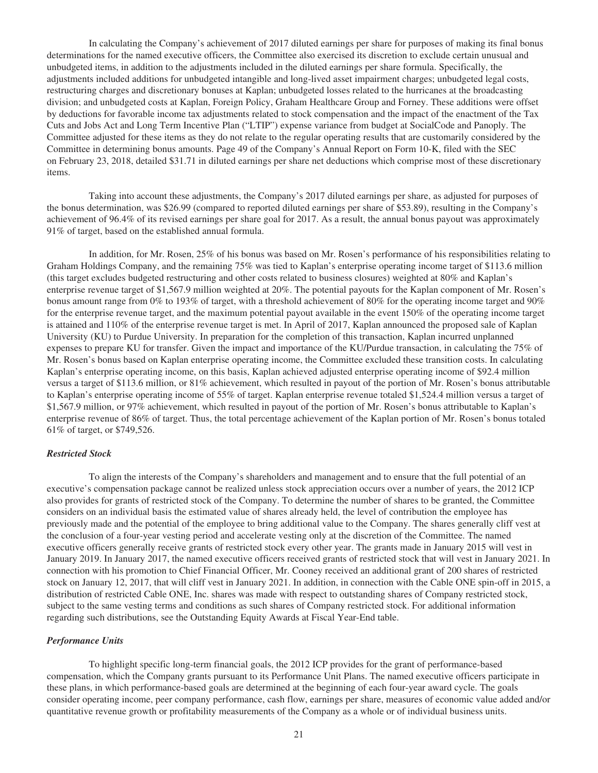In calculating the Company's achievement of 2017 diluted earnings per share for purposes of making its final bonus determinations for the named executive officers, the Committee also exercised its discretion to exclude certain unusual and unbudgeted items, in addition to the adjustments included in the diluted earnings per share formula. Specifically, the adjustments included additions for unbudgeted intangible and long-lived asset impairment charges; unbudgeted legal costs, restructuring charges and discretionary bonuses at Kaplan; unbudgeted losses related to the hurricanes at the broadcasting division; and unbudgeted costs at Kaplan, Foreign Policy, Graham Healthcare Group and Forney. These additions were offset by deductions for favorable income tax adjustments related to stock compensation and the impact of the enactment of the Tax Cuts and Jobs Act and Long Term Incentive Plan ("LTIP") expense variance from budget at SocialCode and Panoply. The Committee adjusted for these items as they do not relate to the regular operating results that are customarily considered by the Committee in determining bonus amounts. Page 49 of the Company's Annual Report on Form 10-K, filed with the SEC on February 23, 2018, detailed \$31.71 in diluted earnings per share net deductions which comprise most of these discretionary items.

Taking into account these adjustments, the Company's 2017 diluted earnings per share, as adjusted for purposes of the bonus determination, was \$26.99 (compared to reported diluted earnings per share of \$53.89), resulting in the Company's achievement of 96.4% of its revised earnings per share goal for 2017. As a result, the annual bonus payout was approximately 91% of target, based on the established annual formula.

In addition, for Mr. Rosen, 25% of his bonus was based on Mr. Rosen's performance of his responsibilities relating to Graham Holdings Company, and the remaining 75% was tied to Kaplan's enterprise operating income target of \$113.6 million (this target excludes budgeted restructuring and other costs related to business closures) weighted at 80% and Kaplan's enterprise revenue target of \$1,567.9 million weighted at 20%. The potential payouts for the Kaplan component of Mr. Rosen's bonus amount range from 0% to 193% of target, with a threshold achievement of 80% for the operating income target and 90% for the enterprise revenue target, and the maximum potential payout available in the event 150% of the operating income target is attained and 110% of the enterprise revenue target is met. In April of 2017, Kaplan announced the proposed sale of Kaplan University (KU) to Purdue University. In preparation for the completion of this transaction, Kaplan incurred unplanned expenses to prepare KU for transfer. Given the impact and importance of the KU/Purdue transaction, in calculating the 75% of Mr. Rosen's bonus based on Kaplan enterprise operating income, the Committee excluded these transition costs. In calculating Kaplan's enterprise operating income, on this basis, Kaplan achieved adjusted enterprise operating income of \$92.4 million versus a target of \$113.6 million, or 81% achievement, which resulted in payout of the portion of Mr. Rosen's bonus attributable to Kaplan's enterprise operating income of 55% of target. Kaplan enterprise revenue totaled \$1,524.4 million versus a target of \$1,567.9 million, or 97% achievement, which resulted in payout of the portion of Mr. Rosen's bonus attributable to Kaplan's enterprise revenue of 86% of target. Thus, the total percentage achievement of the Kaplan portion of Mr. Rosen's bonus totaled 61% of target, or \$749,526.

#### *Restricted Stock*

To align the interests of the Company's shareholders and management and to ensure that the full potential of an executive's compensation package cannot be realized unless stock appreciation occurs over a number of years, the 2012 ICP also provides for grants of restricted stock of the Company. To determine the number of shares to be granted, the Committee considers on an individual basis the estimated value of shares already held, the level of contribution the employee has previously made and the potential of the employee to bring additional value to the Company. The shares generally cliff vest at the conclusion of a four-year vesting period and accelerate vesting only at the discretion of the Committee. The named executive officers generally receive grants of restricted stock every other year. The grants made in January 2015 will vest in January 2019. In January 2017, the named executive officers received grants of restricted stock that will vest in January 2021. In connection with his promotion to Chief Financial Officer, Mr. Cooney received an additional grant of 200 shares of restricted stock on January 12, 2017, that will cliff vest in January 2021. In addition, in connection with the Cable ONE spin-off in 2015, a distribution of restricted Cable ONE, Inc. shares was made with respect to outstanding shares of Company restricted stock, subject to the same vesting terms and conditions as such shares of Company restricted stock. For additional information regarding such distributions, see the Outstanding Equity Awards at Fiscal Year-End table.

#### *Performance Units*

To highlight specific long-term financial goals, the 2012 ICP provides for the grant of performance-based compensation, which the Company grants pursuant to its Performance Unit Plans. The named executive officers participate in these plans, in which performance-based goals are determined at the beginning of each four-year award cycle. The goals consider operating income, peer company performance, cash flow, earnings per share, measures of economic value added and/or quantitative revenue growth or profitability measurements of the Company as a whole or of individual business units.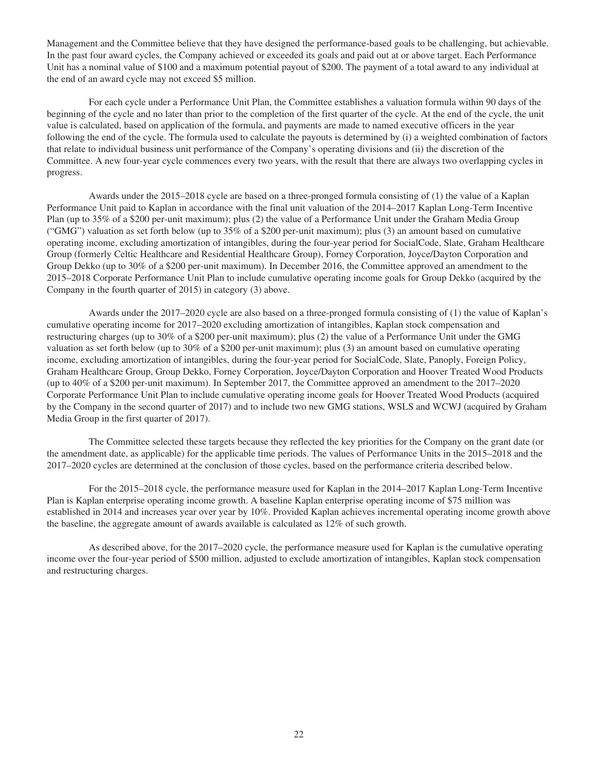Management and the Committee believe that they have designed the performance-based goals to be challenging, but achievable. In the past four award cycles, the Company achieved or exceeded its goals and paid out at or above target. Each Performance Unit has a nominal value of \$100 and a maximum potential payout of \$200. The payment of a total award to any individual at the end of an award cycle may not exceed \$5 million.

For each cycle under a Performance Unit Plan, the Committee establishes a valuation formula within 90 days of the beginning of the cycle and no later than prior to the completion of the first quarter of the cycle. At the end of the cycle, the unit value is calculated, based on application of the formula, and payments are made to named executive officers in the year following the end of the cycle. The formula used to calculate the payouts is determined by (i) a weighted combination of factors that relate to individual business unit performance of the Company's operating divisions and (ii) the discretion of the Committee. A new four-year cycle commences every two years, with the result that there are always two overlapping cycles in progress.

Awards under the 2015–2018 cycle are based on a three-pronged formula consisting of (1) the value of a Kaplan Performance Unit paid to Kaplan in accordance with the final unit valuation of the 2014–2017 Kaplan Long-Term Incentive Plan (up to 35% of a \$200 per-unit maximum); plus (2) the value of a Performance Unit under the Graham Media Group ("GMG") valuation as set forth below (up to 35% of a \$200 per-unit maximum); plus (3) an amount based on cumulative operating income, excluding amortization of intangibles, during the four-year period for SocialCode, Slate, Graham Healthcare Group (formerly Celtic Healthcare and Residential Healthcare Group), Forney Corporation, Joyce/Dayton Corporation and Group Dekko (up to 30% of a \$200 per-unit maximum). In December 2016, the Committee approved an amendment to the 2015–2018 Corporate Performance Unit Plan to include cumulative operating income goals for Group Dekko (acquired by the Company in the fourth quarter of 2015) in category (3) above.

Awards under the 2017–2020 cycle are also based on a three-pronged formula consisting of (1) the value of Kaplan's cumulative operating income for 2017–2020 excluding amortization of intangibles, Kaplan stock compensation and restructuring charges (up to 30% of a \$200 per-unit maximum); plus (2) the value of a Performance Unit under the GMG valuation as set forth below (up to 30% of a \$200 per-unit maximum); plus (3) an amount based on cumulative operating income, excluding amortization of intangibles, during the four-year period for SocialCode, Slate, Panoply, Foreign Policy, Graham Healthcare Group, Group Dekko, Forney Corporation, Joyce/Dayton Corporation and Hoover Treated Wood Products (up to 40% of a \$200 per-unit maximum). In September 2017, the Committee approved an amendment to the 2017–2020 Corporate Performance Unit Plan to include cumulative operating income goals for Hoover Treated Wood Products (acquired by the Company in the second quarter of 2017) and to include two new GMG stations, WSLS and WCWJ (acquired by Graham Media Group in the first quarter of 2017).

The Committee selected these targets because they reflected the key priorities for the Company on the grant date (or the amendment date, as applicable) for the applicable time periods. The values of Performance Units in the 2015–2018 and the 2017–2020 cycles are determined at the conclusion of those cycles, based on the performance criteria described below.

For the 2015–2018 cycle, the performance measure used for Kaplan in the 2014–2017 Kaplan Long-Term Incentive Plan is Kaplan enterprise operating income growth. A baseline Kaplan enterprise operating income of \$75 million was established in 2014 and increases year over year by 10%. Provided Kaplan achieves incremental operating income growth above the baseline, the aggregate amount of awards available is calculated as 12% of such growth.

As described above, for the 2017–2020 cycle, the performance measure used for Kaplan is the cumulative operating income over the four-year period of \$500 million, adjusted to exclude amortization of intangibles, Kaplan stock compensation and restructuring charges.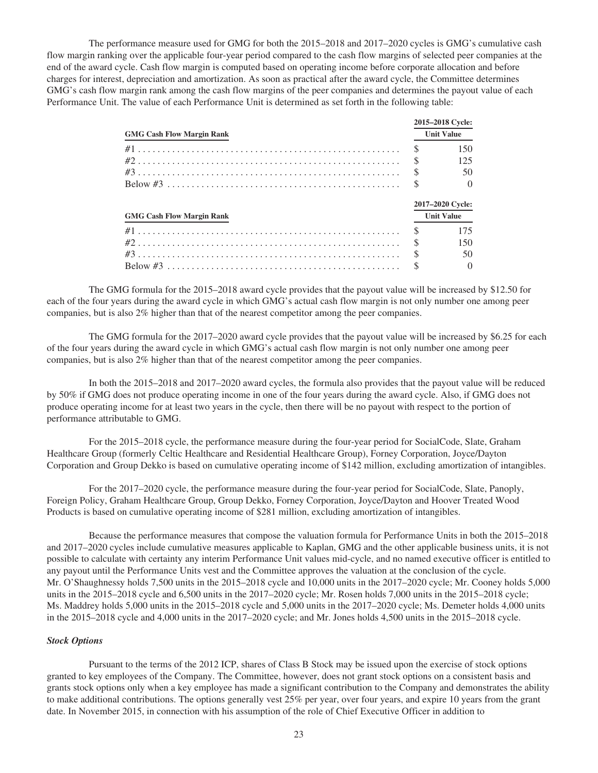The performance measure used for GMG for both the 2015–2018 and 2017–2020 cycles is GMG's cumulative cash flow margin ranking over the applicable four-year period compared to the cash flow margins of selected peer companies at the end of the award cycle. Cash flow margin is computed based on operating income before corporate allocation and before charges for interest, depreciation and amortization. As soon as practical after the award cycle, the Committee determines GMG's cash flow margin rank among the cash flow margins of the peer companies and determines the payout value of each Performance Unit. The value of each Performance Unit is determined as set forth in the following table:

|                                  |                   | 2015-2018 Cycle:  |
|----------------------------------|-------------------|-------------------|
| <b>GMG Cash Flow Margin Rank</b> | <b>Unit Value</b> |                   |
|                                  | <sup>\$</sup>     | 150               |
|                                  | $\mathcal{S}$     | 125               |
|                                  | $\mathcal{S}$     | 50                |
|                                  | <sup>\$</sup>     | $\Omega$          |
|                                  |                   | 2017-2020 Cycle:  |
| <b>GMG Cash Flow Margin Rank</b> |                   | <b>Unit Value</b> |
|                                  | <sup>\$</sup>     | 175               |
|                                  | $\mathcal{S}$     | 150               |
|                                  | $\mathcal{S}$     | 50                |
|                                  |                   | $\Omega$          |

The GMG formula for the 2015–2018 award cycle provides that the payout value will be increased by \$12.50 for each of the four years during the award cycle in which GMG's actual cash flow margin is not only number one among peer companies, but is also 2% higher than that of the nearest competitor among the peer companies.

The GMG formula for the 2017–2020 award cycle provides that the payout value will be increased by \$6.25 for each of the four years during the award cycle in which GMG's actual cash flow margin is not only number one among peer companies, but is also 2% higher than that of the nearest competitor among the peer companies.

In both the 2015–2018 and 2017–2020 award cycles, the formula also provides that the payout value will be reduced by 50% if GMG does not produce operating income in one of the four years during the award cycle. Also, if GMG does not produce operating income for at least two years in the cycle, then there will be no payout with respect to the portion of performance attributable to GMG.

For the 2015–2018 cycle, the performance measure during the four-year period for SocialCode, Slate, Graham Healthcare Group (formerly Celtic Healthcare and Residential Healthcare Group), Forney Corporation, Joyce/Dayton Corporation and Group Dekko is based on cumulative operating income of \$142 million, excluding amortization of intangibles.

For the 2017–2020 cycle, the performance measure during the four-year period for SocialCode, Slate, Panoply, Foreign Policy, Graham Healthcare Group, Group Dekko, Forney Corporation, Joyce/Dayton and Hoover Treated Wood Products is based on cumulative operating income of \$281 million, excluding amortization of intangibles.

Because the performance measures that compose the valuation formula for Performance Units in both the 2015–2018 and 2017–2020 cycles include cumulative measures applicable to Kaplan, GMG and the other applicable business units, it is not possible to calculate with certainty any interim Performance Unit values mid-cycle, and no named executive officer is entitled to any payout until the Performance Units vest and the Committee approves the valuation at the conclusion of the cycle. Mr. O'Shaughnessy holds 7,500 units in the 2015–2018 cycle and 10,000 units in the 2017–2020 cycle; Mr. Cooney holds 5,000 units in the 2015–2018 cycle and 6,500 units in the 2017–2020 cycle; Mr. Rosen holds 7,000 units in the 2015–2018 cycle; Ms. Maddrey holds 5,000 units in the 2015–2018 cycle and 5,000 units in the 2017–2020 cycle; Ms. Demeter holds 4,000 units in the 2015–2018 cycle and 4,000 units in the 2017–2020 cycle; and Mr. Jones holds 4,500 units in the 2015–2018 cycle.

#### *Stock Options*

Pursuant to the terms of the 2012 ICP, shares of Class B Stock may be issued upon the exercise of stock options granted to key employees of the Company. The Committee, however, does not grant stock options on a consistent basis and grants stock options only when a key employee has made a significant contribution to the Company and demonstrates the ability to make additional contributions. The options generally vest 25% per year, over four years, and expire 10 years from the grant date. In November 2015, in connection with his assumption of the role of Chief Executive Officer in addition to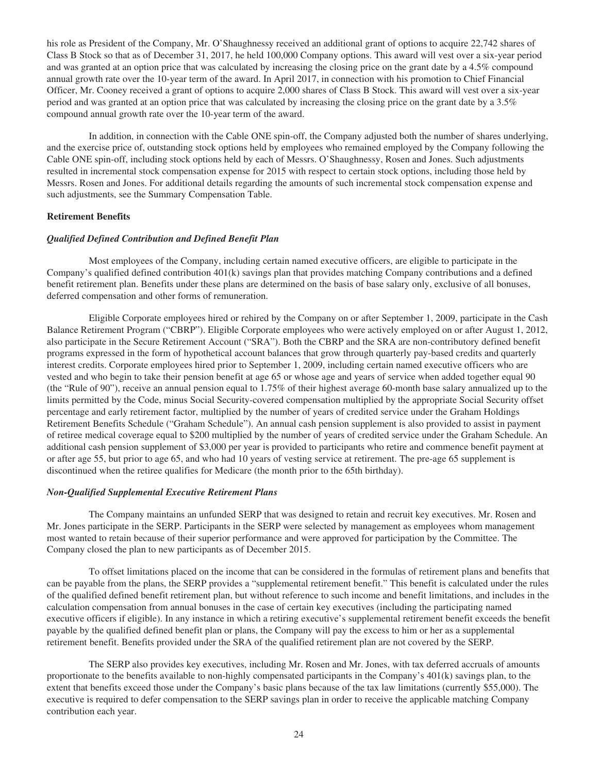his role as President of the Company, Mr. O'Shaughnessy received an additional grant of options to acquire 22,742 shares of Class B Stock so that as of December 31, 2017, he held 100,000 Company options. This award will vest over a six-year period and was granted at an option price that was calculated by increasing the closing price on the grant date by a 4.5% compound annual growth rate over the 10-year term of the award. In April 2017, in connection with his promotion to Chief Financial Officer, Mr. Cooney received a grant of options to acquire 2,000 shares of Class B Stock. This award will vest over a six-year period and was granted at an option price that was calculated by increasing the closing price on the grant date by a 3.5% compound annual growth rate over the 10-year term of the award.

In addition, in connection with the Cable ONE spin-off, the Company adjusted both the number of shares underlying, and the exercise price of, outstanding stock options held by employees who remained employed by the Company following the Cable ONE spin-off, including stock options held by each of Messrs. O'Shaughnessy, Rosen and Jones. Such adjustments resulted in incremental stock compensation expense for 2015 with respect to certain stock options, including those held by Messrs. Rosen and Jones. For additional details regarding the amounts of such incremental stock compensation expense and such adjustments, see the Summary Compensation Table.

#### **Retirement Benefits**

# *Qualified Defined Contribution and Defined Benefit Plan*

Most employees of the Company, including certain named executive officers, are eligible to participate in the Company's qualified defined contribution 401(k) savings plan that provides matching Company contributions and a defined benefit retirement plan. Benefits under these plans are determined on the basis of base salary only, exclusive of all bonuses, deferred compensation and other forms of remuneration.

Eligible Corporate employees hired or rehired by the Company on or after September 1, 2009, participate in the Cash Balance Retirement Program ("CBRP"). Eligible Corporate employees who were actively employed on or after August 1, 2012, also participate in the Secure Retirement Account ("SRA"). Both the CBRP and the SRA are non-contributory defined benefit programs expressed in the form of hypothetical account balances that grow through quarterly pay-based credits and quarterly interest credits. Corporate employees hired prior to September 1, 2009, including certain named executive officers who are vested and who begin to take their pension benefit at age 65 or whose age and years of service when added together equal 90 (the "Rule of 90"), receive an annual pension equal to 1.75% of their highest average 60-month base salary annualized up to the limits permitted by the Code, minus Social Security-covered compensation multiplied by the appropriate Social Security offset percentage and early retirement factor, multiplied by the number of years of credited service under the Graham Holdings Retirement Benefits Schedule ("Graham Schedule"). An annual cash pension supplement is also provided to assist in payment of retiree medical coverage equal to \$200 multiplied by the number of years of credited service under the Graham Schedule. An additional cash pension supplement of \$3,000 per year is provided to participants who retire and commence benefit payment at or after age 55, but prior to age 65, and who had 10 years of vesting service at retirement. The pre-age 65 supplement is discontinued when the retiree qualifies for Medicare (the month prior to the 65th birthday).

#### *Non-Qualified Supplemental Executive Retirement Plans*

The Company maintains an unfunded SERP that was designed to retain and recruit key executives. Mr. Rosen and Mr. Jones participate in the SERP. Participants in the SERP were selected by management as employees whom management most wanted to retain because of their superior performance and were approved for participation by the Committee. The Company closed the plan to new participants as of December 2015.

To offset limitations placed on the income that can be considered in the formulas of retirement plans and benefits that can be payable from the plans, the SERP provides a "supplemental retirement benefit." This benefit is calculated under the rules of the qualified defined benefit retirement plan, but without reference to such income and benefit limitations, and includes in the calculation compensation from annual bonuses in the case of certain key executives (including the participating named executive officers if eligible). In any instance in which a retiring executive's supplemental retirement benefit exceeds the benefit payable by the qualified defined benefit plan or plans, the Company will pay the excess to him or her as a supplemental retirement benefit. Benefits provided under the SRA of the qualified retirement plan are not covered by the SERP.

The SERP also provides key executives, including Mr. Rosen and Mr. Jones, with tax deferred accruals of amounts proportionate to the benefits available to non-highly compensated participants in the Company's 401(k) savings plan, to the extent that benefits exceed those under the Company's basic plans because of the tax law limitations (currently \$55,000). The executive is required to defer compensation to the SERP savings plan in order to receive the applicable matching Company contribution each year.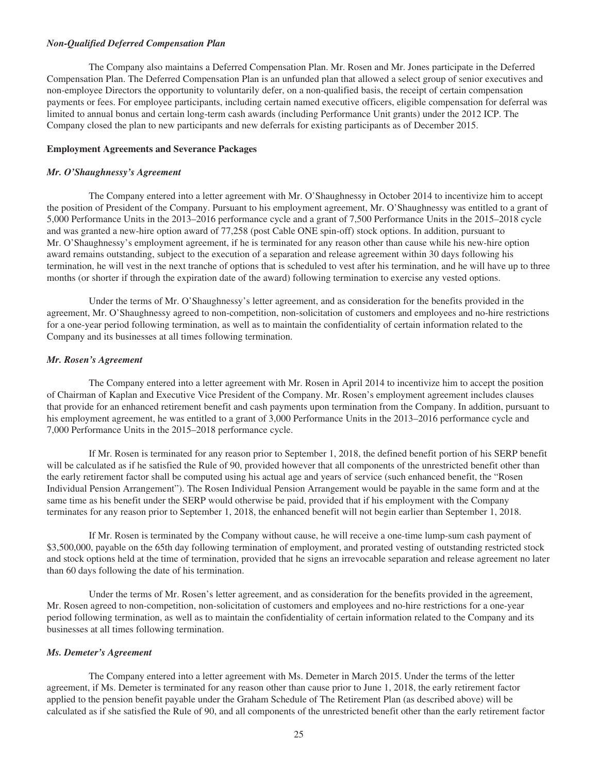#### *Non-Qualified Deferred Compensation Plan*

The Company also maintains a Deferred Compensation Plan. Mr. Rosen and Mr. Jones participate in the Deferred Compensation Plan. The Deferred Compensation Plan is an unfunded plan that allowed a select group of senior executives and non-employee Directors the opportunity to voluntarily defer, on a non-qualified basis, the receipt of certain compensation payments or fees. For employee participants, including certain named executive officers, eligible compensation for deferral was limited to annual bonus and certain long-term cash awards (including Performance Unit grants) under the 2012 ICP. The Company closed the plan to new participants and new deferrals for existing participants as of December 2015.

#### **Employment Agreements and Severance Packages**

## *Mr. O'Shaughnessy's Agreement*

The Company entered into a letter agreement with Mr. O'Shaughnessy in October 2014 to incentivize him to accept the position of President of the Company. Pursuant to his employment agreement, Mr. O'Shaughnessy was entitled to a grant of 5,000 Performance Units in the 2013–2016 performance cycle and a grant of 7,500 Performance Units in the 2015–2018 cycle and was granted a new-hire option award of 77,258 (post Cable ONE spin-off) stock options. In addition, pursuant to Mr. O'Shaughnessy's employment agreement, if he is terminated for any reason other than cause while his new-hire option award remains outstanding, subject to the execution of a separation and release agreement within 30 days following his termination, he will vest in the next tranche of options that is scheduled to vest after his termination, and he will have up to three months (or shorter if through the expiration date of the award) following termination to exercise any vested options.

Under the terms of Mr. O'Shaughnessy's letter agreement, and as consideration for the benefits provided in the agreement, Mr. O'Shaughnessy agreed to non-competition, non-solicitation of customers and employees and no-hire restrictions for a one-year period following termination, as well as to maintain the confidentiality of certain information related to the Company and its businesses at all times following termination.

# *Mr. Rosen's Agreement*

The Company entered into a letter agreement with Mr. Rosen in April 2014 to incentivize him to accept the position of Chairman of Kaplan and Executive Vice President of the Company. Mr. Rosen's employment agreement includes clauses that provide for an enhanced retirement benefit and cash payments upon termination from the Company. In addition, pursuant to his employment agreement, he was entitled to a grant of 3,000 Performance Units in the 2013–2016 performance cycle and 7,000 Performance Units in the 2015–2018 performance cycle.

If Mr. Rosen is terminated for any reason prior to September 1, 2018, the defined benefit portion of his SERP benefit will be calculated as if he satisfied the Rule of 90, provided however that all components of the unrestricted benefit other than the early retirement factor shall be computed using his actual age and years of service (such enhanced benefit, the "Rosen Individual Pension Arrangement"). The Rosen Individual Pension Arrangement would be payable in the same form and at the same time as his benefit under the SERP would otherwise be paid, provided that if his employment with the Company terminates for any reason prior to September 1, 2018, the enhanced benefit will not begin earlier than September 1, 2018.

If Mr. Rosen is terminated by the Company without cause, he will receive a one-time lump-sum cash payment of \$3,500,000, payable on the 65th day following termination of employment, and prorated vesting of outstanding restricted stock and stock options held at the time of termination, provided that he signs an irrevocable separation and release agreement no later than 60 days following the date of his termination.

Under the terms of Mr. Rosen's letter agreement, and as consideration for the benefits provided in the agreement, Mr. Rosen agreed to non-competition, non-solicitation of customers and employees and no-hire restrictions for a one-year period following termination, as well as to maintain the confidentiality of certain information related to the Company and its businesses at all times following termination.

# *Ms. Demeter's Agreement*

The Company entered into a letter agreement with Ms. Demeter in March 2015. Under the terms of the letter agreement, if Ms. Demeter is terminated for any reason other than cause prior to June 1, 2018, the early retirement factor applied to the pension benefit payable under the Graham Schedule of The Retirement Plan (as described above) will be calculated as if she satisfied the Rule of 90, and all components of the unrestricted benefit other than the early retirement factor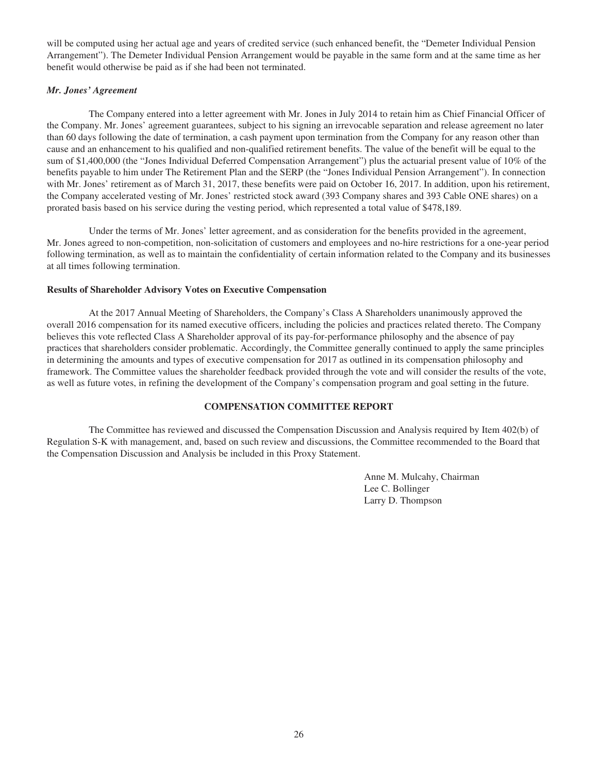will be computed using her actual age and years of credited service (such enhanced benefit, the "Demeter Individual Pension Arrangement"). The Demeter Individual Pension Arrangement would be payable in the same form and at the same time as her benefit would otherwise be paid as if she had been not terminated.

# *Mr. Jones' Agreement*

The Company entered into a letter agreement with Mr. Jones in July 2014 to retain him as Chief Financial Officer of the Company. Mr. Jones' agreement guarantees, subject to his signing an irrevocable separation and release agreement no later than 60 days following the date of termination, a cash payment upon termination from the Company for any reason other than cause and an enhancement to his qualified and non-qualified retirement benefits. The value of the benefit will be equal to the sum of \$1,400,000 (the "Jones Individual Deferred Compensation Arrangement") plus the actuarial present value of 10% of the benefits payable to him under The Retirement Plan and the SERP (the "Jones Individual Pension Arrangement"). In connection with Mr. Jones' retirement as of March 31, 2017, these benefits were paid on October 16, 2017. In addition, upon his retirement, the Company accelerated vesting of Mr. Jones' restricted stock award (393 Company shares and 393 Cable ONE shares) on a prorated basis based on his service during the vesting period, which represented a total value of \$478,189.

Under the terms of Mr. Jones' letter agreement, and as consideration for the benefits provided in the agreement, Mr. Jones agreed to non-competition, non-solicitation of customers and employees and no-hire restrictions for a one-year period following termination, as well as to maintain the confidentiality of certain information related to the Company and its businesses at all times following termination.

## **Results of Shareholder Advisory Votes on Executive Compensation**

At the 2017 Annual Meeting of Shareholders, the Company's Class A Shareholders unanimously approved the overall 2016 compensation for its named executive officers, including the policies and practices related thereto. The Company believes this vote reflected Class A Shareholder approval of its pay-for-performance philosophy and the absence of pay practices that shareholders consider problematic. Accordingly, the Committee generally continued to apply the same principles in determining the amounts and types of executive compensation for 2017 as outlined in its compensation philosophy and framework. The Committee values the shareholder feedback provided through the vote and will consider the results of the vote, as well as future votes, in refining the development of the Company's compensation program and goal setting in the future.

# **COMPENSATION COMMITTEE REPORT**

The Committee has reviewed and discussed the Compensation Discussion and Analysis required by Item 402(b) of Regulation S-K with management, and, based on such review and discussions, the Committee recommended to the Board that the Compensation Discussion and Analysis be included in this Proxy Statement.

> Anne M. Mulcahy, Chairman Lee C. Bollinger Larry D. Thompson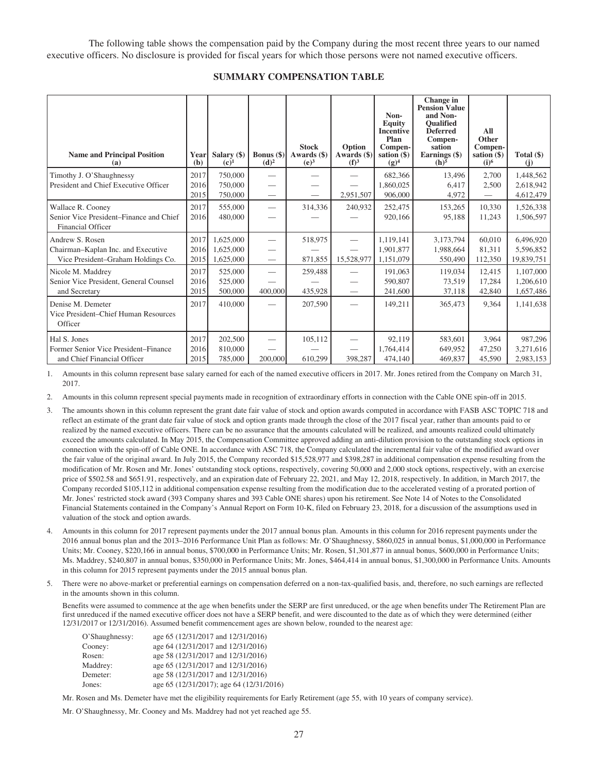The following table shows the compensation paid by the Company during the most recent three years to our named executive officers. No disclosure is provided for fiscal years for which those persons were not named executive officers.

#### **SUMMARY COMPENSATION TABLE**

| <b>Name and Principal Position</b><br>(a)                                                   | Yearl<br>(b)         | Salary (\$)<br>$(c)$ <sup>1</sup>   | Bonus $(\$)$<br>(d) <sup>2</sup>                     | <b>Stock</b><br>Awards (\$)<br>(e) <sup>3</sup> | Option<br>Awards (\$)<br>(f) <sup>3</sup> | Non-<br><b>Equity</b><br><b>Incentive</b><br>Plan<br>Compen-<br>sation $(\$)$<br>$(g)^4$ | Change in<br><b>Pension Value</b><br>and Non-<br><b>Oualified</b><br><b>Deferred</b><br>Compen-<br>sation<br>Earnings (\$)<br>$(h)$ <sup>5</sup> | All<br>Other<br>Compen-<br>sation $(\$)$<br>$(i)$ <sup>6</sup> | Total $(\$)$<br>(j)                  |
|---------------------------------------------------------------------------------------------|----------------------|-------------------------------------|------------------------------------------------------|-------------------------------------------------|-------------------------------------------|------------------------------------------------------------------------------------------|--------------------------------------------------------------------------------------------------------------------------------------------------|----------------------------------------------------------------|--------------------------------------|
| Timothy J. O'Shaughnessy<br>President and Chief Executive Officer                           | 2017<br>2016<br>2015 | 750,000<br>750,000<br>750,000       | $\overline{\phantom{0}}$                             |                                                 | 2,951,507                                 | 682,366<br>1.860.025<br>906,000                                                          | 13,496<br>6.417<br>4,972                                                                                                                         | 2.700<br>2,500                                                 | 1,448,562<br>2,618,942<br>4,612,479  |
| Wallace R. Cooney<br>Senior Vice President–Finance and Chief<br><b>Financial Officer</b>    | 2017<br>2016         | 555,000<br>480,000                  | $\overline{\phantom{0}}$                             | 314,336                                         | 240,932                                   | 252,475<br>920.166                                                                       | 153,265<br>95,188                                                                                                                                | 10,330<br>11,243                                               | 1,526,338<br>1,506,597               |
| Andrew S. Rosen<br>Chairman–Kaplan Inc. and Executive<br>Vice President-Graham Holdings Co. | 2017<br>2016<br>2015 | 1,625,000<br>1,625,000<br>1,625,000 | $\overline{\phantom{0}}$<br>$\overline{\phantom{0}}$ | 518,975<br>871,855                              | $\hspace{0.05cm}$<br>15,528,977           | 1.119.141<br>1,901,877<br>1,151,079                                                      | 3,173,794<br>1,988,664<br>550,490                                                                                                                | 60,010<br>81.311<br>112,350                                    | 6,496,920<br>5,596,852<br>19,839,751 |
| Nicole M. Maddrey<br>Senior Vice President, General Counsel<br>and Secretary                | 2017<br>2016<br>2015 | 525,000<br>525,000<br>500,000       | 400,000                                              | 259,488<br>435,928                              |                                           | 191.063<br>590,807<br>241,600                                                            | 119,034<br>73,519<br>37,118                                                                                                                      | 12.415<br>17,284<br>42,840                                     | 1,107,000<br>1,206,610<br>1,657,486  |
| Denise M. Demeter<br>Vice President–Chief Human Resources<br>Officer                        | 2017                 | 410,000                             |                                                      | 207,590                                         |                                           | 149,211                                                                                  | 365,473                                                                                                                                          | 9,364                                                          | 1,141,638                            |
| Hal S. Jones<br>Former Senior Vice President-Finance<br>and Chief Financial Officer         | 2017<br>2016<br>2015 | 202,500<br>810,000<br>785,000       | 200,000                                              | 105,112<br>610,299                              | 398,287                                   | 92,119<br>1,764,414<br>474,140                                                           | 583,601<br>649,952<br>469,837                                                                                                                    | 3.964<br>47,250<br>45,590                                      | 987,296<br>3,271,616<br>2,983,153    |

1. Amounts in this column represent base salary earned for each of the named executive officers in 2017. Mr. Jones retired from the Company on March 31, 2017.

2. Amounts in this column represent special payments made in recognition of extraordinary efforts in connection with the Cable ONE spin-off in 2015.

- 3. The amounts shown in this column represent the grant date fair value of stock and option awards computed in accordance with FASB ASC TOPIC 718 and reflect an estimate of the grant date fair value of stock and option grants made through the close of the 2017 fiscal year, rather than amounts paid to or realized by the named executive officers. There can be no assurance that the amounts calculated will be realized, and amounts realized could ultimately exceed the amounts calculated. In May 2015, the Compensation Committee approved adding an anti-dilution provision to the outstanding stock options in connection with the spin-off of Cable ONE. In accordance with ASC 718, the Company calculated the incremental fair value of the modified award over the fair value of the original award. In July 2015, the Company recorded \$15,528,977 and \$398,287 in additional compensation expense resulting from the modification of Mr. Rosen and Mr. Jones' outstanding stock options, respectively, covering 50,000 and 2,000 stock options, respectively, with an exercise price of \$502.58 and \$651.91, respectively, and an expiration date of February 22, 2021, and May 12, 2018, respectively. In addition, in March 2017, the Company recorded \$105,112 in additional compensation expense resulting from the modification due to the accelerated vesting of a prorated portion of Mr. Jones' restricted stock award (393 Company shares and 393 Cable ONE shares) upon his retirement. See Note 14 of Notes to the Consolidated Financial Statements contained in the Company's Annual Report on Form 10-K, filed on February 23, 2018, for a discussion of the assumptions used in valuation of the stock and option awards.
- 4. Amounts in this column for 2017 represent payments under the 2017 annual bonus plan. Amounts in this column for 2016 represent payments under the 2016 annual bonus plan and the 2013–2016 Performance Unit Plan as follows: Mr. O'Shaughnessy, \$860,025 in annual bonus, \$1,000,000 in Performance Units; Mr. Cooney, \$220,166 in annual bonus, \$700,000 in Performance Units; Mr. Rosen, \$1,301,877 in annual bonus, \$600,000 in Performance Units; Ms. Maddrey, \$240,807 in annual bonus, \$350,000 in Performance Units; Mr. Jones, \$464,414 in annual bonus, \$1,300,000 in Performance Units. Amounts in this column for 2015 represent payments under the 2015 annual bonus plan.
- There were no above-market or preferential earnings on compensation deferred on a non-tax-qualified basis, and, therefore, no such earnings are reflected in the amounts shown in this column.

Benefits were assumed to commence at the age when benefits under the SERP are first unreduced, or the age when benefits under The Retirement Plan are first unreduced if the named executive officer does not have a SERP benefit, and were discounted to the date as of which they were determined (either 12/31/2017 or 12/31/2016). Assumed benefit commencement ages are shown below, rounded to the nearest age:

| O'Shaughnessy: | age 65 (12/31/2017 and 12/31/2016)       |
|----------------|------------------------------------------|
| Cooney:        | age 64 (12/31/2017 and 12/31/2016)       |
| Rosen:         | age 58 (12/31/2017 and 12/31/2016)       |
| Maddrey:       | age 65 (12/31/2017 and 12/31/2016)       |
| Demeter:       | age 58 (12/31/2017 and 12/31/2016)       |
| Jones:         | age 65 (12/31/2017); age 64 (12/31/2016) |

Mr. Rosen and Ms. Demeter have met the eligibility requirements for Early Retirement (age 55, with 10 years of company service).

Mr. O'Shaughnessy, Mr. Cooney and Ms. Maddrey had not yet reached age 55.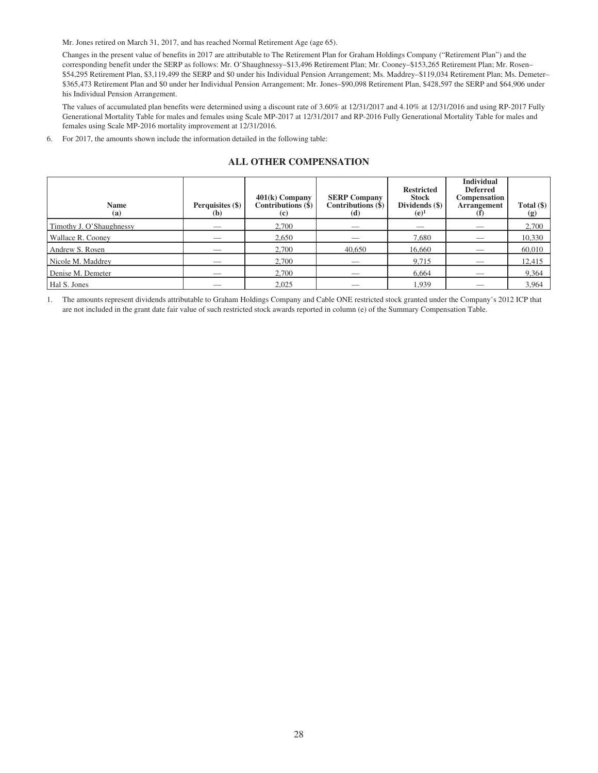Mr. Jones retired on March 31, 2017, and has reached Normal Retirement Age (age 65).

Changes in the present value of benefits in 2017 are attributable to The Retirement Plan for Graham Holdings Company ("Retirement Plan") and the corresponding benefit under the SERP as follows: Mr. O'Shaughnessy–\$13,496 Retirement Plan; Mr. Cooney–\$153,265 Retirement Plan; Mr. Rosen– \$54,295 Retirement Plan, \$3,119,499 the SERP and \$0 under his Individual Pension Arrangement; Ms. Maddrey–\$119,034 Retirement Plan; Ms. Demeter– \$365,473 Retirement Plan and \$0 under her Individual Pension Arrangement; Mr. Jones–\$90,098 Retirement Plan, \$428,597 the SERP and \$64,906 under his Individual Pension Arrangement.

The values of accumulated plan benefits were determined using a discount rate of 3.60% at 12/31/2017 and 4.10% at 12/31/2016 and using RP-2017 Fully Generational Mortality Table for males and females using Scale MP-2017 at 12/31/2017 and RP-2016 Fully Generational Mortality Table for males and females using Scale MP-2016 mortality improvement at 12/31/2016.

6. For 2017, the amounts shown include the information detailed in the following table:

# **ALL OTHER COMPENSATION**

| <b>Name</b><br>(a)       | Perquisites (\$)<br>(b) | $401(k)$ Company<br>Contributions $(\hat{\mathbf{S}})$<br>$\left( \mathbf{c} \right)$ | <b>SERP Company</b><br>Contributions (\$)<br>(d) | <b>Restricted</b><br><b>Stock</b><br>Dividends (\$)<br>$(e)^1$ | <b>Individual</b><br><b>Deferred</b><br>Compensation<br><b>Arrangement</b> | Total $(\$)$<br>(g) |
|--------------------------|-------------------------|---------------------------------------------------------------------------------------|--------------------------------------------------|----------------------------------------------------------------|----------------------------------------------------------------------------|---------------------|
| Timothy J. O'Shaughnessy |                         | 2.700                                                                                 |                                                  |                                                                |                                                                            | 2,700               |
| Wallace R. Cooney        |                         | 2,650                                                                                 |                                                  | 7,680                                                          |                                                                            | 10,330              |
| Andrew S. Rosen          |                         | 2,700                                                                                 | 40,650                                           | 16,660                                                         |                                                                            | 60,010              |
| Nicole M. Maddrey        |                         | 2,700                                                                                 |                                                  | 9,715                                                          |                                                                            | 12,415              |
| Denise M. Demeter        | _                       | 2,700                                                                                 |                                                  | 6,664                                                          |                                                                            | 9,364               |
| Hal S. Jones             |                         | 2.025                                                                                 |                                                  | 1.939                                                          |                                                                            | 3,964               |

1. The amounts represent dividends attributable to Graham Holdings Company and Cable ONE restricted stock granted under the Company's 2012 ICP that are not included in the grant date fair value of such restricted stock awards reported in column (e) of the Summary Compensation Table.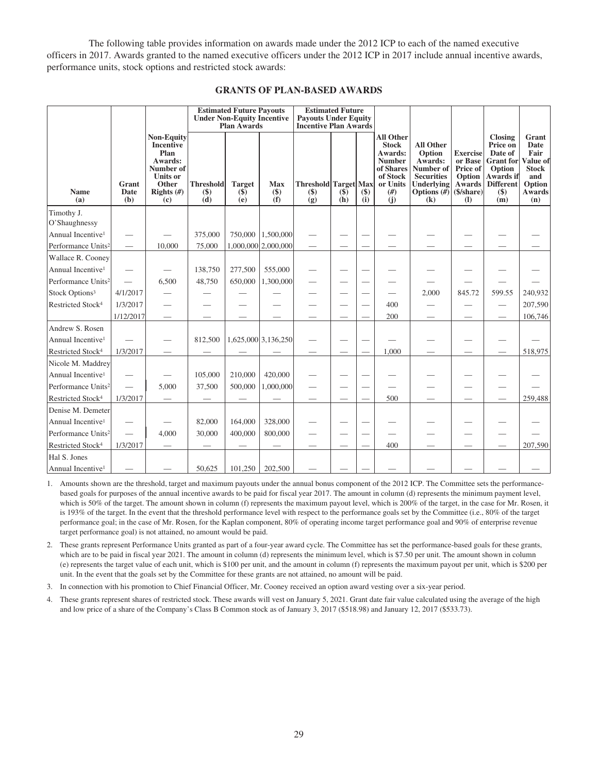The following table provides information on awards made under the 2012 ICP to each of the named executive officers in 2017. Awards granted to the named executive officers under the 2012 ICP in 2017 include annual incentive awards, performance units, stock options and restricted stock awards:

## **GRANTS OF PLAN-BASED AWARDS**

|                                |                          |                                                                                                                   |                                | <b>Estimated Future Payouts</b><br><b>Under Non-Equity Incentive</b><br><b>Plan Awards</b> |                          | <b>Estimated Future</b><br><b>Payouts Under Equity</b><br><b>Incentive Plan Awards</b> |               |                          |                                                                                                                  |                                                                                                                      |                                                                                                       |                                                                                                                       |                                                                                            |
|--------------------------------|--------------------------|-------------------------------------------------------------------------------------------------------------------|--------------------------------|--------------------------------------------------------------------------------------------|--------------------------|----------------------------------------------------------------------------------------|---------------|--------------------------|------------------------------------------------------------------------------------------------------------------|----------------------------------------------------------------------------------------------------------------------|-------------------------------------------------------------------------------------------------------|-----------------------------------------------------------------------------------------------------------------------|--------------------------------------------------------------------------------------------|
| <b>Name</b><br>(a)             | Grant<br>Date<br>(b)     | <b>Non-Equity</b><br>Incentive<br>Plan<br>Awards:<br>Number of<br><b>Units or</b><br>Other<br>Rights $(H)$<br>(c) | <b>Threshold</b><br>$($<br>(d) | <b>Target</b><br>$(\$)$<br>(e)                                                             | <b>Max</b><br>$($<br>(f) | <b>Threshold Target Max</b><br>$(\$)$<br>$\ddot{g}$                                    | $(\$)$<br>(h) | $(\$)$<br>(i)            | <b>All Other</b><br><b>Stock</b><br>Awards:<br><b>Number</b><br>of Shares<br>of Stock<br>or Units<br>(f#)<br>(i) | <b>All Other</b><br>Option<br>Awards:<br>Number of<br><b>Securities</b><br><b>Underlying</b><br>Options $(H)$<br>(k) | <b>Exercise</b><br>or Base<br>Price of<br>Option<br><b>Awards</b><br>$(S/\text{share})$<br><b>(I)</b> | <b>Closing</b><br>Price on<br>Date of<br><b>Grant</b> for<br>Option<br>Awards if<br><b>Different</b><br>$(\$)$<br>(m) | Grant<br>Date<br>Fair<br>Value of<br><b>Stock</b><br>and<br>Option<br><b>Awards</b><br>(n) |
| Timothy J.                     |                          |                                                                                                                   |                                |                                                                                            |                          |                                                                                        |               |                          |                                                                                                                  |                                                                                                                      |                                                                                                       |                                                                                                                       |                                                                                            |
| O'Shaughnessy                  |                          |                                                                                                                   |                                |                                                                                            |                          |                                                                                        |               |                          |                                                                                                                  |                                                                                                                      |                                                                                                       |                                                                                                                       |                                                                                            |
| Annual Incentive <sup>1</sup>  | -                        |                                                                                                                   | 375,000                        |                                                                                            | 750,000   1,500,000      |                                                                                        |               |                          |                                                                                                                  |                                                                                                                      |                                                                                                       |                                                                                                                       |                                                                                            |
| Performance Units <sup>2</sup> | $\overline{\phantom{0}}$ | 10,000                                                                                                            | 75,000                         |                                                                                            | 1,000,000 2,000,000      |                                                                                        |               |                          |                                                                                                                  |                                                                                                                      |                                                                                                       |                                                                                                                       |                                                                                            |
| Wallace R. Cooney              |                          |                                                                                                                   |                                |                                                                                            |                          |                                                                                        |               |                          |                                                                                                                  |                                                                                                                      |                                                                                                       |                                                                                                                       |                                                                                            |
| Annual Incentive <sup>1</sup>  | $\overline{\phantom{0}}$ |                                                                                                                   | 138,750                        | 277,500                                                                                    | 555,000                  | $\overline{\phantom{0}}$                                                               |               |                          |                                                                                                                  |                                                                                                                      |                                                                                                       |                                                                                                                       |                                                                                            |
| Performance Units <sup>2</sup> | $\overline{\phantom{0}}$ | 6,500                                                                                                             | 48,750                         | 650,000                                                                                    | 1,300,000                |                                                                                        |               |                          |                                                                                                                  |                                                                                                                      |                                                                                                       |                                                                                                                       |                                                                                            |
| Stock Options <sup>3</sup>     | 4/1/2017                 |                                                                                                                   |                                |                                                                                            |                          |                                                                                        |               |                          |                                                                                                                  | 2,000                                                                                                                | 845.72                                                                                                | 599.55                                                                                                                | 240,932                                                                                    |
| Restricted Stock <sup>4</sup>  | 1/3/2017                 |                                                                                                                   |                                |                                                                                            |                          |                                                                                        |               |                          | 400                                                                                                              |                                                                                                                      |                                                                                                       |                                                                                                                       | 207,590                                                                                    |
|                                | 1/12/2017                |                                                                                                                   |                                |                                                                                            |                          |                                                                                        |               |                          | 200                                                                                                              |                                                                                                                      |                                                                                                       |                                                                                                                       | 106,746                                                                                    |
| Andrew S. Rosen                |                          |                                                                                                                   |                                |                                                                                            |                          |                                                                                        |               |                          |                                                                                                                  |                                                                                                                      |                                                                                                       |                                                                                                                       |                                                                                            |
| Annual Incentive <sup>1</sup>  |                          |                                                                                                                   | 812,500                        |                                                                                            | 1,625,000 3,136,250      |                                                                                        |               |                          |                                                                                                                  |                                                                                                                      |                                                                                                       |                                                                                                                       |                                                                                            |
| Restricted Stock <sup>4</sup>  | 1/3/2017                 |                                                                                                                   |                                |                                                                                            |                          |                                                                                        |               |                          | 1.000                                                                                                            |                                                                                                                      |                                                                                                       |                                                                                                                       | 518,975                                                                                    |
| Nicole M. Maddrey              |                          |                                                                                                                   |                                |                                                                                            |                          |                                                                                        |               |                          |                                                                                                                  |                                                                                                                      |                                                                                                       |                                                                                                                       |                                                                                            |
| Annual Incentive <sup>1</sup>  |                          |                                                                                                                   | 105,000                        | 210,000                                                                                    | 420,000                  |                                                                                        |               |                          |                                                                                                                  |                                                                                                                      |                                                                                                       |                                                                                                                       |                                                                                            |
| Performance Units <sup>2</sup> |                          | 5,000                                                                                                             | 37,500                         | 500,000                                                                                    | 1,000,000                |                                                                                        |               | $\overline{\phantom{0}}$ |                                                                                                                  |                                                                                                                      |                                                                                                       |                                                                                                                       |                                                                                            |
| Restricted Stock <sup>4</sup>  | 1/3/2017                 |                                                                                                                   |                                |                                                                                            |                          |                                                                                        |               |                          | 500                                                                                                              |                                                                                                                      |                                                                                                       |                                                                                                                       | 259,488                                                                                    |
| Denise M. Demeter              |                          |                                                                                                                   |                                |                                                                                            |                          |                                                                                        |               |                          |                                                                                                                  |                                                                                                                      |                                                                                                       |                                                                                                                       |                                                                                            |
| Annual Incentive <sup>1</sup>  | $\overline{\phantom{0}}$ |                                                                                                                   | 82,000                         | 164,000                                                                                    | 328,000                  | $\overline{\phantom{0}}$                                                               |               |                          |                                                                                                                  |                                                                                                                      |                                                                                                       |                                                                                                                       |                                                                                            |
| Performance Units <sup>2</sup> | $\overline{\phantom{0}}$ | 4,000                                                                                                             | 30,000                         | 400,000                                                                                    | 800,000                  |                                                                                        |               |                          |                                                                                                                  |                                                                                                                      |                                                                                                       |                                                                                                                       |                                                                                            |
| Restricted Stock <sup>4</sup>  | 1/3/2017                 |                                                                                                                   |                                |                                                                                            |                          |                                                                                        |               |                          | 400                                                                                                              |                                                                                                                      |                                                                                                       |                                                                                                                       | 207,590                                                                                    |
| Hal S. Jones                   |                          |                                                                                                                   |                                |                                                                                            |                          |                                                                                        |               |                          |                                                                                                                  |                                                                                                                      |                                                                                                       |                                                                                                                       |                                                                                            |
| Annual Incentive <sup>1</sup>  |                          |                                                                                                                   | 50.625                         | 101,250                                                                                    | 202,500                  |                                                                                        |               |                          |                                                                                                                  |                                                                                                                      |                                                                                                       |                                                                                                                       |                                                                                            |

1. Amounts shown are the threshold, target and maximum payouts under the annual bonus component of the 2012 ICP. The Committee sets the performancebased goals for purposes of the annual incentive awards to be paid for fiscal year 2017. The amount in column (d) represents the minimum payment level, which is 50% of the target. The amount shown in column (f) represents the maximum payout level, which is 200% of the target, in the case for Mr. Rosen, it is 193% of the target. In the event that the threshold performance level with respect to the performance goals set by the Committee (i.e., 80% of the target performance goal; in the case of Mr. Rosen, for the Kaplan component, 80% of operating income target performance goal and 90% of enterprise revenue target performance goal) is not attained, no amount would be paid.

2. These grants represent Performance Units granted as part of a four-year award cycle. The Committee has set the performance-based goals for these grants, which are to be paid in fiscal year 2021. The amount in column (d) represents the minimum level, which is \$7.50 per unit. The amount shown in column (e) represents the target value of each unit, which is \$100 per unit, and the amount in column (f) represents the maximum payout per unit, which is \$200 per unit. In the event that the goals set by the Committee for these grants are not attained, no amount will be paid.

3. In connection with his promotion to Chief Financial Officer, Mr. Cooney received an option award vesting over a six-year period.

4. These grants represent shares of restricted stock. These awards will vest on January 5, 2021. Grant date fair value calculated using the average of the high and low price of a share of the Company's Class B Common stock as of January 3, 2017 (\$518.98) and January 12, 2017 (\$533.73).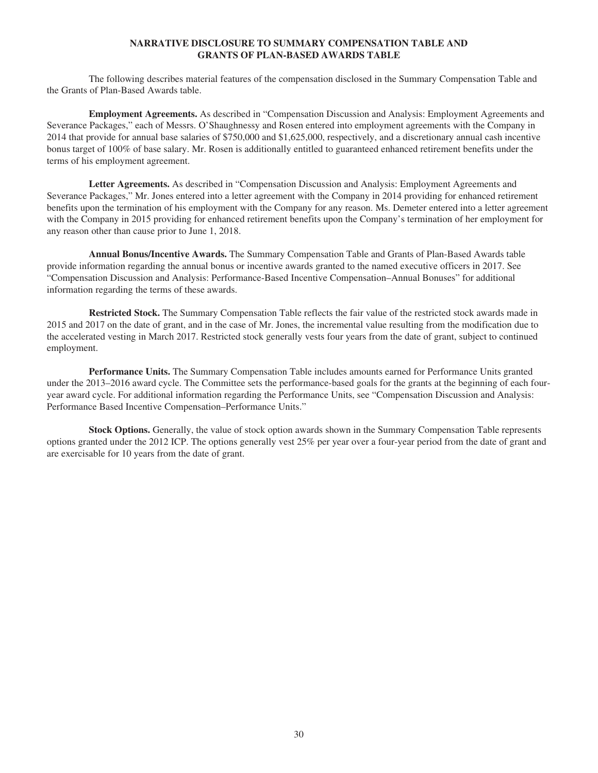# **NARRATIVE DISCLOSURE TO SUMMARY COMPENSATION TABLE AND GRANTS OF PLAN-BASED AWARDS TABLE**

The following describes material features of the compensation disclosed in the Summary Compensation Table and the Grants of Plan-Based Awards table.

**Employment Agreements.** As described in "Compensation Discussion and Analysis: Employment Agreements and Severance Packages," each of Messrs. O'Shaughnessy and Rosen entered into employment agreements with the Company in 2014 that provide for annual base salaries of \$750,000 and \$1,625,000, respectively, and a discretionary annual cash incentive bonus target of 100% of base salary. Mr. Rosen is additionally entitled to guaranteed enhanced retirement benefits under the terms of his employment agreement.

**Letter Agreements.** As described in "Compensation Discussion and Analysis: Employment Agreements and Severance Packages," Mr. Jones entered into a letter agreement with the Company in 2014 providing for enhanced retirement benefits upon the termination of his employment with the Company for any reason. Ms. Demeter entered into a letter agreement with the Company in 2015 providing for enhanced retirement benefits upon the Company's termination of her employment for any reason other than cause prior to June 1, 2018.

**Annual Bonus/Incentive Awards.** The Summary Compensation Table and Grants of Plan-Based Awards table provide information regarding the annual bonus or incentive awards granted to the named executive officers in 2017. See "Compensation Discussion and Analysis: Performance-Based Incentive Compensation–Annual Bonuses" for additional information regarding the terms of these awards.

**Restricted Stock.** The Summary Compensation Table reflects the fair value of the restricted stock awards made in 2015 and 2017 on the date of grant, and in the case of Mr. Jones, the incremental value resulting from the modification due to the accelerated vesting in March 2017. Restricted stock generally vests four years from the date of grant, subject to continued employment.

**Performance Units.** The Summary Compensation Table includes amounts earned for Performance Units granted under the 2013–2016 award cycle. The Committee sets the performance-based goals for the grants at the beginning of each fouryear award cycle. For additional information regarding the Performance Units, see "Compensation Discussion and Analysis: Performance Based Incentive Compensation–Performance Units."

**Stock Options.** Generally, the value of stock option awards shown in the Summary Compensation Table represents options granted under the 2012 ICP. The options generally vest 25% per year over a four-year period from the date of grant and are exercisable for 10 years from the date of grant.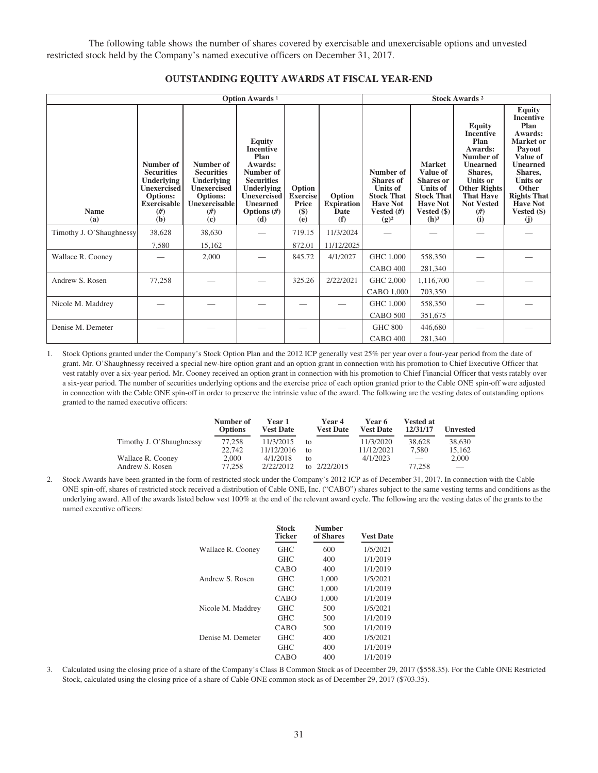The following table shows the number of shares covered by exercisable and unexercisable options and unvested restricted stock held by the Company's named executive officers on December 31, 2017.

|                          |                                                                                                                          | Option Awards <sup>1</sup>                                                                                          | <b>Stock Awards 2</b>                                                                                                                                                 |                                                    |                                                   |                                                                                                                     |                                                                                                                                               |                                                                                                                                                                                                 |                                                                                                                                                                                                                    |
|--------------------------|--------------------------------------------------------------------------------------------------------------------------|---------------------------------------------------------------------------------------------------------------------|-----------------------------------------------------------------------------------------------------------------------------------------------------------------------|----------------------------------------------------|---------------------------------------------------|---------------------------------------------------------------------------------------------------------------------|-----------------------------------------------------------------------------------------------------------------------------------------------|-------------------------------------------------------------------------------------------------------------------------------------------------------------------------------------------------|--------------------------------------------------------------------------------------------------------------------------------------------------------------------------------------------------------------------|
| <b>Name</b><br>(a)       | Number of<br><b>Securities</b><br>Underlying<br><b>Unexercised</b><br><b>Options:</b><br><b>Exercisable</b><br>#)<br>(b) | Number of<br><b>Securities</b><br><b>Underlying</b><br><b>Unexercised</b><br>Options:<br>Unexercisable<br>#)<br>(c) | <b>Equity</b><br><b>Incentive</b><br>Plan<br>Awards:<br>Number of<br><b>Securities</b><br>Underlying<br><b>Unexercised</b><br><b>Unearned</b><br>Options $(H)$<br>(d) | Option<br><b>Exercise</b><br>Price<br>$($)$<br>(e) | Option<br><b>Expiration</b><br><b>Date</b><br>(f) | Number of<br><b>Shares</b> of<br><b>Units of</b><br><b>Stock That</b><br><b>Have Not</b><br>Vested $(H)$<br>$(g)^2$ | <b>Market</b><br>Value of<br><b>Shares</b> or<br><b>Units of</b><br><b>Stock That</b><br><b>Have Not</b><br>Vested $(\$)$<br>(h) <sup>3</sup> | <b>Equity</b><br><b>Incentive</b><br>Plan<br>Awards:<br>Number of<br><b>Unearned</b><br>Shares.<br><b>Units or</b><br><b>Other Rights</b><br><b>That Have</b><br><b>Not Vested</b><br>#)<br>(i) | <b>Equity</b><br><b>Incentive</b><br>Plan<br>Awards:<br>Market or<br>Payout<br>Value of<br><b>Unearned</b><br>Shares.<br><b>Units or</b><br>Other<br><b>Rights That</b><br><b>Have Not</b><br>Vested $(\$)$<br>(j) |
| Timothy J. O'Shaughnessy | 38,628                                                                                                                   | 38,630                                                                                                              |                                                                                                                                                                       | 719.15                                             | 11/3/2024                                         |                                                                                                                     |                                                                                                                                               |                                                                                                                                                                                                 |                                                                                                                                                                                                                    |
|                          | 7,580                                                                                                                    | 15,162                                                                                                              |                                                                                                                                                                       | 872.01                                             | 11/12/2025                                        |                                                                                                                     |                                                                                                                                               |                                                                                                                                                                                                 |                                                                                                                                                                                                                    |
| Wallace R. Cooney        |                                                                                                                          | 2,000                                                                                                               |                                                                                                                                                                       | 845.72                                             | 4/1/2027                                          | GHC 1,000                                                                                                           | 558,350                                                                                                                                       |                                                                                                                                                                                                 |                                                                                                                                                                                                                    |
|                          |                                                                                                                          |                                                                                                                     |                                                                                                                                                                       |                                                    |                                                   | <b>CABO 400</b>                                                                                                     | 281,340                                                                                                                                       |                                                                                                                                                                                                 |                                                                                                                                                                                                                    |
| Andrew S. Rosen          | 77,258                                                                                                                   |                                                                                                                     |                                                                                                                                                                       | 325.26                                             | 2/22/2021                                         | GHC 2,000                                                                                                           | 1,116,700                                                                                                                                     |                                                                                                                                                                                                 |                                                                                                                                                                                                                    |
|                          |                                                                                                                          |                                                                                                                     |                                                                                                                                                                       |                                                    |                                                   | CABO 1,000                                                                                                          | 703,350                                                                                                                                       |                                                                                                                                                                                                 |                                                                                                                                                                                                                    |
| Nicole M. Maddrey        |                                                                                                                          |                                                                                                                     |                                                                                                                                                                       |                                                    |                                                   | GHC 1,000                                                                                                           | 558,350                                                                                                                                       |                                                                                                                                                                                                 |                                                                                                                                                                                                                    |
|                          |                                                                                                                          |                                                                                                                     |                                                                                                                                                                       |                                                    |                                                   | <b>CABO 500</b>                                                                                                     | 351,675                                                                                                                                       |                                                                                                                                                                                                 |                                                                                                                                                                                                                    |
| Denise M. Demeter        |                                                                                                                          |                                                                                                                     |                                                                                                                                                                       |                                                    |                                                   | <b>GHC 800</b>                                                                                                      | 446,680                                                                                                                                       |                                                                                                                                                                                                 |                                                                                                                                                                                                                    |
|                          |                                                                                                                          |                                                                                                                     |                                                                                                                                                                       |                                                    |                                                   | <b>CABO 400</b>                                                                                                     | 281,340                                                                                                                                       |                                                                                                                                                                                                 |                                                                                                                                                                                                                    |

# **OUTSTANDING EQUITY AWARDS AT FISCAL YEAR-END**

1. Stock Options granted under the Company's Stock Option Plan and the 2012 ICP generally vest 25% per year over a four-year period from the date of grant. Mr. O'Shaughnessy received a special new-hire option grant and an option grant in connection with his promotion to Chief Executive Officer that vest ratably over a six-year period. Mr. Cooney received an option grant in connection with his promotion to Chief Financial Officer that vests ratably over a six-year period. The number of securities underlying options and the exercise price of each option granted prior to the Cable ONE spin-off were adjusted in connection with the Cable ONE spin-off in order to preserve the intrinsic value of the award. The following are the vesting dates of outstanding options granted to the named executive officers:

|                          | Number of<br><b>Options</b> | Year 1<br><b>Vest Date</b> |    | Year 4<br><b>Vest Date</b> | Year 6<br><b>Vest Date</b> | <b>Vested at</b><br>12/31/17    | Unvested |
|--------------------------|-----------------------------|----------------------------|----|----------------------------|----------------------------|---------------------------------|----------|
| Timothy J. O'Shaughnessy | 77.258                      | 11/3/2015                  | tΩ |                            | 11/3/2020                  | 38,628                          | 38,630   |
|                          | 22,742                      | 11/12/2016                 | tΩ |                            | 11/12/2021                 | 7.580                           | 15.162   |
| Wallace R. Cooney        | 2.000                       | 4/1/2018                   | tΩ |                            | 4/1/2023                   | $\hspace{0.1mm}-\hspace{0.1mm}$ | 2,000    |
| Andrew S. Rosen          | 77.258                      | 2/22/2012                  |    | to $2/22/2015$             |                            | 77.258                          |          |

2. Stock Awards have been granted in the form of restricted stock under the Company's 2012 ICP as of December 31, 2017. In connection with the Cable ONE spin-off, shares of restricted stock received a distribution of Cable ONE, Inc. ("CABO") shares subject to the same vesting terms and conditions as the underlying award. All of the awards listed below vest 100% at the end of the relevant award cycle. The following are the vesting dates of the grants to the named executive officers:

|                   | Stock<br><b>Ticker</b> | <b>Number</b><br>of Shares | <b>Vest Date</b> |
|-------------------|------------------------|----------------------------|------------------|
| Wallace R. Cooney | <b>GHC</b>             | 600                        | 1/5/2021         |
|                   | <b>GHC</b>             | 400                        | 1/1/2019         |
|                   | CABO                   | 400                        | 1/1/2019         |
| Andrew S. Rosen   | <b>GHC</b>             | 1,000                      | 1/5/2021         |
|                   | <b>GHC</b>             | 1,000                      | 1/1/2019         |
|                   | CABO                   | 1.000                      | 1/1/2019         |
| Nicole M. Maddrey | <b>GHC</b>             | 500                        | 1/5/2021         |
|                   | <b>GHC</b>             | 500                        | 1/1/2019         |
|                   | CABO                   | 500                        | 1/1/2019         |
| Denise M. Demeter | <b>GHC</b>             | 400                        | 1/5/2021         |
|                   | <b>GHC</b>             | 400                        | 1/1/2019         |
|                   | CABO                   | 400                        | 1/1/2019         |

3. Calculated using the closing price of a share of the Company's Class B Common Stock as of December 29, 2017 (\$558.35). For the Cable ONE Restricted Stock, calculated using the closing price of a share of Cable ONE common stock as of December 29, 2017 (\$703.35).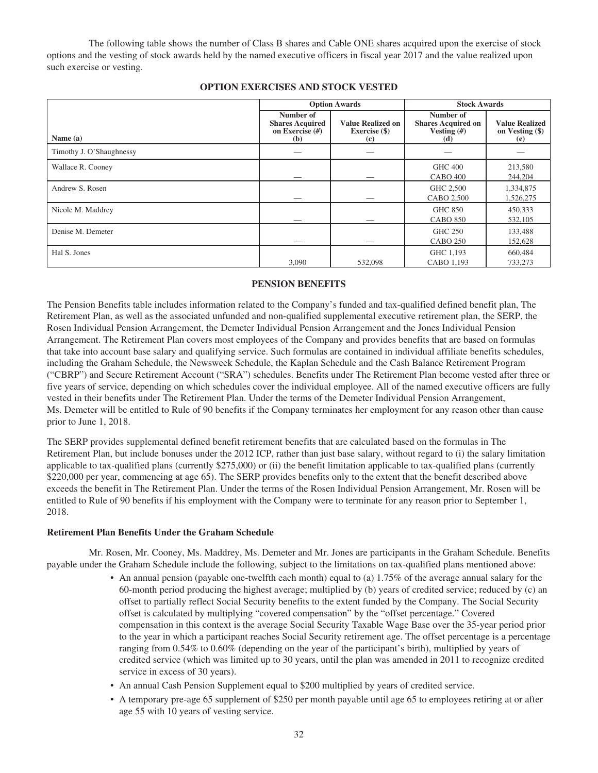The following table shows the number of Class B shares and Cable ONE shares acquired upon the exercise of stock options and the vesting of stock awards held by the named executive officers in fiscal year 2017 and the value realized upon such exercise or vesting.

|                          | <b>Option Awards</b>                                            |                                                  | <b>Stock Awards</b>                                            |                                                   |
|--------------------------|-----------------------------------------------------------------|--------------------------------------------------|----------------------------------------------------------------|---------------------------------------------------|
| Name (a)                 | Number of<br><b>Shares Acquired</b><br>on Exercise $(H)$<br>(b) | <b>Value Realized on</b><br>Exercise (\$)<br>(c) | Number of<br><b>Shares Acquired on</b><br>Vesting $(H)$<br>(d) | <b>Value Realized</b><br>on Vesting $(\$)$<br>(e) |
| Timothy J. O'Shaughnessy |                                                                 |                                                  |                                                                |                                                   |
| Wallace R. Cooney        |                                                                 |                                                  | <b>GHC 400</b><br><b>CABO 400</b>                              | 213,580<br>244,204                                |
| Andrew S. Rosen          |                                                                 |                                                  | GHC 2,500<br>CABO 2,500                                        | 1,334,875<br>1,526,275                            |
| Nicole M. Maddrey        |                                                                 |                                                  | <b>GHC 850</b><br><b>CABO 850</b>                              | 450,333<br>532,105                                |
| Denise M. Demeter        |                                                                 |                                                  | <b>GHC 250</b><br><b>CABO 250</b>                              | 133,488<br>152,628                                |
| Hal S. Jones             | 3,090                                                           | 532,098                                          | GHC 1,193<br>CABO 1.193                                        | 660,484<br>733,273                                |

# **OPTION EXERCISES AND STOCK VESTED**

# **PENSION BENEFITS**

The Pension Benefits table includes information related to the Company's funded and tax-qualified defined benefit plan, The Retirement Plan, as well as the associated unfunded and non-qualified supplemental executive retirement plan, the SERP, the Rosen Individual Pension Arrangement, the Demeter Individual Pension Arrangement and the Jones Individual Pension Arrangement. The Retirement Plan covers most employees of the Company and provides benefits that are based on formulas that take into account base salary and qualifying service. Such formulas are contained in individual affiliate benefits schedules, including the Graham Schedule, the Newsweek Schedule, the Kaplan Schedule and the Cash Balance Retirement Program ("CBRP") and Secure Retirement Account ("SRA") schedules. Benefits under The Retirement Plan become vested after three or five years of service, depending on which schedules cover the individual employee. All of the named executive officers are fully vested in their benefits under The Retirement Plan. Under the terms of the Demeter Individual Pension Arrangement, Ms. Demeter will be entitled to Rule of 90 benefits if the Company terminates her employment for any reason other than cause prior to June 1, 2018.

The SERP provides supplemental defined benefit retirement benefits that are calculated based on the formulas in The Retirement Plan, but include bonuses under the 2012 ICP, rather than just base salary, without regard to (i) the salary limitation applicable to tax-qualified plans (currently \$275,000) or (ii) the benefit limitation applicable to tax-qualified plans (currently \$220,000 per year, commencing at age 65). The SERP provides benefits only to the extent that the benefit described above exceeds the benefit in The Retirement Plan. Under the terms of the Rosen Individual Pension Arrangement, Mr. Rosen will be entitled to Rule of 90 benefits if his employment with the Company were to terminate for any reason prior to September 1, 2018.

#### **Retirement Plan Benefits Under the Graham Schedule**

Mr. Rosen, Mr. Cooney, Ms. Maddrey, Ms. Demeter and Mr. Jones are participants in the Graham Schedule. Benefits payable under the Graham Schedule include the following, subject to the limitations on tax-qualified plans mentioned above:

- An annual pension (payable one-twelfth each month) equal to (a) 1.75% of the average annual salary for the 60-month period producing the highest average; multiplied by (b) years of credited service; reduced by (c) an offset to partially reflect Social Security benefits to the extent funded by the Company. The Social Security offset is calculated by multiplying "covered compensation" by the "offset percentage." Covered compensation in this context is the average Social Security Taxable Wage Base over the 35-year period prior to the year in which a participant reaches Social Security retirement age. The offset percentage is a percentage ranging from 0.54% to 0.60% (depending on the year of the participant's birth), multiplied by years of credited service (which was limited up to 30 years, until the plan was amended in 2011 to recognize credited service in excess of 30 years).
- An annual Cash Pension Supplement equal to \$200 multiplied by years of credited service.
- A temporary pre-age 65 supplement of \$250 per month payable until age 65 to employees retiring at or after age 55 with 10 years of vesting service.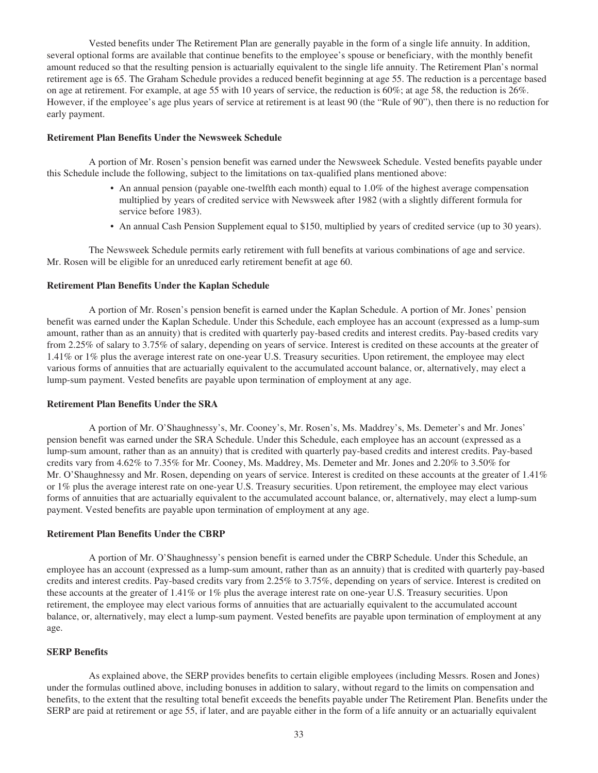Vested benefits under The Retirement Plan are generally payable in the form of a single life annuity. In addition, several optional forms are available that continue benefits to the employee's spouse or beneficiary, with the monthly benefit amount reduced so that the resulting pension is actuarially equivalent to the single life annuity. The Retirement Plan's normal retirement age is 65. The Graham Schedule provides a reduced benefit beginning at age 55. The reduction is a percentage based on age at retirement. For example, at age 55 with 10 years of service, the reduction is 60%; at age 58, the reduction is 26%. However, if the employee's age plus years of service at retirement is at least 90 (the "Rule of 90"), then there is no reduction for early payment.

#### **Retirement Plan Benefits Under the Newsweek Schedule**

A portion of Mr. Rosen's pension benefit was earned under the Newsweek Schedule. Vested benefits payable under this Schedule include the following, subject to the limitations on tax-qualified plans mentioned above:

- An annual pension (payable one-twelfth each month) equal to  $1.0\%$  of the highest average compensation multiplied by years of credited service with Newsweek after 1982 (with a slightly different formula for service before 1983).
- An annual Cash Pension Supplement equal to \$150, multiplied by years of credited service (up to 30 years).

The Newsweek Schedule permits early retirement with full benefits at various combinations of age and service. Mr. Rosen will be eligible for an unreduced early retirement benefit at age 60.

#### **Retirement Plan Benefits Under the Kaplan Schedule**

A portion of Mr. Rosen's pension benefit is earned under the Kaplan Schedule. A portion of Mr. Jones' pension benefit was earned under the Kaplan Schedule. Under this Schedule, each employee has an account (expressed as a lump-sum amount, rather than as an annuity) that is credited with quarterly pay-based credits and interest credits. Pay-based credits vary from 2.25% of salary to 3.75% of salary, depending on years of service. Interest is credited on these accounts at the greater of 1.41% or 1% plus the average interest rate on one-year U.S. Treasury securities. Upon retirement, the employee may elect various forms of annuities that are actuarially equivalent to the accumulated account balance, or, alternatively, may elect a lump-sum payment. Vested benefits are payable upon termination of employment at any age.

#### **Retirement Plan Benefits Under the SRA**

A portion of Mr. O'Shaughnessy's, Mr. Cooney's, Mr. Rosen's, Ms. Maddrey's, Ms. Demeter's and Mr. Jones' pension benefit was earned under the SRA Schedule. Under this Schedule, each employee has an account (expressed as a lump-sum amount, rather than as an annuity) that is credited with quarterly pay-based credits and interest credits. Pay-based credits vary from 4.62% to 7.35% for Mr. Cooney, Ms. Maddrey, Ms. Demeter and Mr. Jones and 2.20% to 3.50% for Mr. O'Shaughnessy and Mr. Rosen, depending on years of service. Interest is credited on these accounts at the greater of 1.41% or 1% plus the average interest rate on one-year U.S. Treasury securities. Upon retirement, the employee may elect various forms of annuities that are actuarially equivalent to the accumulated account balance, or, alternatively, may elect a lump-sum payment. Vested benefits are payable upon termination of employment at any age.

# **Retirement Plan Benefits Under the CBRP**

A portion of Mr. O'Shaughnessy's pension benefit is earned under the CBRP Schedule. Under this Schedule, an employee has an account (expressed as a lump-sum amount, rather than as an annuity) that is credited with quarterly pay-based credits and interest credits. Pay-based credits vary from 2.25% to 3.75%, depending on years of service. Interest is credited on these accounts at the greater of 1.41% or 1% plus the average interest rate on one-year U.S. Treasury securities. Upon retirement, the employee may elect various forms of annuities that are actuarially equivalent to the accumulated account balance, or, alternatively, may elect a lump-sum payment. Vested benefits are payable upon termination of employment at any age.

#### **SERP Benefits**

As explained above, the SERP provides benefits to certain eligible employees (including Messrs. Rosen and Jones) under the formulas outlined above, including bonuses in addition to salary, without regard to the limits on compensation and benefits, to the extent that the resulting total benefit exceeds the benefits payable under The Retirement Plan. Benefits under the SERP are paid at retirement or age 55, if later, and are payable either in the form of a life annuity or an actuarially equivalent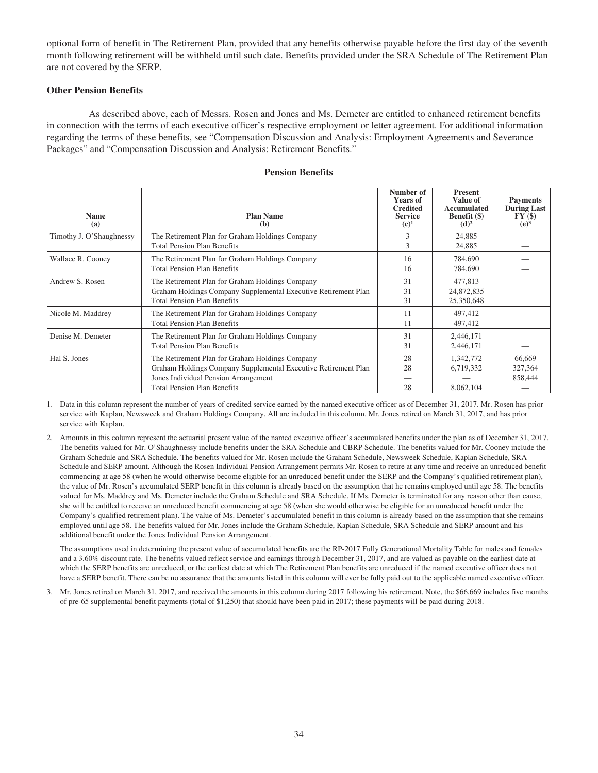optional form of benefit in The Retirement Plan, provided that any benefits otherwise payable before the first day of the seventh month following retirement will be withheld until such date. Benefits provided under the SRA Schedule of The Retirement Plan are not covered by the SERP.

# **Other Pension Benefits**

As described above, each of Messrs. Rosen and Jones and Ms. Demeter are entitled to enhanced retirement benefits in connection with the terms of each executive officer's respective employment or letter agreement. For additional information regarding the terms of these benefits, see "Compensation Discussion and Analysis: Employment Agreements and Severance Packages" and "Compensation Discussion and Analysis: Retirement Benefits."

| <b>Name</b><br>(a)       | <b>Plan Name</b><br>(b)                                                                                                                                                                         | Number of<br><b>Years of</b><br><b>Credited</b><br><b>Service</b><br>$(c)^1$ | <b>Present</b><br>Value of<br>Accumulated<br><b>Benefit</b> (\$)<br>(d) <sup>2</sup> | <b>Payments</b><br><b>During Last</b><br>FY(\$)<br>(e) <sup>3</sup> |
|--------------------------|-------------------------------------------------------------------------------------------------------------------------------------------------------------------------------------------------|------------------------------------------------------------------------------|--------------------------------------------------------------------------------------|---------------------------------------------------------------------|
| Timothy J. O'Shaughnessy | The Retirement Plan for Graham Holdings Company<br><b>Total Pension Plan Benefits</b>                                                                                                           | 3<br>3                                                                       | 24,885<br>24,885                                                                     |                                                                     |
| Wallace R. Cooney        | The Retirement Plan for Graham Holdings Company<br><b>Total Pension Plan Benefits</b>                                                                                                           | 16<br>16                                                                     | 784,690<br>784,690                                                                   |                                                                     |
| Andrew S. Rosen          | The Retirement Plan for Graham Holdings Company<br>Graham Holdings Company Supplemental Executive Retirement Plan<br><b>Total Pension Plan Benefits</b>                                         | 31<br>31<br>31                                                               | 477,813<br>24,872,835<br>25,350,648                                                  |                                                                     |
| Nicole M. Maddrey        | The Retirement Plan for Graham Holdings Company<br><b>Total Pension Plan Benefits</b>                                                                                                           | 11<br>11                                                                     | 497,412<br>497,412                                                                   |                                                                     |
| Denise M. Demeter        | The Retirement Plan for Graham Holdings Company<br><b>Total Pension Plan Benefits</b>                                                                                                           | 31<br>31                                                                     | 2,446,171<br>2,446,171                                                               |                                                                     |
| Hal S. Jones             | The Retirement Plan for Graham Holdings Company<br>Graham Holdings Company Supplemental Executive Retirement Plan<br>Jones Individual Pension Arrangement<br><b>Total Pension Plan Benefits</b> | 28<br>28<br>28                                                               | 1,342,772<br>6,719,332<br>8,062,104                                                  | 66,669<br>327,364<br>858,444                                        |

#### **Pension Benefits**

1. Data in this column represent the number of years of credited service earned by the named executive officer as of December 31, 2017. Mr. Rosen has prior service with Kaplan, Newsweek and Graham Holdings Company. All are included in this column. Mr. Jones retired on March 31, 2017, and has prior service with Kaplan.

2. Amounts in this column represent the actuarial present value of the named executive officer's accumulated benefits under the plan as of December 31, 2017. The benefits valued for Mr. O'Shaughnessy include benefits under the SRA Schedule and CBRP Schedule. The benefits valued for Mr. Cooney include the Graham Schedule and SRA Schedule. The benefits valued for Mr. Rosen include the Graham Schedule, Newsweek Schedule, Kaplan Schedule, SRA Schedule and SERP amount. Although the Rosen Individual Pension Arrangement permits Mr. Rosen to retire at any time and receive an unreduced benefit commencing at age 58 (when he would otherwise become eligible for an unreduced benefit under the SERP and the Company's qualified retirement plan), the value of Mr. Rosen's accumulated SERP benefit in this column is already based on the assumption that he remains employed until age 58. The benefits valued for Ms. Maddrey and Ms. Demeter include the Graham Schedule and SRA Schedule. If Ms. Demeter is terminated for any reason other than cause, she will be entitled to receive an unreduced benefit commencing at age 58 (when she would otherwise be eligible for an unreduced benefit under the Company's qualified retirement plan). The value of Ms. Demeter's accumulated benefit in this column is already based on the assumption that she remains employed until age 58. The benefits valued for Mr. Jones include the Graham Schedule, Kaplan Schedule, SRA Schedule and SERP amount and his additional benefit under the Jones Individual Pension Arrangement.

The assumptions used in determining the present value of accumulated benefits are the RP-2017 Fully Generational Mortality Table for males and females and a 3.60% discount rate. The benefits valued reflect service and earnings through December 31, 2017, and are valued as payable on the earliest date at which the SERP benefits are unreduced, or the earliest date at which The Retirement Plan benefits are unreduced if the named executive officer does not have a SERP benefit. There can be no assurance that the amounts listed in this column will ever be fully paid out to the applicable named executive officer.

3. Mr. Jones retired on March 31, 2017, and received the amounts in this column during 2017 following his retirement. Note, the \$66,669 includes five months of pre-65 supplemental benefit payments (total of \$1,250) that should have been paid in 2017; these payments will be paid during 2018.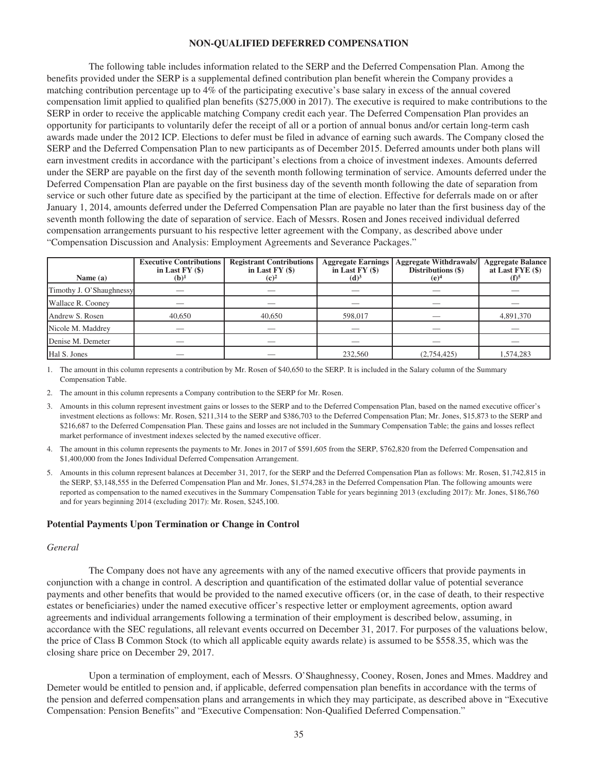#### **NON-QUALIFIED DEFERRED COMPENSATION**

The following table includes information related to the SERP and the Deferred Compensation Plan. Among the benefits provided under the SERP is a supplemental defined contribution plan benefit wherein the Company provides a matching contribution percentage up to 4% of the participating executive's base salary in excess of the annual covered compensation limit applied to qualified plan benefits (\$275,000 in 2017). The executive is required to make contributions to the SERP in order to receive the applicable matching Company credit each year. The Deferred Compensation Plan provides an opportunity for participants to voluntarily defer the receipt of all or a portion of annual bonus and/or certain long-term cash awards made under the 2012 ICP. Elections to defer must be filed in advance of earning such awards. The Company closed the SERP and the Deferred Compensation Plan to new participants as of December 2015. Deferred amounts under both plans will earn investment credits in accordance with the participant's elections from a choice of investment indexes. Amounts deferred under the SERP are payable on the first day of the seventh month following termination of service. Amounts deferred under the Deferred Compensation Plan are payable on the first business day of the seventh month following the date of separation from service or such other future date as specified by the participant at the time of election. Effective for deferrals made on or after January 1, 2014, amounts deferred under the Deferred Compensation Plan are payable no later than the first business day of the seventh month following the date of separation of service. Each of Messrs. Rosen and Jones received individual deferred compensation arrangements pursuant to his respective letter agreement with the Company, as described above under "Compensation Discussion and Analysis: Employment Agreements and Severance Packages."

| Name $(a)$               | <b>Executive Contributions</b><br>in Last $FY($)$<br>$(b)^1$ | <b>Registrant Contributions</b><br>in Last $FY($)$<br>$(c)^2$ | <b>Aggregate Earnings</b><br>in Last FY (\$)<br>(d) <sup>3</sup> | <b>Aggregate Withdrawals/</b><br>Distributions (\$)<br>(e) <sup>4</sup> | <b>Aggregate Balance</b><br>at Last $FYE($)$<br>$(f)$ <sup>5</sup> |
|--------------------------|--------------------------------------------------------------|---------------------------------------------------------------|------------------------------------------------------------------|-------------------------------------------------------------------------|--------------------------------------------------------------------|
| Timothy J. O'Shaughnessy |                                                              |                                                               |                                                                  |                                                                         |                                                                    |
| Wallace R. Cooney        |                                                              |                                                               | __                                                               | __                                                                      |                                                                    |
| Andrew S. Rosen          | 40,650                                                       | 40,650                                                        | 598,017                                                          |                                                                         | 4,891,370                                                          |
| Nicole M. Maddrey        |                                                              |                                                               |                                                                  |                                                                         |                                                                    |
| Denise M. Demeter        |                                                              |                                                               |                                                                  |                                                                         |                                                                    |
| Hal S. Jones             |                                                              |                                                               | 232,560                                                          | (2,754,425)                                                             | 1,574,283                                                          |

- 1. The amount in this column represents a contribution by Mr. Rosen of \$40,650 to the SERP. It is included in the Salary column of the Summary Compensation Table.
- 2. The amount in this column represents a Company contribution to the SERP for Mr. Rosen.
- 3. Amounts in this column represent investment gains or losses to the SERP and to the Deferred Compensation Plan, based on the named executive officer's investment elections as follows: Mr. Rosen, \$211,314 to the SERP and \$386,703 to the Deferred Compensation Plan; Mr. Jones, \$15,873 to the SERP and \$216,687 to the Deferred Compensation Plan. These gains and losses are not included in the Summary Compensation Table; the gains and losses reflect market performance of investment indexes selected by the named executive officer.
- 4. The amount in this column represents the payments to Mr. Jones in 2017 of \$591,605 from the SERP, \$762,820 from the Deferred Compensation and \$1,400,000 from the Jones Individual Deferred Compensation Arrangement.
- 5. Amounts in this column represent balances at December 31, 2017, for the SERP and the Deferred Compensation Plan as follows: Mr. Rosen, \$1,742,815 in the SERP, \$3,148,555 in the Deferred Compensation Plan and Mr. Jones, \$1,574,283 in the Deferred Compensation Plan. The following amounts were reported as compensation to the named executives in the Summary Compensation Table for years beginning 2013 (excluding 2017): Mr. Jones, \$186,760 and for years beginning 2014 (excluding 2017): Mr. Rosen, \$245,100.

#### **Potential Payments Upon Termination or Change in Control**

#### *General*

The Company does not have any agreements with any of the named executive officers that provide payments in conjunction with a change in control. A description and quantification of the estimated dollar value of potential severance payments and other benefits that would be provided to the named executive officers (or, in the case of death, to their respective estates or beneficiaries) under the named executive officer's respective letter or employment agreements, option award agreements and individual arrangements following a termination of their employment is described below, assuming, in accordance with the SEC regulations, all relevant events occurred on December 31, 2017. For purposes of the valuations below, the price of Class B Common Stock (to which all applicable equity awards relate) is assumed to be \$558.35, which was the closing share price on December 29, 2017.

Upon a termination of employment, each of Messrs. O'Shaughnessy, Cooney, Rosen, Jones and Mmes. Maddrey and Demeter would be entitled to pension and, if applicable, deferred compensation plan benefits in accordance with the terms of the pension and deferred compensation plans and arrangements in which they may participate, as described above in "Executive Compensation: Pension Benefits" and "Executive Compensation: Non-Qualified Deferred Compensation."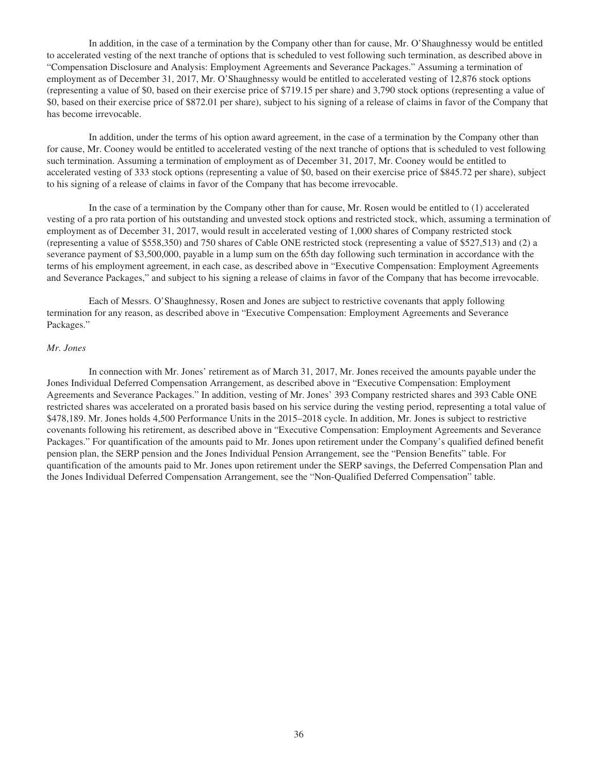In addition, in the case of a termination by the Company other than for cause, Mr. O'Shaughnessy would be entitled to accelerated vesting of the next tranche of options that is scheduled to vest following such termination, as described above in "Compensation Disclosure and Analysis: Employment Agreements and Severance Packages." Assuming a termination of employment as of December 31, 2017, Mr. O'Shaughnessy would be entitled to accelerated vesting of 12,876 stock options (representing a value of \$0, based on their exercise price of \$719.15 per share) and 3,790 stock options (representing a value of \$0, based on their exercise price of \$872.01 per share), subject to his signing of a release of claims in favor of the Company that has become irrevocable.

In addition, under the terms of his option award agreement, in the case of a termination by the Company other than for cause, Mr. Cooney would be entitled to accelerated vesting of the next tranche of options that is scheduled to vest following such termination. Assuming a termination of employment as of December 31, 2017, Mr. Cooney would be entitled to accelerated vesting of 333 stock options (representing a value of \$0, based on their exercise price of \$845.72 per share), subject to his signing of a release of claims in favor of the Company that has become irrevocable.

In the case of a termination by the Company other than for cause, Mr. Rosen would be entitled to (1) accelerated vesting of a pro rata portion of his outstanding and unvested stock options and restricted stock, which, assuming a termination of employment as of December 31, 2017, would result in accelerated vesting of 1,000 shares of Company restricted stock (representing a value of \$558,350) and 750 shares of Cable ONE restricted stock (representing a value of \$527,513) and (2) a severance payment of \$3,500,000, payable in a lump sum on the 65th day following such termination in accordance with the terms of his employment agreement, in each case, as described above in "Executive Compensation: Employment Agreements and Severance Packages," and subject to his signing a release of claims in favor of the Company that has become irrevocable.

Each of Messrs. O'Shaughnessy, Rosen and Jones are subject to restrictive covenants that apply following termination for any reason, as described above in "Executive Compensation: Employment Agreements and Severance Packages."

#### *Mr. Jones*

In connection with Mr. Jones' retirement as of March 31, 2017, Mr. Jones received the amounts payable under the Jones Individual Deferred Compensation Arrangement, as described above in "Executive Compensation: Employment Agreements and Severance Packages." In addition, vesting of Mr. Jones' 393 Company restricted shares and 393 Cable ONE restricted shares was accelerated on a prorated basis based on his service during the vesting period, representing a total value of \$478,189. Mr. Jones holds 4,500 Performance Units in the 2015–2018 cycle. In addition, Mr. Jones is subject to restrictive covenants following his retirement, as described above in "Executive Compensation: Employment Agreements and Severance Packages." For quantification of the amounts paid to Mr. Jones upon retirement under the Company's qualified defined benefit pension plan, the SERP pension and the Jones Individual Pension Arrangement, see the "Pension Benefits" table. For quantification of the amounts paid to Mr. Jones upon retirement under the SERP savings, the Deferred Compensation Plan and the Jones Individual Deferred Compensation Arrangement, see the "Non-Qualified Deferred Compensation" table.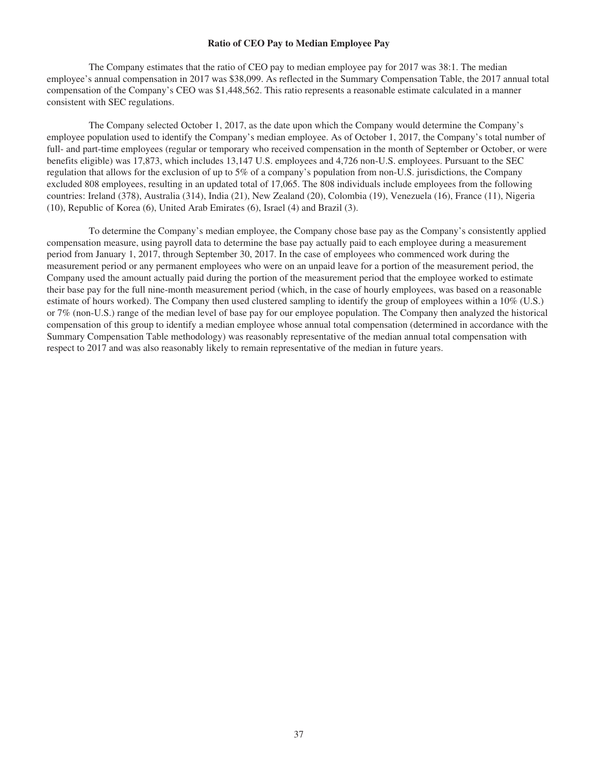# **Ratio of CEO Pay to Median Employee Pay**

The Company estimates that the ratio of CEO pay to median employee pay for 2017 was 38:1. The median employee's annual compensation in 2017 was \$38,099. As reflected in the Summary Compensation Table, the 2017 annual total compensation of the Company's CEO was \$1,448,562. This ratio represents a reasonable estimate calculated in a manner consistent with SEC regulations.

The Company selected October 1, 2017, as the date upon which the Company would determine the Company's employee population used to identify the Company's median employee. As of October 1, 2017, the Company's total number of full- and part-time employees (regular or temporary who received compensation in the month of September or October, or were benefits eligible) was 17,873, which includes 13,147 U.S. employees and 4,726 non-U.S. employees. Pursuant to the SEC regulation that allows for the exclusion of up to 5% of a company's population from non-U.S. jurisdictions, the Company excluded 808 employees, resulting in an updated total of 17,065. The 808 individuals include employees from the following countries: Ireland (378), Australia (314), India (21), New Zealand (20), Colombia (19), Venezuela (16), France (11), Nigeria (10), Republic of Korea (6), United Arab Emirates (6), Israel (4) and Brazil (3).

To determine the Company's median employee, the Company chose base pay as the Company's consistently applied compensation measure, using payroll data to determine the base pay actually paid to each employee during a measurement period from January 1, 2017, through September 30, 2017. In the case of employees who commenced work during the measurement period or any permanent employees who were on an unpaid leave for a portion of the measurement period, the Company used the amount actually paid during the portion of the measurement period that the employee worked to estimate their base pay for the full nine-month measurement period (which, in the case of hourly employees, was based on a reasonable estimate of hours worked). The Company then used clustered sampling to identify the group of employees within a 10% (U.S.) or 7% (non-U.S.) range of the median level of base pay for our employee population. The Company then analyzed the historical compensation of this group to identify a median employee whose annual total compensation (determined in accordance with the Summary Compensation Table methodology) was reasonably representative of the median annual total compensation with respect to 2017 and was also reasonably likely to remain representative of the median in future years.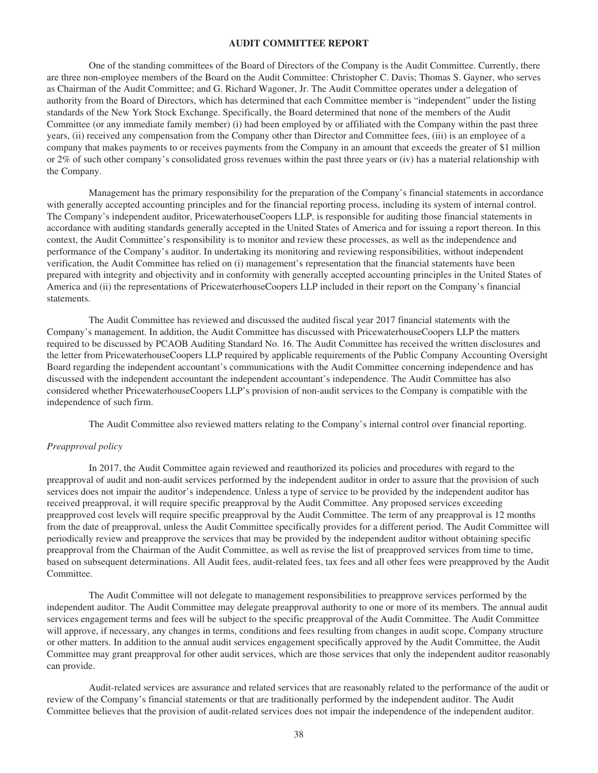# **AUDIT COMMITTEE REPORT**

One of the standing committees of the Board of Directors of the Company is the Audit Committee. Currently, there are three non-employee members of the Board on the Audit Committee: Christopher C. Davis; Thomas S. Gayner, who serves as Chairman of the Audit Committee; and G. Richard Wagoner, Jr. The Audit Committee operates under a delegation of authority from the Board of Directors, which has determined that each Committee member is "independent" under the listing standards of the New York Stock Exchange. Specifically, the Board determined that none of the members of the Audit Committee (or any immediate family member) (i) had been employed by or affiliated with the Company within the past three years, (ii) received any compensation from the Company other than Director and Committee fees, (iii) is an employee of a company that makes payments to or receives payments from the Company in an amount that exceeds the greater of \$1 million or 2% of such other company's consolidated gross revenues within the past three years or (iv) has a material relationship with the Company.

Management has the primary responsibility for the preparation of the Company's financial statements in accordance with generally accepted accounting principles and for the financial reporting process, including its system of internal control. The Company's independent auditor, PricewaterhouseCoopers LLP, is responsible for auditing those financial statements in accordance with auditing standards generally accepted in the United States of America and for issuing a report thereon. In this context, the Audit Committee's responsibility is to monitor and review these processes, as well as the independence and performance of the Company's auditor. In undertaking its monitoring and reviewing responsibilities, without independent verification, the Audit Committee has relied on (i) management's representation that the financial statements have been prepared with integrity and objectivity and in conformity with generally accepted accounting principles in the United States of America and (ii) the representations of PricewaterhouseCoopers LLP included in their report on the Company's financial statements.

The Audit Committee has reviewed and discussed the audited fiscal year 2017 financial statements with the Company's management. In addition, the Audit Committee has discussed with PricewaterhouseCoopers LLP the matters required to be discussed by PCAOB Auditing Standard No. 16. The Audit Committee has received the written disclosures and the letter from PricewaterhouseCoopers LLP required by applicable requirements of the Public Company Accounting Oversight Board regarding the independent accountant's communications with the Audit Committee concerning independence and has discussed with the independent accountant the independent accountant's independence. The Audit Committee has also considered whether PricewaterhouseCoopers LLP's provision of non-audit services to the Company is compatible with the independence of such firm.

The Audit Committee also reviewed matters relating to the Company's internal control over financial reporting.

## *Preapproval policy*

In 2017, the Audit Committee again reviewed and reauthorized its policies and procedures with regard to the preapproval of audit and non-audit services performed by the independent auditor in order to assure that the provision of such services does not impair the auditor's independence. Unless a type of service to be provided by the independent auditor has received preapproval, it will require specific preapproval by the Audit Committee. Any proposed services exceeding preapproved cost levels will require specific preapproval by the Audit Committee. The term of any preapproval is 12 months from the date of preapproval, unless the Audit Committee specifically provides for a different period. The Audit Committee will periodically review and preapprove the services that may be provided by the independent auditor without obtaining specific preapproval from the Chairman of the Audit Committee, as well as revise the list of preapproved services from time to time, based on subsequent determinations. All Audit fees, audit-related fees, tax fees and all other fees were preapproved by the Audit Committee.

The Audit Committee will not delegate to management responsibilities to preapprove services performed by the independent auditor. The Audit Committee may delegate preapproval authority to one or more of its members. The annual audit services engagement terms and fees will be subject to the specific preapproval of the Audit Committee. The Audit Committee will approve, if necessary, any changes in terms, conditions and fees resulting from changes in audit scope, Company structure or other matters. In addition to the annual audit services engagement specifically approved by the Audit Committee, the Audit Committee may grant preapproval for other audit services, which are those services that only the independent auditor reasonably can provide.

Audit-related services are assurance and related services that are reasonably related to the performance of the audit or review of the Company's financial statements or that are traditionally performed by the independent auditor. The Audit Committee believes that the provision of audit-related services does not impair the independence of the independent auditor.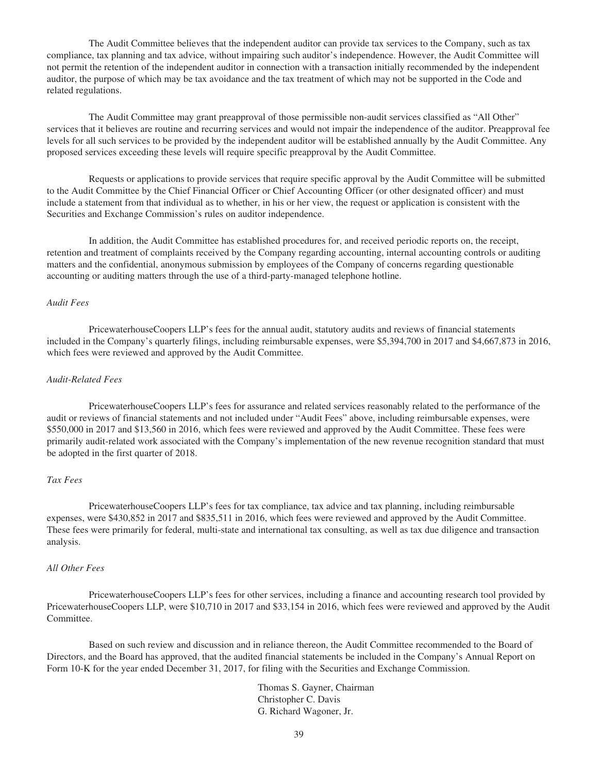The Audit Committee believes that the independent auditor can provide tax services to the Company, such as tax compliance, tax planning and tax advice, without impairing such auditor's independence. However, the Audit Committee will not permit the retention of the independent auditor in connection with a transaction initially recommended by the independent auditor, the purpose of which may be tax avoidance and the tax treatment of which may not be supported in the Code and related regulations.

The Audit Committee may grant preapproval of those permissible non-audit services classified as "All Other" services that it believes are routine and recurring services and would not impair the independence of the auditor. Preapproval fee levels for all such services to be provided by the independent auditor will be established annually by the Audit Committee. Any proposed services exceeding these levels will require specific preapproval by the Audit Committee.

Requests or applications to provide services that require specific approval by the Audit Committee will be submitted to the Audit Committee by the Chief Financial Officer or Chief Accounting Officer (or other designated officer) and must include a statement from that individual as to whether, in his or her view, the request or application is consistent with the Securities and Exchange Commission's rules on auditor independence.

In addition, the Audit Committee has established procedures for, and received periodic reports on, the receipt, retention and treatment of complaints received by the Company regarding accounting, internal accounting controls or auditing matters and the confidential, anonymous submission by employees of the Company of concerns regarding questionable accounting or auditing matters through the use of a third-party-managed telephone hotline.

#### *Audit Fees*

PricewaterhouseCoopers LLP's fees for the annual audit, statutory audits and reviews of financial statements included in the Company's quarterly filings, including reimbursable expenses, were \$5,394,700 in 2017 and \$4,667,873 in 2016, which fees were reviewed and approved by the Audit Committee.

#### *Audit-Related Fees*

PricewaterhouseCoopers LLP's fees for assurance and related services reasonably related to the performance of the audit or reviews of financial statements and not included under "Audit Fees" above, including reimbursable expenses, were \$550,000 in 2017 and \$13,560 in 2016, which fees were reviewed and approved by the Audit Committee. These fees were primarily audit-related work associated with the Company's implementation of the new revenue recognition standard that must be adopted in the first quarter of 2018.

# *Tax Fees*

PricewaterhouseCoopers LLP's fees for tax compliance, tax advice and tax planning, including reimbursable expenses, were \$430,852 in 2017 and \$835,511 in 2016, which fees were reviewed and approved by the Audit Committee. These fees were primarily for federal, multi-state and international tax consulting, as well as tax due diligence and transaction analysis.

# *All Other Fees*

PricewaterhouseCoopers LLP's fees for other services, including a finance and accounting research tool provided by PricewaterhouseCoopers LLP, were \$10,710 in 2017 and \$33,154 in 2016, which fees were reviewed and approved by the Audit Committee.

Based on such review and discussion and in reliance thereon, the Audit Committee recommended to the Board of Directors, and the Board has approved, that the audited financial statements be included in the Company's Annual Report on Form 10-K for the year ended December 31, 2017, for filing with the Securities and Exchange Commission.

> Thomas S. Gayner, Chairman Christopher C. Davis G. Richard Wagoner, Jr.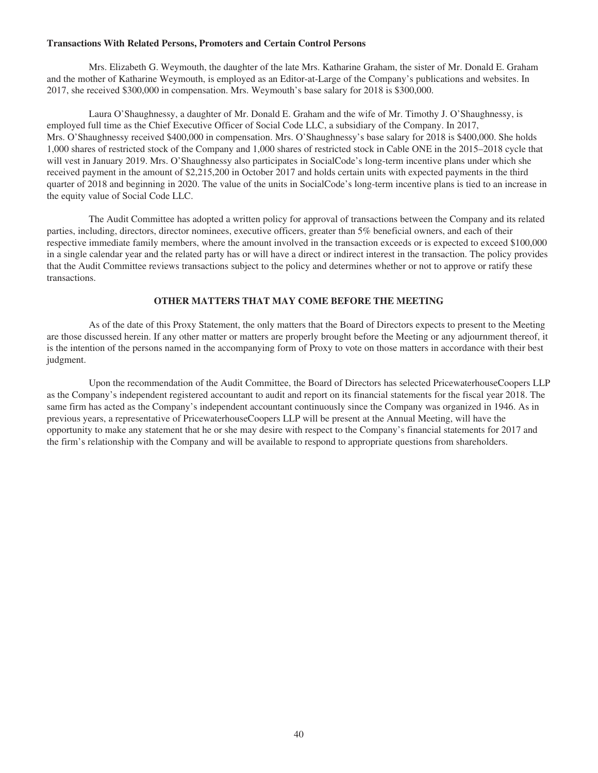# **Transactions With Related Persons, Promoters and Certain Control Persons**

Mrs. Elizabeth G. Weymouth, the daughter of the late Mrs. Katharine Graham, the sister of Mr. Donald E. Graham and the mother of Katharine Weymouth, is employed as an Editor-at-Large of the Company's publications and websites. In 2017, she received \$300,000 in compensation. Mrs. Weymouth's base salary for 2018 is \$300,000.

Laura O'Shaughnessy, a daughter of Mr. Donald E. Graham and the wife of Mr. Timothy J. O'Shaughnessy, is employed full time as the Chief Executive Officer of Social Code LLC, a subsidiary of the Company. In 2017, Mrs. O'Shaughnessy received \$400,000 in compensation. Mrs. O'Shaughnessy's base salary for 2018 is \$400,000. She holds 1,000 shares of restricted stock of the Company and 1,000 shares of restricted stock in Cable ONE in the 2015–2018 cycle that will vest in January 2019. Mrs. O'Shaughnessy also participates in SocialCode's long-term incentive plans under which she received payment in the amount of \$2,215,200 in October 2017 and holds certain units with expected payments in the third quarter of 2018 and beginning in 2020. The value of the units in SocialCode's long-term incentive plans is tied to an increase in the equity value of Social Code LLC.

The Audit Committee has adopted a written policy for approval of transactions between the Company and its related parties, including, directors, director nominees, executive officers, greater than 5% beneficial owners, and each of their respective immediate family members, where the amount involved in the transaction exceeds or is expected to exceed \$100,000 in a single calendar year and the related party has or will have a direct or indirect interest in the transaction. The policy provides that the Audit Committee reviews transactions subject to the policy and determines whether or not to approve or ratify these transactions.

# **OTHER MATTERS THAT MAY COME BEFORE THE MEETING**

As of the date of this Proxy Statement, the only matters that the Board of Directors expects to present to the Meeting are those discussed herein. If any other matter or matters are properly brought before the Meeting or any adjournment thereof, it is the intention of the persons named in the accompanying form of Proxy to vote on those matters in accordance with their best judgment.

Upon the recommendation of the Audit Committee, the Board of Directors has selected PricewaterhouseCoopers LLP as the Company's independent registered accountant to audit and report on its financial statements for the fiscal year 2018. The same firm has acted as the Company's independent accountant continuously since the Company was organized in 1946. As in previous years, a representative of PricewaterhouseCoopers LLP will be present at the Annual Meeting, will have the opportunity to make any statement that he or she may desire with respect to the Company's financial statements for 2017 and the firm's relationship with the Company and will be available to respond to appropriate questions from shareholders.